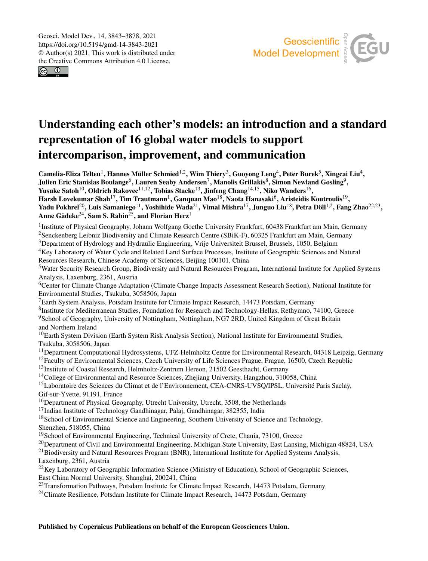$\circ$   $\bullet$ 



# Understanding each other's models: an introduction and a standard representation of 16 global water models to support intercomparison, improvement, and communication

Camelia-Eliza Telteu<sup>[1](#page-0-0)</sup>, Hannes Müller Schmied<sup>[1,2](#page-0-0)</sup>, Wim Thiery<sup>[3](#page-0-0)</sup>, Guoyong Leng<sup>[4](#page-0-0)</sup>, Peter Burek<sup>[5](#page-0-0)</sup>, Xingcai Liu<sup>4</sup>, Julien Eric Stanislas Boulange $^6$  $^6$ , Lauren Seaby Andersen $^7$  $^7$ , Manolis Grillakis $^8$  $^8$ , Simon Newland Gosling $^9$  $^9$ , Yusuke Satoh<sup>[10](#page-0-0)</sup>, Oldrich Rakovec<sup>[11,12](#page-0-0)</sup>, Tobias Stacke<sup>[13](#page-0-0)</sup>, Jinfeng Chang<sup>[14,15](#page-0-0)</sup>, Niko Wanders<sup>[16](#page-0-0)</sup>, Harsh Lovekumar Shah $^{17}$  $^{17}$  $^{17}$ , Tim Trautmann $^{1}$  $^{1}$  $^{1}$ , Ganquan Mao $^{18}$  $^{18}$  $^{18}$ , Naota Hanasaki $^{6}$  $^{6}$  $^{6}$ , Aristeidis Koutroulis $^{19}$  $^{19}$  $^{19}$ , Yadu Pokhrel<sup>[20](#page-0-0)</sup>, Luis Samaniego<sup>[11](#page-0-0)</sup>, Yoshihide Wada<sup>[21](#page-0-0)</sup>, Vimal Mishra<sup>[17](#page-0-0)</sup>, Junguo Liu<sup>[18](#page-0-0)</sup>, Petra Döll<sup>[1,2](#page-0-0)</sup>, Fang Zhao<sup>[22,23](#page-0-0)</sup>, Anne Gädeke<sup>[24](#page-0-0)</sup>, Sam S. Rabin<sup>[25](#page-0-0)</sup>, and Florian Herz<sup>[1](#page-0-0)</sup>

<sup>1</sup>Institute of Physical Geography, Johann Wolfgang Goethe University Frankfurt, 60438 Frankfurt am Main, Germany <sup>2</sup>Senckenberg Leibniz Biodiversity and Climate Research Centre (SBiK-F), 60325 Frankfurt am Main, Germany

<sup>3</sup>Department of Hydrology and Hydraulic Engineering, Vrije Universiteit Brussel, Brussels, 1050, Belgium

<sup>4</sup>Key Laboratory of Water Cycle and Related Land Surface Processes, Institute of Geographic Sciences and Natural Resources Research, Chinese Academy of Sciences, Beijing 100101, China

<sup>5</sup>Water Security Research Group, Biodiversity and Natural Resources Program, International Institute for Applied Systems Analysis, Laxenburg, 2361, Austria

<sup>6</sup>Center for Climate Change Adaptation (Climate Change Impacts Assessment Research Section), National Institute for Environmental Studies, Tsukuba, 3058506, Japan

<sup>7</sup>Earth System Analysis, Potsdam Institute for Climate Impact Research, 14473 Potsdam, Germany

8 Institute for Mediterranean Studies, Foundation for Research and Technology-Hellas, Rethymno, 74100, Greece <sup>9</sup>School of Geography, University of Nottingham, Nottingham, NG7 2RD, United Kingdom of Great Britain and Northern Ireland

<sup>10</sup>Earth System Division (Earth System Risk Analysis Section), National Institute for Environmental Studies, Tsukuba, 3058506, Japan

 $11$ Department Computational Hydrosystems, UFZ-Helmholtz Centre for Environmental Research, 04318 Leipzig, Germany

 $12$ Faculty of Environmental Sciences, Czech University of Life Sciences Prague, Prague, 16500, Czech Republic

<sup>13</sup>Institute of Coastal Research, Helmholtz-Zentrum Hereon, 21502 Geesthacht, Germany

<sup>14</sup>College of Environmental and Resource Sciences, Zhejiang University, Hangzhou, 310058, China

<sup>15</sup>Laboratoire des Sciences du Climat et de l'Environnement, CEA-CNRS-UVSQ/IPSL, Université Paris Saclay, Gif-sur-Yvette, 91191, France

<sup>16</sup>Department of Physical Geography, Utrecht University, Utrecht, 3508, the Netherlands

<sup>17</sup>Indian Institute of Technology Gandhinagar, Palaj, Gandhinagar, 382355, India

<sup>18</sup>School of Environmental Science and Engineering, Southern University of Science and Technology,

Shenzhen, 518055, China

<sup>19</sup>School of Environmental Engineering, Technical University of Crete, Chania, 73100, Greece

<sup>20</sup>Department of Civil and Environmental Engineering, Michigan State University, East Lansing, Michigan 48824, USA

<sup>21</sup>Biodiversity and Natural Resources Program (BNR), International Institute for Applied Systems Analysis, Laxenburg, 2361, Austria

<span id="page-0-0"></span><sup>22</sup>Key Laboratory of Geographic Information Science (Ministry of Education), School of Geographic Sciences, East China Normal University, Shanghai, 200241, China

<sup>23</sup>Transformation Pathways, Potsdam Institute for Climate Impact Research, 14473 Potsdam, Germany

<sup>24</sup>Climate Resilience, Potsdam Institute for Climate Impact Research, 14473 Potsdam, Germany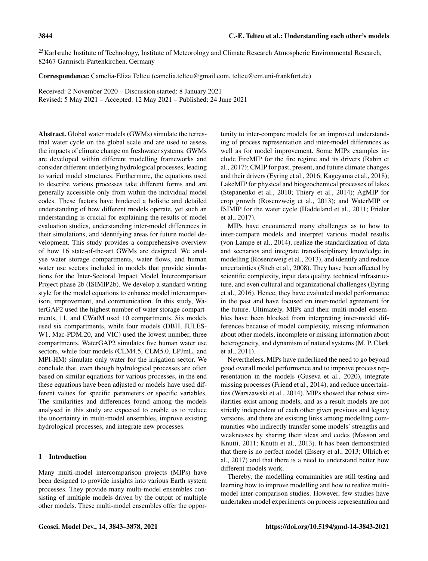<sup>25</sup>Karlsruhe Institute of Technology, Institute of Meteorology and Climate Research Atmospheric Environmental Research, 82467 Garmisch-Partenkirchen, Germany

Correspondence: Camelia-Eliza Telteu (camelia.telteu@gmail.com, telteu@em.uni-frankfurt.de)

Received: 2 November 2020 – Discussion started: 8 January 2021 Revised: 5 May 2021 – Accepted: 12 May 2021 – Published: 24 June 2021

Abstract. Global water models (GWMs) simulate the terrestrial water cycle on the global scale and are used to assess the impacts of climate change on freshwater systems. GWMs are developed within different modelling frameworks and consider different underlying hydrological processes, leading to varied model structures. Furthermore, the equations used to describe various processes take different forms and are generally accessible only from within the individual model codes. These factors have hindered a holistic and detailed understanding of how different models operate, yet such an understanding is crucial for explaining the results of model evaluation studies, understanding inter-model differences in their simulations, and identifying areas for future model development. This study provides a comprehensive overview of how 16 state-of-the-art GWMs are designed. We analyse water storage compartments, water flows, and human water use sectors included in models that provide simulations for the Inter-Sectoral Impact Model Intercomparison Project phase 2b (ISIMIP2b). We develop a standard writing style for the model equations to enhance model intercomparison, improvement, and communication. In this study, WaterGAP2 used the highest number of water storage compartments, 11, and CWatM used 10 compartments. Six models used six compartments, while four models (DBH, JULES-W1, Mac-PDM.20, and VIC) used the lowest number, three compartments. WaterGAP2 simulates five human water use sectors, while four models (CLM4.5, CLM5.0, LPJmL, and MPI-HM) simulate only water for the irrigation sector. We conclude that, even though hydrological processes are often based on similar equations for various processes, in the end these equations have been adjusted or models have used different values for specific parameters or specific variables. The similarities and differences found among the models analysed in this study are expected to enable us to reduce the uncertainty in multi-model ensembles, improve existing hydrological processes, and integrate new processes.

# 1 Introduction

Many multi-model intercomparison projects (MIPs) have been designed to provide insights into various Earth system processes. They provide many multi-model ensembles consisting of multiple models driven by the output of multiple other models. These multi-model ensembles offer the opportunity to inter-compare models for an improved understanding of process representation and inter-model differences as well as for model improvement. Some MIPs examples include FireMIP for the fire regime and its drivers (Rabin et al., 2017); CMIP for past, present, and future climate changes and their drivers (Eyring et al., 2016; Kageyama et al., 2018); LakeMIP for physical and biogeochemical processes of lakes (Stepanenko et al., 2010; Thiery et al., 2014); AgMIP for crop growth (Rosenzweig et al., 2013); and WaterMIP or ISIMIP for the water cycle (Haddeland et al., 2011; Frieler et al., 2017).

MIPs have encountered many challenges as to how to inter-compare models and interpret various model results (von Lampe et al., 2014), realize the standardization of data and scenarios and integrate transdisciplinary knowledge in modelling (Rosenzweig et al., 2013), and identify and reduce uncertainties (Sitch et al., 2008). They have been affected by scientific complexity, input data quality, technical infrastructure, and even cultural and organizational challenges (Eyring et al., 2016). Hence, they have evaluated model performance in the past and have focused on inter-model agreement for the future. Ultimately, MIPs and their multi-model ensembles have been blocked from interpreting inter-model differences because of model complexity, missing information about other models, incomplete or missing information about heterogeneity, and dynamism of natural systems (M. P. Clark et al., 2011).

Nevertheless, MIPs have underlined the need to go beyond good overall model performance and to improve process representation in the models (Guseva et al., 2020), integrate missing processes (Friend et al., 2014), and reduce uncertainties (Warszawski et al., 2014). MIPs showed that robust similarities exist among models, and as a result models are not strictly independent of each other given previous and legacy versions, and there are existing links among modelling communities who indirectly transfer some models' strengths and weaknesses by sharing their ideas and codes (Masson and Knutti, 2011; Knutti et al., 2013). It has been demonstrated that there is no perfect model (Essery et al., 2013; Ullrich et al., 2017) and that there is a need to understand better how different models work.

Thereby, the modelling communities are still testing and learning how to improve modelling and how to realize multimodel inter-comparison studies. However, few studies have undertaken model experiments on process representation and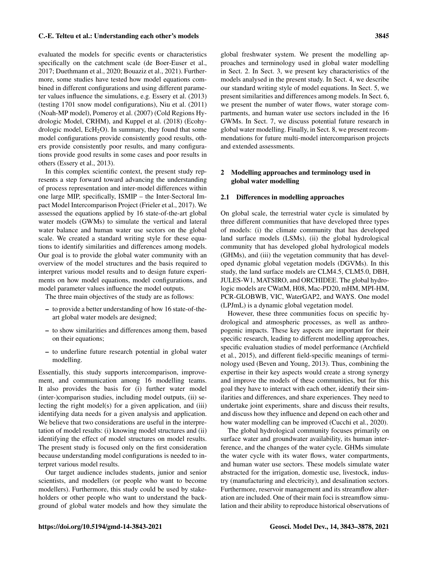evaluated the models for specific events or characteristics specifically on the catchment scale (de Boer-Euser et al., 2017; Duethmann et al., 2020; Bouaziz et al., 2021). Furthermore, some studies have tested how model equations combined in different configurations and using different parameter values influence the simulations, e.g. Essery et al. (2013) (testing 1701 snow model configurations), Niu et al. (2011) (Noah-MP model), Pomeroy et al. (2007) (Cold Regions Hydrologic Model, CRHM), and Kuppel et al. (2018) (Ecohydrologic model,  $EcH_2O$ ). In summary, they found that some model configurations provide consistently good results, others provide consistently poor results, and many configurations provide good results in some cases and poor results in others (Essery et al., 2013).

In this complex scientific context, the present study represents a step forward toward advancing the understanding of process representation and inter-model differences within one large MIP, specifically, ISMIP – the Inter-Sectoral Impact Model Intercomparison Project (Frieler et al., 2017). We assessed the equations applied by 16 state-of-the-art global water models (GWMs) to simulate the vertical and lateral water balance and human water use sectors on the global scale. We created a standard writing style for these equations to identify similarities and differences among models. Our goal is to provide the global water community with an overview of the model structures and the basis required to interpret various model results and to design future experiments on how model equations, model configurations, and model parameter values influence the model outputs.

The three main objectives of the study are as follows:

- to provide a better understanding of how 16 state-of-theart global water models are designed;
- to show similarities and differences among them, based on their equations;
- to underline future research potential in global water modelling.

Essentially, this study supports intercomparison, improvement, and communication among 16 modelling teams. It also provides the basis for (i) further water model (inter-)comparison studies, including model outputs, (ii) selecting the right model(s) for a given application, and (iii) identifying data needs for a given analysis and application. We believe that two considerations are useful in the interpretation of model results: (i) knowing model structures and (ii) identifying the effect of model structures on model results. The present study is focused only on the first consideration because understanding model configurations is needed to interpret various model results.

Our target audience includes students, junior and senior scientists, and modellers (or people who want to become modellers). Furthermore, this study could be used by stakeholders or other people who want to understand the background of global water models and how they simulate the

global freshwater system. We present the modelling approaches and terminology used in global water modelling in Sect. 2. In Sect. 3, we present key characteristics of the models analysed in the present study. In Sect. 4, we describe our standard writing style of model equations. In Sect. 5, we present similarities and differences among models. In Sect. 6, we present the number of water flows, water storage compartments, and human water use sectors included in the 16 GWMs. In Sect. 7, we discuss potential future research in global water modelling. Finally, in Sect. 8, we present recommendations for future multi-model intercomparison projects and extended assessments.

# 2 Modelling approaches and terminology used in global water modelling

#### 2.1 Differences in modelling approaches

On global scale, the terrestrial water cycle is simulated by three different communities that have developed three types of models: (i) the climate community that has developed land surface models (LSMs), (ii) the global hydrological community that has developed global hydrological models (GHMs), and (iii) the vegetation community that has developed dynamic global vegetation models (DGVMs). In this study, the land surface models are CLM4.5, CLM5.0, DBH, JULES-W1, MATSIRO, and ORCHIDEE. The global hydrologic models are CWatM, H08, Mac-PD20, mHM, MPI-HM, PCR-GLOBWB, VIC, WaterGAP2, and WAYS. One model (LPJmL) is a dynamic global vegetation model.

However, these three communities focus on specific hydrological and atmospheric processes, as well as anthropogenic impacts. These key aspects are important for their specific research, leading to different modelling approaches, specific evaluation studies of model performance (Archfield et al., 2015), and different field-specific meanings of terminology used (Beven and Young, 2013). Thus, combining the expertise in their key aspects would create a strong synergy and improve the models of these communities, but for this goal they have to interact with each other, identify their similarities and differences, and share experiences. They need to undertake joint experiments, share and discuss their results, and discuss how they influence and depend on each other and how water modelling can be improved (Cucchi et al., 2020).

The global hydrological community focuses primarily on surface water and groundwater availability, its human interference, and the changes of the water cycle. GHMs simulate the water cycle with its water flows, water compartments, and human water use sectors. These models simulate water abstracted for the irrigation, domestic use, livestock, industry (manufacturing and electricity), and desalination sectors. Furthermore, reservoir management and its streamflow alteration are included. One of their main foci is streamflow simulation and their ability to reproduce historical observations of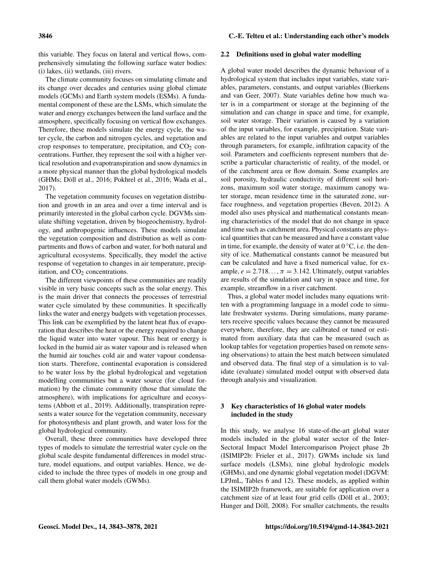this variable. They focus on lateral and vertical flows, comprehensively simulating the following surface water bodies: (i) lakes, (ii) wetlands, (iii) rivers.

The climate community focuses on simulating climate and its change over decades and centuries using global climate models (GCMs) and Earth system models (ESMs). A fundamental component of these are the LSMs, which simulate the water and energy exchanges between the land surface and the atmosphere, specifically focusing on vertical flow exchanges. Therefore, these models simulate the energy cycle, the water cycle, the carbon and nitrogen cycles, and vegetation and crop responses to temperature, precipitation, and  $CO<sub>2</sub>$  concentrations. Further, they represent the soil with a higher vertical resolution and evapotranspiration and snow dynamics in a more physical manner than the global hydrological models (GHMs; Döll et al., 2016; Pokhrel et al., 2016; Wada et al., 2017).

The vegetation community focuses on vegetation distribution and growth in an area and over a time interval and is primarily interested in the global carbon cycle. DGVMs simulate shifting vegetation, driven by biogeochemistry, hydrology, and anthropogenic influences. These models simulate the vegetation composition and distribution as well as compartments and flows of carbon and water, for both natural and agricultural ecosystems. Specifically, they model the active response of vegetation to changes in air temperature, precipitation, and  $CO<sub>2</sub>$  concentrations.

The different viewpoints of these communities are readily visible in very basic concepts such as the solar energy. This is the main driver that connects the processes of terrestrial water cycle simulated by these communities. It specifically links the water and energy budgets with vegetation processes. This link can be exemplified by the latent heat flux of evaporation that describes the heat or the energy required to change the liquid water into water vapour. This heat or energy is locked in the humid air as water vapour and is released when the humid air touches cold air and water vapour condensation starts. Therefore, continental evaporation is considered to be water loss by the global hydrological and vegetation modelling communities but a water source (for cloud formation) by the climate community (those that simulate the atmosphere), with implications for agriculture and ecosystems (Abbott et al., 2019). Additionally, transpiration represents a water source for the vegetation community, necessary for photosynthesis and plant growth, and water loss for the global hydrological community.

Overall, these three communities have developed three types of models to simulate the terrestrial water cycle on the global scale despite fundamental differences in model structure, model equations, and output variables. Hence, we decided to include the three types of models in one group and call them global water models (GWMs).

#### 2.2 Definitions used in global water modelling

A global water model describes the dynamic behaviour of a hydrological system that includes input variables, state variables, parameters, constants, and output variables (Bierkens and van Geer, 2007). State variables define how much water is in a compartment or storage at the beginning of the simulation and can change in space and time, for example, soil water storage. Their variation is caused by a variation of the input variables, for example, precipitation. State variables are related to the input variables and output variables through parameters, for example, infiltration capacity of the soil. Parameters and coefficients represent numbers that describe a particular characteristic of reality, of the model, or of the catchment area or flow domain. Some examples are soil porosity, hydraulic conductivity of different soil horizons, maximum soil water storage, maximum canopy water storage, mean residence time in the saturated zone, surface roughness, and vegetation properties (Beven, 2012). A model also uses physical and mathematical constants meaning characteristics of the model that do not change in space and time such as catchment area. Physical constants are physical quantities that can be measured and have a constant value in time, for example, the density of water at  $0^{\circ}$ C, i.e. the density of ice. Mathematical constants cannot be measured but can be calculated and have a fixed numerical value, for example,  $e = 2.718...$ ,  $\pi = 3.142$ . Ultimately, output variables are results of the simulation and vary in space and time, for example, streamflow in a river catchment.

Thus, a global water model includes many equations written with a programming language in a model code to simulate freshwater systems. During simulations, many parameters receive specific values because they cannot be measured everywhere, therefore, they are calibrated or tuned or estimated from auxiliary data that can be measured (such as lookup tables for vegetation properties based on remote sensing observations) to attain the best match between simulated and observed data. The final step of a simulation is to validate (evaluate) simulated model output with observed data through analysis and visualization.

#### 3 Key characteristics of 16 global water models included in the study

In this study, we analyse 16 state-of-the-art global water models included in the global water sector of the Inter-Sectoral Impact Model Intercomparison Project phase 2b (ISIMIP2b: Frieler et al., 2017). GWMs include six land surface models (LSMs), nine global hydrologic models (GHMs), and one dynamic global vegetation model (DGVM: LPJmL, Tables 6 and 12). These models, as applied within the ISIMIP2b framework, are suitable for application over a catchment size of at least four grid cells (Döll et al., 2003; Hunger and Döll, 2008). For smaller catchments, the results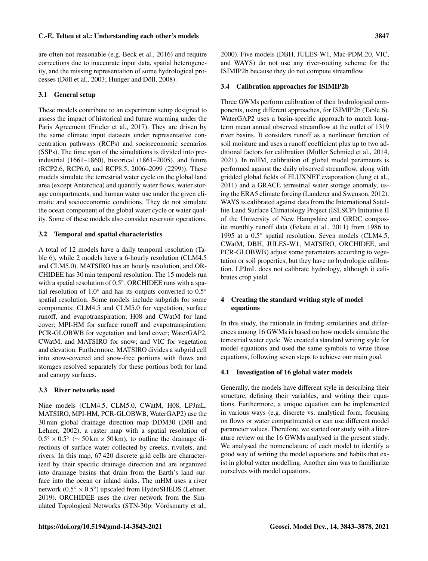are often not reasonable (e.g. Beck et al., 2016) and require corrections due to inaccurate input data, spatial heterogeneity, and the missing representation of some hydrological processes (Döll et al., 2003; Hunger and Döll, 2008).

### 3.1 General setup

These models contribute to an experiment setup designed to assess the impact of historical and future warming under the Paris Agreement (Frieler et al., 2017). They are driven by the same climate input datasets under representative concentration pathways (RCPs) and socioeconomic scenarios (SSPs). The time span of the simulations is divided into preindustrial (1661–1860), historical (1861–2005), and future (RCP2.6, RCP6.0, and RCP8.5, 2006–2099 (2299)). These models simulate the terrestrial water cycle on the global land area (except Antarctica) and quantify water flows, water storage compartments, and human water use under the given climatic and socioeconomic conditions. They do not simulate the ocean component of the global water cycle or water quality. Some of these models also consider reservoir operations.

#### 3.2 Temporal and spatial characteristics

A total of 12 models have a daily temporal resolution (Table 6), while 2 models have a 6-hourly resolution (CLM4.5 and CLM5.0). MATSIRO has an hourly resolution, and OR-CHIDEE has 30 min temporal resolution. The 15 models run with a spatial resolution of 0.5◦ . ORCHIDEE runs with a spatial resolution of 1.0 $\degree$  and has its outputs converted to 0.5 $\degree$ spatial resolution. Some models include subgrids for some components: CLM4.5 and CLM5.0 for vegetation, surface runoff, and evapotranspiration; H08 and CWatM for land cover; MPI-HM for surface runoff and evapotranspiration; PCR-GLOBWB for vegetation and land cover; WaterGAP2, CWatM, and MATSIRO for snow; and VIC for vegetation and elevation. Furthermore, MATSIRO divides a subgrid cell into snow-covered and snow-free portions with flows and storages resolved separately for these portions both for land and canopy surfaces.

#### 3.3 River networks used

Nine models (CLM4.5, CLM5.0, CWatM, H08, LPJmL, MATSIRO, MPI-HM, PCR-GLOBWB, WaterGAP2) use the 30 min global drainage direction map DDM30 (Döll and Lehner, 2002), a raster map with a spatial resolution of  $0.5^\circ \times 0.5^\circ$  (~ 50 km × 50 km), to outline the drainage directions of surface water collected by creeks, rivulets, and rivers. In this map, 67 420 discrete grid cells are characterized by their specific drainage direction and are organized into drainage basins that drain from the Earth's land surface into the ocean or inland sinks. The mHM uses a river network  $(0.5° \times 0.5°)$  upscaled from HydroSHEDS (Lehner, 2019). ORCHIDEE uses the river network from the Simulated Topological Networks (STN-30p: Vörösmarty et al., 2000). Five models (DBH, JULES-W1, Mac-PDM.20, VIC, and WAYS) do not use any river-routing scheme for the ISIMIP2b because they do not compute streamflow.

### 3.4 Calibration approaches for ISIMIP2b

Three GWMs perform calibration of their hydrological components, using different approaches, for ISIMIP2b (Table 6). WaterGAP2 uses a basin-specific approach to match longterm mean annual observed streamflow at the outlet of 1319 river basins. It considers runoff as a nonlinear function of soil moisture and uses a runoff coefficient plus up to two additional factors for calibration (Müller Schmied et al., 2014, 2021). In mHM, calibration of global model parameters is performed against the daily observed streamflow, along with gridded global fields of FLUXNET evaporation (Jung et al., 2011) and a GRACE terrestrial water storage anomaly, using the ERA5 climate forcing (Landerer and Swenson, 2012). WAYS is calibrated against data from the International Satellite Land Surface Climatology Project (ISLSCP) Initiative II of the University of New Hampshire and GRDC composite monthly runoff data (Fekete et al., 2011) from 1986 to 1995 at a 0.5◦ spatial resolution. Seven models (CLM4.5, CWatM, DBH, JULES-W1, MATSIRO, ORCHIDEE, and PCR-GLOBWB) adjust some parameters according to vegetation or soil properties, but they have no hydrologic calibration. LPJmL does not calibrate hydrology, although it calibrates crop yield.

# 4 Creating the standard writing style of model equations

In this study, the rationale in finding similarities and differences among 16 GWMs is based on how models simulate the terrestrial water cycle. We created a standard writing style for model equations and used the same symbols to write those equations, following seven steps to achieve our main goal.

#### 4.1 Investigation of 16 global water models

Generally, the models have different style in describing their structure, defining their variables, and writing their equations. Furthermore, a unique equation can be implemented in various ways (e.g. discrete vs. analytical form, focusing on flows or water compartments) or can use different model parameter values. Therefore, we started our study with a literature review on the 16 GWMs analysed in the present study. We analysed the nomenclature of each model to identify a good way of writing the model equations and habits that exist in global water modelling. Another aim was to familiarize ourselves with model equations.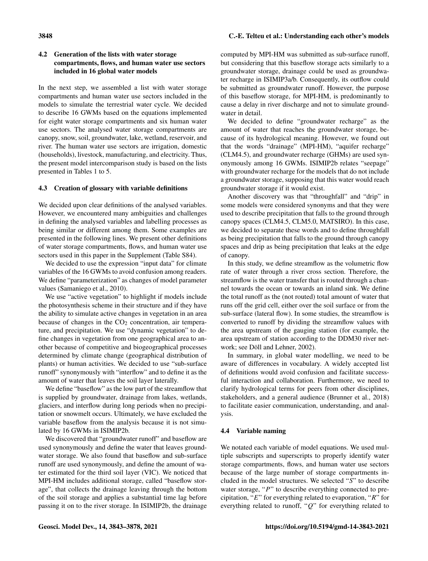# 4.2 Generation of the lists with water storage compartments, flows, and human water use sectors included in 16 global water models

In the next step, we assembled a list with water storage compartments and human water use sectors included in the models to simulate the terrestrial water cycle. We decided to describe 16 GWMs based on the equations implemented for eight water storage compartments and six human water use sectors. The analysed water storage compartments are canopy, snow, soil, groundwater, lake, wetland, reservoir, and river. The human water use sectors are irrigation, domestic (households), livestock, manufacturing, and electricity. Thus, the present model intercomparison study is based on the lists presented in Tables 1 to 5.

# 4.3 Creation of glossary with variable definitions

We decided upon clear definitions of the analysed variables. However, we encountered many ambiguities and challenges in defining the analysed variables and labelling processes as being similar or different among them. Some examples are presented in the following lines. We present other definitions of water storage compartments, flows, and human water use sectors used in this paper in the Supplement (Table S84).

We decided to use the expression "input data" for climate variables of the 16 GWMs to avoid confusion among readers. We define "parameterization" as changes of model parameter values (Samaniego et al., 2010).

We use "active vegetation" to highlight if models include the photosynthesis scheme in their structure and if they have the ability to simulate active changes in vegetation in an area because of changes in the  $CO<sub>2</sub>$  concentration, air temperature, and precipitation. We use "dynamic vegetation" to define changes in vegetation from one geographical area to another because of competitive and biogeographical processes determined by climate change (geographical distribution of plants) or human activities. We decided to use "sub-surface runoff" synonymously with "interflow" and to define it as the amount of water that leaves the soil layer laterally.

We define "baseflow" as the low part of the streamflow that is supplied by groundwater, drainage from lakes, wetlands, glaciers, and interflow during long periods when no precipitation or snowmelt occurs. Ultimately, we have excluded the variable baseflow from the analysis because it is not simulated by 16 GWMs in ISIMIP2b.

We discovered that "groundwater runoff" and baseflow are used synonymously and define the water that leaves groundwater storage. We also found that baseflow and sub-surface runoff are used synonymously, and define the amount of water estimated for the third soil layer (VIC). We noticed that MPI-HM includes additional storage, called "baseflow storage", that collects the drainage leaving through the bottom of the soil storage and applies a substantial time lag before passing it on to the river storage. In ISIMIP2b, the drainage computed by MPI-HM was submitted as sub-surface runoff, but considering that this baseflow storage acts similarly to a groundwater storage, drainage could be used as groundwater recharge in ISIMIP3a/b. Consequently, its outflow could be submitted as groundwater runoff. However, the purpose of this baseflow storage, for MPI-HM, is predominantly to cause a delay in river discharge and not to simulate groundwater in detail.

We decided to define "groundwater recharge" as the amount of water that reaches the groundwater storage, because of its hydrological meaning. However, we found out that the words "drainage" (MPI-HM), "aquifer recharge" (CLM4.5), and groundwater recharge (GHMs) are used synonymously among 16 GWMs. ISIMIP2b relates "seepage" with groundwater recharge for the models that do not include a groundwater storage, supposing that this water would reach groundwater storage if it would exist.

Another discovery was that "throughfall" and "drip" in some models were considered synonyms and that they were used to describe precipitation that falls to the ground through canopy spaces (CLM4.5, CLM5.0, MATSIRO). In this case, we decided to separate these words and to define throughfall as being precipitation that falls to the ground through canopy spaces and drip as being precipitation that leaks at the edge of canopy.

In this study, we define streamflow as the volumetric flow rate of water through a river cross section. Therefore, the streamflow is the water transfer that is routed through a channel towards the ocean or towards an inland sink. We define the total runoff as the (not routed) total amount of water that runs off the grid cell, either over the soil surface or from the sub-surface (lateral flow). In some studies, the streamflow is converted to runoff by dividing the streamflow values with the area upstream of the gauging station (for example, the area upstream of station according to the DDM30 river network; see Döll and Lehner, 2002).

In summary, in global water modelling, we need to be aware of differences in vocabulary. A widely accepted list of definitions would avoid confusion and facilitate successful interaction and collaboration. Furthermore, we need to clarify hydrological terms for peers from other disciplines, stakeholders, and a general audience (Brunner et al., 2018) to facilitate easier communication, understanding, and analysis.

# 4.4 Variable naming

We notated each variable of model equations. We used multiple subscripts and superscripts to properly identify water storage compartments, flows, and human water use sectors because of the large number of storage compartments included in the model structures. We selected "S" to describe water storage, "P" to describe everything connected to precipitation, " $E$ " for everything related to evaporation, " $R$ " for everything related to runoff, "Q" for everything related to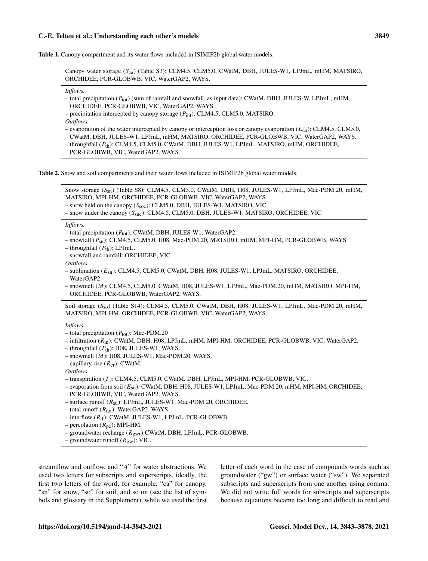Table 1. Canopy compartment and its water flows included in ISIMIP2b global water models.

Canopy water storage (Sca) (Table S3): CLM4.5, CLM5.0, CWatM, DBH, JULES-W1, LPJmL, mHM, MATSIRO, ORCHIDEE, PCR-GLOBWB, VIC, WaterGAP2, WAYS.

*Inflows.*

- total precipitation  $(P_{tot})$  (sum of rainfall and snowfall, as input data): CWatM, DBH, JULES-W, LPJmL, mHM, ORCHIDEE, PCR-GLOBWB, VIC, WaterGAP2, WAYS.
- precipitation intercepted by canopy storage  $(P_{int})$ : CLM4.5, CLM5.0, MATSIRO.
- *Outflows.*
- evaporation of the water intercepted by canopy or interception loss or canopy evaporation ( $E_{ca}$ ): CLM4.5, CLM5.0, CWatM, DBH, JULES-W1, LPJmL, mHM, MATSIRO, ORCHIDEE, PCR-GLOBWB, VIC, WaterGAP2, WAYS.
- throughfall (P<sub>th</sub>): CLM4.5, CLM5.0, CWatM, DBH, JULES-W1, LPJmL, MATSIRO, mHM, ORCHIDEE,
- PCR-GLOBWB, VIC, WaterGAP2, WAYS.

Table 2. Snow and soil compartments and their water flows included in ISIMIP2b global water models.

Snow storage (S<sub>sn</sub>) (Table S8): CLM4.5, CLM5.0, CWatM, DBH, H08, JULES-W1, LPJmL, Mac-PDM.20, mHM, MATSIRO, MPI-HM, ORCHIDEE, PCR-GLOBWB, VIC, WaterGAP2, WAYS.

– snow held on the canopy  $(S_{\text{soc}})$ : CLM5.0, DBH, JULES-W1, MATSIRO, VIC.

– snow under the canopy  $(S_{\text{Suc}})$ : CLM4.5, CLM5.0, DBH, JULES-W1, MATSIRO, ORCHIDEE, VIC.

*Inflows.*

- total precipitation  $(P_{\text{tot}})$ : CWatM, DBH, JULES-W1, WaterGAP2.
- snowfall (Psn): CLM4.5, CLM5.0, H08, Mac-PDM.20, MATSIRO, mHM, MPI-HM, PCR-GLOBWB, WAYS.
- throughfall  $(P_{th})$ : LPJmL.
- snowfall and rainfall: ORCHIDEE, VIC.

*Outflows.*

– sublimation (Esn): CLM4.5, CLM5.0, CWatM, DBH, H08, JULES-W1, LPJmL, MATSIRO, ORCHIDEE, WaterGAP2.

– snowmelt (M): CLM4.5, CLM5.0, CWatM, H08, JULES-W1, LPJmL, Mac-PDM.20, mHM, MATSIRO, MPI-HM, ORCHIDEE, PCR-GLOBWB, WaterGAP2, WAYS.

Soil storage  $(S_{\rm SO})$  (Table S14): CLM4.5, CLM5.0, CWatM, DBH, H08, JULES-W1, LPJmL, Mac-PDM.20, mHM, MATSIRO, MPI-HM, ORCHIDEE, PCR-GLOBWB, VIC, WaterGAP2, WAYS.

*Inflows.*

- total precipitation  $(P_{\text{tot}})$ : Mac-PDM.20
- infiltration (Rin): CWatM, DBH, H08, LPJmL, mHM, MPI-HM, ORCHIDEE, PCR-GLOBWB, VIC, WaterGAP2.
- throughfall  $(P_{th})$ : H08, JULES-W1, WAYS.
- $-$  snowmelt (*M*): H08, JULES-W1, Mac-PDM.20, WAYS.
- capillary rise  $(R_{cr})$ : CWatM.

*Outflows.*

– transpiration (T ): CLM4.5, CLM5.0, CWatM, DBH, LPJmL, MPI-HM, PCR-GLOBWB, VIC.

– evaporation from soil (Eso): CWatM, DBH, H08, JULES-W1, LPJmL, Mac-PDM.20, mHM, MPI-HM, ORCHIDEE, PCR-GLOBWB, VIC, WaterGAP2, WAYS.

– surface runoff  $(R_{su})$ : LPJmL, JULES-W1, Mac-PDM.20, ORCHIDEE.

– total runoff  $(R_{tot})$ : WaterGAP2, WAYS.

 $-$  interflow  $(R_{if})$ : CWatM, JULES-W1, LPJmL, PCR-GLOBWB.

– percolation  $(R_{pe})$ : MPI-HM.

- groundwater recharge  $(R_{\text{gwr}})$ :CWatM, DBH, LPJmL, PCR-GLOBWB.
- groundwater runoff  $(R_{gw})$ : VIC.

streamflow and outflow, and "A" for water abstractions. We used two letters for subscripts and superscripts, ideally, the first two letters of the word, for example, "ca" for canopy, "sn" for snow, "so" for soil, and so on (see the list of symbols and glossary in the Supplement), while we used the first

letter of each word in the case of compounds words such as groundwater ("gw") or surface water ("sw"). We separated subscripts and superscripts from one another using comma. We did not write full words for subscripts and superscripts because equations became too long and difficult to read and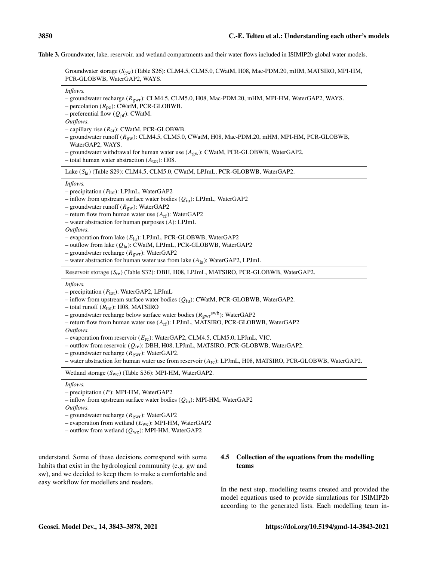Table 3. Groundwater, lake, reservoir, and wetland compartments and their water flows included in ISIMIP2b global water models.

Groundwater storage  $(S_{\text{gw}})$  (Table S26): CLM4.5, CLM5.0, CWatM, H08, Mac-PDM.20, mHM, MATSIRO, MPI-HM, PCR-GLOBWB, WaterGAP2, WAYS.

*Inflows.*

- groundwater recharge (Rgwr): CLM4.5, CLM5.0, H08, Mac-PDM.20, mHM, MPI-HM, WaterGAP2, WAYS.
- percolation  $(R_{pe})$ : CWatM, PCR-GLOBWB.
- preferential flow  $(Q_{pf})$ : CWatM.

*Outflows.*

- capillary rise  $(R_{cr})$ : CWatM, PCR-GLOBWB.
- groundwater runoff  $(R_{\rm gw})$ : CLM4.5, CLM5.0, CWatM, H08, Mac-PDM.20, mHM, MPI-HM, PCR-GLOBWB, WaterGAP2, WAYS.
- groundwater withdrawal for human water use  $(A_{gw})$ : CWatM, PCR-GLOBWB, WaterGAP2.
- total human water abstraction  $(A_{tot})$ : H08.

Lake (S<sub>la</sub>) (Table S29): CLM4.5, CLM5.0, CWatM, LPJmL, PCR-GLOBWB, WaterGAP2.

*Inflows.*

- precipitation  $(P_{tot})$ : LPJmL, WaterGAP2
- inflow from upstream surface water bodies  $(Q_{\text{iu}})$ : LPJmL, WaterGAP2
- groundwater runoff  $(R_{gw})$ : WaterGAP2
- return flow from human water use  $(A_{rf})$ : WaterGAP2
- water abstraction for human purposes (A): LPJmL

*Outflows.*

- evaporation from lake  $(E_{1a})$ : LPJmL, PCR-GLOBWB, WaterGAP2
- outflow from lake  $(Q_{1a})$ : CWatM, LPJmL, PCR-GLOBWB, WaterGAP2
- groundwater recharge  $(R_{\text{gwr}})$ : WaterGAP2
- water abstraction for human water use from lake  $(A_{1a})$ : WaterGAP2, LPJmL

Reservoir storage (Sre) (Table S32): DBH, H08, LPJmL, MATSIRO, PCR-GLOBWB, WaterGAP2.

*Inflows.*

– precipitation  $(P_{\text{tot}})$ : WaterGAP2, LPJmL

– inflow from upstream surface water bodies  $(Q_{iu})$ : CWatM, PCR-GLOBWB, WaterGAP2.

– total runoff  $(R_{tot})$ : H08, MATSIRO

- groundwater recharge below surface water bodies  $(R_{\text{gwr}}^{\text{swb}})$ : WaterGAP2
- return flow from human water use  $(A_{rf})$ : LPJmL, MATSIRO, PCR-GLOBWB, WaterGAP2

*Outflows.*

- evaporation from reservoir  $(E_{\text{re}})$ : WaterGAP2, CLM4.5, CLM5.0, LPJmL, VIC.
- outflow from reservoir  $(Q_{\text{re}})$ : DBH, H08, LPJmL, MATSIRO, PCR-GLOBWB, WaterGAP2.
- groundwater recharge  $(R_{\text{gwr}})$ : WaterGAP2.
- water abstraction for human water use from reservoir (Are): LPJmL, H08, MATSIRO, PCR-GLOBWB, WaterGAP2.

Wetland storage (Swe) (Table S36): MPI-HM, WaterGAP2.

*Inflows.*

- precipitation (P): MPI-HM, WaterGAP2
- inflow from upstream surface water bodies  $(Q_{\text{iu}})$ : MPI-HM, WaterGAP2

*Outflows.*

- evaporation from wetland  $(E<sub>we</sub>)$ : MPI-HM, WaterGAP2
- outflow from wetland  $(Q_{we})$ : MPI-HM, WaterGAP2

understand. Some of these decisions correspond with some habits that exist in the hydrological community (e.g. gw and sw), and we decided to keep them to make a comfortable and easy workflow for modellers and readers.

# 4.5 Collection of the equations from the modelling teams

In the next step, modelling teams created and provided the model equations used to provide simulations for ISIMIP2b according to the generated lists. Each modelling team in-

<sup>–</sup> groundwater recharge ( $R_{\text{gwr}}$ ): WaterGAP2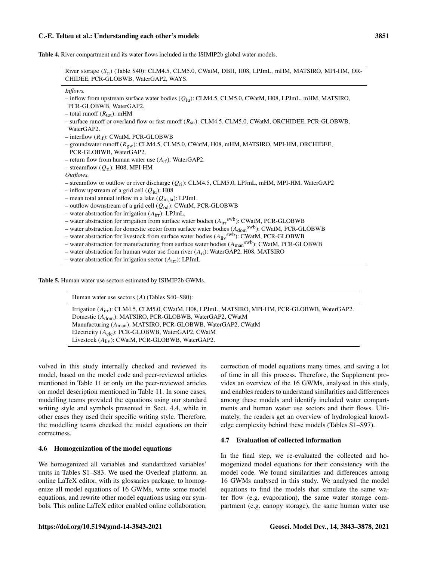| River storage (S <sub>ri</sub> ) (Table S40): CLM4.5, CLM5.0, CWatM, DBH, H08, LPJmL, mHM, MATSIRO, MPI-HM, OR-<br>CHIDEE, PCR-GLOBWB, WaterGAP2, WAYS.                                                                                                                                                                                                                                                                                                                                                                                                                                                                                                                                                                                                                                                                                                                                                                                                                                        |
|------------------------------------------------------------------------------------------------------------------------------------------------------------------------------------------------------------------------------------------------------------------------------------------------------------------------------------------------------------------------------------------------------------------------------------------------------------------------------------------------------------------------------------------------------------------------------------------------------------------------------------------------------------------------------------------------------------------------------------------------------------------------------------------------------------------------------------------------------------------------------------------------------------------------------------------------------------------------------------------------|
| Inflows.<br>- inflow from upstream surface water bodies $(Q_{\text{in}})$ : CLM4.5, CLM5.0, CWatM, H08, LPJmL, mHM, MATSIRO,<br>PCR-GLOBWB, WaterGAP2.<br>- total runoff $(R_{\text{tot}})$ : mHM<br>- surface runoff or overland flow or fast runoff $(R_{su})$ : CLM4.5, CLM5.0, CWatM, ORCHIDEE, PCR-GLOBWB,<br>WaterGAP2.<br>$-$ interflow $(R_{if})$ : CWatM, PCR-GLOBWB<br>- groundwater runoff $(R_{\rm gw})$ : CLM4.5, CLM5.0, CWatM, H08, mHM, MATSIRO, MPI-HM, ORCHIDEE,<br>PCR-GLOBWB, WaterGAP2.<br>- return flow from human water use $(A_{rf})$ : WaterGAP2.<br>- streamflow $(Q_{ri})$ : H08, MPI-HM                                                                                                                                                                                                                                                                                                                                                                            |
| Outflows.<br>- streamflow or outflow or river discharge $(Q_{ri})$ : CLM4.5, CLM5.0, LPJmL, mHM, MPI-HM, WaterGAP2<br>- inflow upstream of a grid cell $(Q_{\text{iu}})$ : H08<br>- mean total annual inflow in a lake $(Q_{\text{iu,la}})$ : LPJmL<br>- outflow downstream of a grid cell $(Q_{od})$ : CWatM, PCR-GLOBWB<br>- water abstraction for irrigation $(Airr)$ : LPJmL,<br>- water abstraction for irrigation from surface water bodies $(A_{irr}^{swb})$ : CWatM, PCR-GLOBWB<br>- water abstraction for domestic sector from surface water bodies $(A_{\text{dom}}^{swb})$ : CWatM, PCR-GLOBWB<br>- water abstraction for livestock from surface water bodies $(A_{\text{liv}}^{\text{swb}})$ : CWatM, PCR-GLOBWB<br>- water abstraction for manufacturing from surface water bodies $(A_{man}^{sub})$ : CWatM, PCR-GLOBWB<br>- water abstraction for human water use from river $(A_{ri})$ : WaterGAP2, H08, MATSIRO<br>- water abstraction for irrigation sector $(Airr)$ : LPJmL |

Table 5. Human water use sectors estimated by ISIMIP2b GWMs.

| Human water use sectors $(A)$ (Tables S40–S80):                                                     |
|-----------------------------------------------------------------------------------------------------|
| Irrigation $(A_{irr})$ : CLM4.5, CLM5.0, CWatM, H08, LPJmL, MATSIRO, MPI-HM, PCR-GLOBWB, WaterGAP2. |
| Domestic $(A_{\text{dom}})$ : MATSIRO, PCR-GLOBWB, WaterGAP2, CWatM                                 |
| Manufacturing $(A_{\text{man}})$ : MATSIRO, PCR-GLOBWB, WaterGAP2, CWatM                            |
| Electricity $(A_{e1e})$ : PCR-GLOBWB, WaterGAP2, CWatM                                              |
| Livestock $(A_{\text{liv}})$ : CWatM, PCR-GLOBWB, WaterGAP2.                                        |
|                                                                                                     |

volved in this study internally checked and reviewed its model, based on the model code and peer-reviewed articles mentioned in Table 11 or only on the peer-reviewed articles on model description mentioned in Table 11. In some cases, modelling teams provided the equations using our standard writing style and symbols presented in Sect. 4.4, while in other cases they used their specific writing style. Therefore, the modelling teams checked the model equations on their correctness.

# 4.6 Homogenization of the model equations

We homogenized all variables and standardized variables' units in Tables S1–S83. We used the Overleaf platform, an online LaTeX editor, with its glossaries package, to homogenize all model equations of 16 GWMs, write some model equations, and rewrite other model equations using our symbols. This online LaTeX editor enabled online collaboration, correction of model equations many times, and saving a lot of time in all this process. Therefore, the Supplement provides an overview of the 16 GWMs, analysed in this study, and enables readers to understand similarities and differences among these models and identify included water compartments and human water use sectors and their flows. Ultimately, the readers get an overview of hydrological knowledge complexity behind these models (Tables S1–S97).

# 4.7 Evaluation of collected information

In the final step, we re-evaluated the collected and homogenized model equations for their consistency with the model code. We found similarities and differences among 16 GWMs analysed in this study. We analysed the model equations to find the models that simulate the same water flow (e.g. evaporation), the same water storage compartment (e.g. canopy storage), the same human water use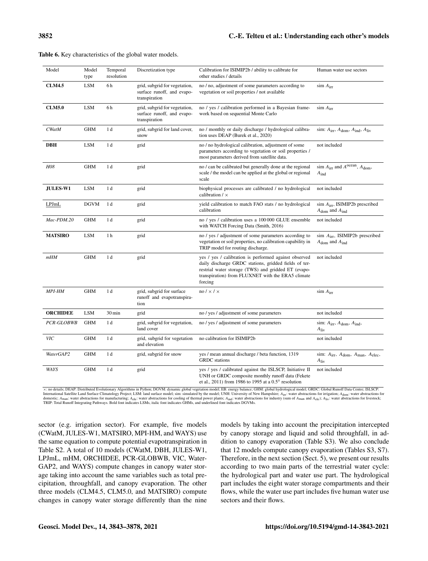| Model           | Model<br>type | Temporal<br>resolution | Discretization type                                                          | Calibration for ISIMIP2b / ability to calibrate for<br>other studies / details                                                                                                                                                        | Human water use sectors                                                       |
|-----------------|---------------|------------------------|------------------------------------------------------------------------------|---------------------------------------------------------------------------------------------------------------------------------------------------------------------------------------------------------------------------------------|-------------------------------------------------------------------------------|
| <b>CLM4.5</b>   | <b>LSM</b>    | 6h                     | grid, subgrid for vegetation,<br>surface runoff, and evapo-<br>transpiration | no / no, adjustment of some parameters according to<br>vegetation or soil properties / not available                                                                                                                                  | $\sin A_{irr}$                                                                |
| <b>CLM5.0</b>   | <b>LSM</b>    | 6h                     | grid, subgrid for vegetation,<br>surface runoff, and evapo-<br>transpiration | no / yes / calibration performed in a Bayesian frame-<br>work based on sequential Monte Carlo                                                                                                                                         | $\sin A_{irr}$                                                                |
| <b>CWatM</b>    | <b>GHM</b>    | 1 d                    | grid, subgrid for land cover,<br>snow                                        | no / monthly or daily discharge / hydrological calibra-<br>tion uses DEAP (Burek et al., 2020)                                                                                                                                        | sim: $A_{\text{irr}}, A_{\text{dom}}, A_{\text{ind}}, A_{\text{liv}}$         |
| DBH             | <b>LSM</b>    | 1 <sub>d</sub>         | grid                                                                         | no / no hydrological calibration, adjustment of some<br>parameters according to vegetation or soil properties /<br>most parameters derived from satellite data.                                                                       | not included                                                                  |
| <b>H08</b>      | <b>GHM</b>    | 1 <sub>d</sub>         | grid                                                                         | no / can be calibrated but generally done at the regional<br>scale / the model can be applied at the global or regional<br>scale                                                                                                      | sim $A_{irr}$ and $A^{ocean}$ , $A_{dom}$ ,<br>$A_{ind}$                      |
| <b>JULES-W1</b> | <b>LSM</b>    | 1 d                    | grid                                                                         | biophysical processes are calibrated / no hydrological<br>calibration $/ x$                                                                                                                                                           | not included                                                                  |
| LPJmL           | <b>DGVM</b>   | 1 d                    | grid                                                                         | yield calibration to match FAO stats / no hydrological<br>calibration                                                                                                                                                                 | $\sin A_{irr}$ , ISIMIP2b prescribed<br>$A_{\text{dom}}$ and $A_{\text{ind}}$ |
| Mac-PDM.20      | <b>GHM</b>    | 1 d                    | grid                                                                         | no / yes / calibration uses a 100 000 GLUE ensemble<br>with WATCH Forcing Data (Smith, 2016)                                                                                                                                          | not included                                                                  |
| <b>MATSIRO</b>  | <b>LSM</b>    | 1 <sub>h</sub>         | grid                                                                         | no / yes / adjustment of some parameters according to<br>vegetation or soil properties, no calibration capability in<br>TRIP model for routing discharge.                                                                             | sim $A_{irr}$ , ISIMIP2b prescribed<br>$A_{\text{dom}}$ and $A_{\text{ind}}$  |
| mHM             | <b>GHM</b>    | 1 <sub>d</sub>         | grid                                                                         | yes / yes / calibration is performed against observed<br>daily discharge GRDC stations, gridded fields of ter-<br>restrial water storage (TWS) and gridded ET (evapo-<br>transpiration) from FLUXNET with the ERA5 climate<br>forcing | not included                                                                  |
| <b>MPI-HM</b>   | <b>GHM</b>    | 1 <sub>d</sub>         | grid, subgrid for surface<br>runoff and evapotranspira-<br>tion              | $no / \times / \times$                                                                                                                                                                                                                | $\sin A_{irr}$                                                                |
| <b>ORCHIDEE</b> | <b>LSM</b>    | 30 min                 | grid                                                                         | no / yes / adjustment of some parameters                                                                                                                                                                                              | not included                                                                  |
| PCR-GLOBWB      | <b>GHM</b>    | 1 <sub>d</sub>         | grid, subgrid for vegetation,<br>land cover                                  | no / yes / adjustment of some parameters                                                                                                                                                                                              | sim: $A_{irr}$ , $A_{dom}$ , $A_{ind}$ ,<br>$A_{\rm{liv}}$                    |
| VIС             | <b>GHM</b>    | 1 <sub>d</sub>         | grid, subgrid for vegetation<br>and elevation                                | no calibration for ISIMIP2b                                                                                                                                                                                                           | not included                                                                  |
| WaterGAP2       | <b>GHM</b>    | 1 d                    | grid, subgrid for snow                                                       | yes / mean annual discharge / beta function, 1319<br><b>GRDC</b> stations                                                                                                                                                             | sim: $A_{irr}$ , $A_{dom}$ , $A_{man}$ , $A_{elec}$ ,<br>$A_{\rm liv}$        |
| WAYS            | <b>GHM</b>    | 1 <sub>d</sub>         | grid                                                                         | yes / yes / calibrated against the ISLSCP, Initiative II<br>UNH or GRDC composite monthly runoff data (Fekete<br>et al., 2011) from 1986 to 1995 at a $0.5^{\circ}$ resolution                                                        | not included                                                                  |

|  | Table 6. Key characteristics of the global water models. |  |  |
|--|----------------------------------------------------------|--|--|
|--|----------------------------------------------------------|--|--|

×: no details; DEAP: Distributed Evolutionary Algorithms in Python; DGVM: dynamic global vegetation model; EB: energy balance; GHM: global hydrological model; GRDC: Global Runoff Data Centre; ISLSCP: International Satellite Land Surface Climatology Project; LSM: land surface model; sim: simulated by the model; UNH: University of New Hampshire; A<sub>irt</sub>: water abstractions for irrigation; A<sub>dom</sub>: water abstractions for in TRIP: Total Runoff Integrating Pathways. Bold font indicates LSMs, italic font indicates GHMs, and underlined font indicates DGVMs.

sector (e.g. irrigation sector). For example, five models (CWatM, JULES-W1, MATSIRO, MPI-HM, and WAYS) use the same equation to compute potential evapotranspiration in Table S2. A total of 10 models (CWatM, DBH, JULES-W1, LPJmL, mHM, ORCHIDEE, PCR-GLOBWB, VIC, Water-GAP2, and WAYS) compute changes in canopy water storage taking into account the same variables such as total precipitation, throughfall, and canopy evaporation. The other three models (CLM4.5, CLM5.0, and MATSIRO) compute changes in canopy water storage differently than the nine models by taking into account the precipitation intercepted by canopy storage and liquid and solid throughfall, in addition to canopy evaporation (Table S3). We also conclude that 12 models compute canopy evaporation (Tables S3, S7). Therefore, in the next section (Sect. 5), we present our results according to two main parts of the terrestrial water cycle: the hydrological part and water use part. The hydrological part includes the eight water storage compartments and their flows, while the water use part includes five human water use sectors and their flows.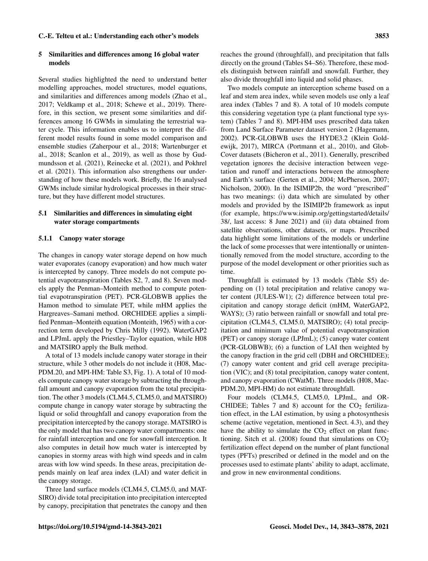### 5 Similarities and differences among 16 global water models

Several studies highlighted the need to understand better modelling approaches, model structures, model equations, and similarities and differences among models (Zhao et al., 2017; Veldkamp et al., 2018; Schewe et al., 2019). Therefore, in this section, we present some similarities and differences among 16 GWMs in simulating the terrestrial water cycle. This information enables us to interpret the different model results found in some model comparison and ensemble studies (Zaherpour et al., 2018; Wartenburger et al., 2018; Scanlon et al., 2019), as well as those by Gudmundsson et al. (2021), Reinecke et al. (2021), and Pokhrel et al. (2021). This information also strengthens our understanding of how these models work. Briefly, the 16 analysed GWMs include similar hydrological processes in their structure, but they have different model structures.

# 5.1 Similarities and differences in simulating eight water storage compartments

# 5.1.1 Canopy water storage

The changes in canopy water storage depend on how much water evaporates (canopy evaporation) and how much water is intercepted by canopy. Three models do not compute potential evapotranspiration (Tables S2, 7, and 8). Seven models apply the Penman–Monteith method to compute potential evapotranspiration (PET). PCR-GLOBWB applies the Hamon method to simulate PET, while mHM applies the Hargreaves–Samani method. ORCHIDEE applies a simplified Penman–Monteith equation (Monteith, 1965) with a correction term developed by Chris Milly (1992). WaterGAP2 and LPJmL apply the Priestley–Taylor equation, while H08 and MATSIRO apply the Bulk method.

A total of 13 models include canopy water storage in their structure, while 3 other models do not include it (H08, Mac-PDM.20, and MPI-HM: Table S3, Fig. 1). A total of 10 models compute canopy water storage by subtracting the throughfall amount and canopy evaporation from the total precipitation. The other 3 models (CLM4.5, CLM5.0, and MATSIRO) compute change in canopy water storage by subtracting the liquid or solid throughfall and canopy evaporation from the precipitation intercepted by the canopy storage. MATSIRO is the only model that has two canopy water compartments: one for rainfall interception and one for snowfall interception. It also computes in detail how much water is intercepted by canopies in stormy areas with high wind speeds and in calm areas with low wind speeds. In these areas, precipitation depends mainly on leaf area index (LAI) and water deficit in the canopy storage.

Three land surface models (CLM4.5, CLM5.0, and MAT-SIRO) divide total precipitation into precipitation intercepted by canopy, precipitation that penetrates the canopy and then reaches the ground (throughfall), and precipitation that falls directly on the ground (Tables S4–S6). Therefore, these models distinguish between rainfall and snowfall. Further, they also divide throughfall into liquid and solid phases.

Two models compute an interception scheme based on a leaf and stem area index, while seven models use only a leaf area index (Tables 7 and 8). A total of 10 models compute this considering vegetation type (a plant functional type system) (Tables 7 and 8). MPI-HM uses prescribed data taken from Land Surface Parameter dataset version 2 (Hagemann, 2002). PCR-GLOBWB uses the HYDE3.2 (Klein Goldewijk, 2017), MIRCA (Portmann et al., 2010), and Glob-Cover datasets (Bicheron et al., 2011). Generally, prescribed vegetation ignores the decisive interaction between vegetation and runoff and interactions between the atmosphere and Earth's surface (Gerten et al., 2004; McPherson, 2007; Nicholson, 2000). In the ISIMIP2b, the word "prescribed" has two meanings: (i) data which are simulated by other models and provided by the ISIMIP2b framework as input (for example, [https://www.isimip.org/gettingstarted/details/](https://www.isimip.org/gettingstarted/details/38/) [38/,](https://www.isimip.org/gettingstarted/details/38/) last access: 8 June 2021) and (ii) data obtained from satellite observations, other datasets, or maps. Prescribed data highlight some limitations of the models or underline the lack of some processes that were intentionally or unintentionally removed from the model structure, according to the purpose of the model development or other priorities such as time.

Throughfall is estimated by 13 models (Table S5) depending on (1) total precipitation and relative canopy water content (JULES-W1); (2) difference between total precipitation and canopy storage deficit (mHM, WaterGAP2, WAYS); (3) ratio between rainfall or snowfall and total precipitation (CLM4.5, CLM5.0, MATSIRO); (4) total precipitation and minimum value of potential evapotranspiration (PET) or canopy storage (LPJmL); (5) canopy water content (PCR-GLOBWB); (6) a function of LAI then weighted by the canopy fraction in the grid cell (DBH and ORCHIDEE); (7) canopy water content and grid cell average precipitation (VIC); and (8) total precipitation, canopy water content, and canopy evaporation (CWatM). Three models (H08, Mac-PDM.20, MPI-HM) do not estimate throughfall.

Four models (CLM4.5, CLM5.0, LPJmL, and OR-CHIDEE; Tables 7 and 8) account for the  $CO<sub>2</sub>$  fertilization effect, in the LAI estimation, by using a photosynthesis scheme (active vegetation, mentioned in Sect. 4.3), and they have the ability to simulate the  $CO<sub>2</sub>$  effect on plant functioning. Sitch et al. (2008) found that simulations on  $CO<sub>2</sub>$ fertilization effect depend on the number of plant functional types (PFTs) prescribed or defined in the model and on the processes used to estimate plants' ability to adapt, acclimate, and grow in new environmental conditions.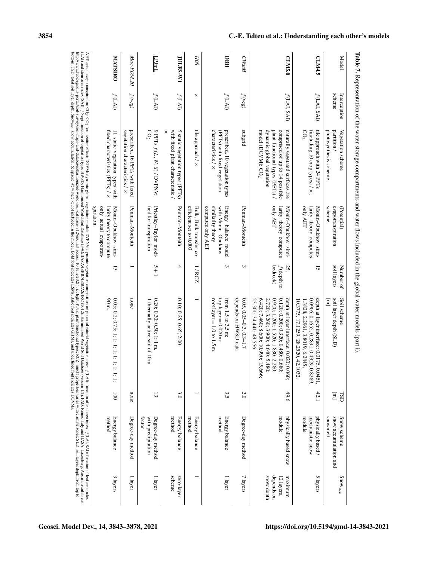| Model           | scheme<br>Interception | partition<br>Vegetation scheme                                                                                                                                      | evapotranspiration<br>(Potential)                                                    | soil layers<br>Number of         | soil layer depth (SLD)<br>Soil scheme                                                                                                                                                                                        | $\Xi$<br>TSD         | snowmelt<br>snow accumulation and<br>Snow scheme |
|-----------------|------------------------|---------------------------------------------------------------------------------------------------------------------------------------------------------------------|--------------------------------------------------------------------------------------|----------------------------------|------------------------------------------------------------------------------------------------------------------------------------------------------------------------------------------------------------------------------|----------------------|--------------------------------------------------|
|                 |                        | photosynthesis scheme                                                                                                                                               | scheme                                                                               |                                  | $\equiv$                                                                                                                                                                                                                     |                      |                                                  |
| <b>CLM4.5</b>   | f(LAI, SAI)            | tile approach with 24 PFTs<br>CO <sub>2</sub><br>(including 10 crop types) $\lambda$ x;                                                                             | only AET<br>larity theory computes<br>Monin-Obukhov simi-                            | 5                                | 0.0906, 0.1655, 0.2891, 0.4929<br>depth at layer interface: 0.0175,<br>1.3828, 2.2961, 3.8019, 6.284.<br>10.3775, 17.1259, 28.2520, 42.1032.                                                                                 | , 0.8289,<br>0.0451, | 42.1                                             |
| CLM5.0          | f(LAI, SAM)            | dynamic global vegetation<br>plant functional types (PFTs) /<br>naturally vegetated surfaces are<br>model (DGVM); CO <sub>2</sub><br>comprised of up to 14 possible | only AET<br>larity theory computes<br>Monin-Obukhov simi-                            | bedrock)<br>$f$ (depth to<br>25, | 2.720; 3.260; 3.900; 4.640; 5.480;<br>0.920; 1.200; 1.520; 1.880; 2.280;<br>0.120; 0.200; 0.320; 0.480; 0.680;<br>23.301; 34.441; 49.556.<br>6.420; 7.460; 8.600; 10.990; 15.666;<br>depth at layer interface: 0.020; 0.060; |                      | 49.6                                             |
| CWatM           | $f(\text{veg})$        | pusqns                                                                                                                                                              | Pennan-Monteith                                                                      | ς                                | depends on HWSD data<br>$0.05, 0.05 - 0.3, 0.3 - 1.7$                                                                                                                                                                        |                      | 2.0                                              |
| PBH             | f(LA)                  | characteristics / ×<br>prescribed, 10 vegetation types<br>(PFTs) with fixed vegetation                                                                              | computes only AET<br>similarity theory<br>with Monin-Obukhov<br>Energy balance model | ς                                | root layer = $1.0 \text{ to } 1.5 \text{ m}$ .<br>top layer = $0.020$ m:<br>from $1.5 \text{ to } 3.5 \text{ m}$ ;                                                                                                           |                      | 3.5                                              |
| HOS             | $\times$               | tile approach $/ \times$                                                                                                                                            | efficient set to 0.003<br>Bulk, Bulk transfer co-                                    | 1/RCZ                            |                                                                                                                                                                                                                              |                      |                                                  |
| <b>JULES-W1</b> | f(LAI)                 | 5 static vegetation types (PFTs)<br>with fixed plant characteristic /<br>×                                                                                          | Penman-Monteith                                                                      | 4                                | 0.10; 0.25; 0.65; 2.00                                                                                                                                                                                                       |                      | 3.0                                              |
| $\frac{L}{L}$   | f(LAT)                 | 9 PFTs $f(L, W, S)$ / DVPNV;<br>$\mathcal{O}_2$                                                                                                                     | Priestley-Taylor modi-<br>fied for transpiration                                     | U<br>$\frac{1}{1}$               | $0.20$ ; $0.30$ ; $0.50$ ; $1$ ; $1 \text{ m}$<br>1 thermally active soil of 10 m                                                                                                                                            |                      | 13                                               |
| Mac-PDM.20      | $f(\text{veg})$        | prescribed, 16 PFTs with fixed<br>vegetation characteristics / ×                                                                                                    | Pennan-Monteith                                                                      |                                  | none                                                                                                                                                                                                                         |                      | none                                             |
| <b>MATSIRO</b>  | f(LAI)                 | fixed characteristics $(PTs) / \times$<br>11 static vegetation types with                                                                                           | only actual evapotran-<br>larity theory to compute<br>uomands<br>Monin-Obukhov simi- | ದ                                | 90 m.<br>0.05; 0.2; 0.75; 1; 1; 1; 1; 1; 1;                                                                                                                                                                                  | 1; 1; 1;             | $\overline{0}0$                                  |

bottom; TSD: total soil layer depth; Snow

acc

: snow accumulation;

S: space;  $W$ : water;  $\times$ 

: not included in the model. Bold font indicates LSMs, italic font indicates GHMs, and underlined font indicates DGVMs.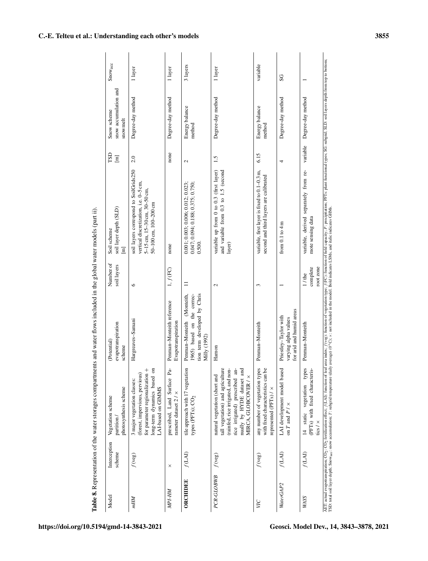| Model           | Interception<br>scheme              | photosynthesis scheme<br>Vegetation scheme<br>partition/                                                                                                                                        | evapotranspiration<br>(Potential)<br>scheme                                                                 | Number of<br>soil layers          | soil layer depth (SLD)<br>Soil scheme<br>$\boxed{\phantom{000}}$                                                                         | СSL<br>$\boxed{\text{m}}$ | snow accumulation and<br>Snow scheme<br>snowmelt | Snowacc  |
|-----------------|-------------------------------------|-------------------------------------------------------------------------------------------------------------------------------------------------------------------------------------------------|-------------------------------------------------------------------------------------------------------------|-----------------------------------|------------------------------------------------------------------------------------------------------------------------------------------|---------------------------|--------------------------------------------------|----------|
| mНM             | $f($ veg)                           | long-term dynamics based on<br>for parameter regionalization +<br>(forest, impervious, pervious)<br>3 major vegetation classes:<br>LAI-based on GIMMS                                           | Hargreaves-Samani                                                                                           | $\circ$                           | soil layers correspond to SoilGrids250<br>vertical discretization, i.e. 0-5 cm,<br>5-15 cm, 15-30 cm, 30-50 cm,<br>50-100 cm, 100-200 cm | 2.0                       | Degree-day method                                | 1 layer  |
| MPI-HM          | $\times$                            | prescribed, Land Surface Pa-<br>rameter dataset $2 / \times$                                                                                                                                    | Penman-Monteith reference<br>Evapotranspiration                                                             | $1, f(\text{FC})$                 | none                                                                                                                                     | none                      | Degree-day method                                | 1 layer  |
| <b>ORCHIDEE</b> | f(LA)                               | tile approach with 17 vegetation<br>types (PFTs); CO <sub>2</sub>                                                                                                                               | tion term developed by Chris<br>(Monteith,<br>1965) based on the correc-<br>Penman-Monteith<br>Milly (1992) | $\equiv$                          | 0.047; 0.094; 0.188; 0.375; 0.750;<br>0.001; 0.003; 0.006; 0.012; 0.023<br>0.500.                                                        | $\mathbf{C}$              | Energy balance<br>method                         | 3 layers |
| PCR-GLOBWB      | f(veg)                              | tall vegetation) and agriculture<br>(rainfed, rice irrigated, and non-<br>nually by HYDE dataset and<br>rice irrigated) prescribed an-<br>natural vegetation (short and<br>MIRCA, GLOBCOVER / x | Hamon                                                                                                       | $\mathbf{\sim}$                   | variable up from 0 to 0.3 (first layer)<br>and variable from 0.3 to 1.5 (second<br>layer)                                                | 1.5                       | Degree-day method                                | 1 layer  |
| УC              | $f( \text{veg})$                    | any number of vegetation types<br>with fixed characteristics can be<br>represented (PFTs) / x                                                                                                   | Penman-Monteith                                                                                             | 3                                 | variable, first layer is fixed to 0.1-0.3 m,<br>second and third layers are calibrated                                                   | 6.15                      | Energy balance<br>method                         | variable |
| WaterGAP2       | $f(\mathbf{L}\mathbf{A}\mathbf{I})$ | LAI development model based<br>on T and $P / \times$                                                                                                                                            | for arid and humid areas<br>Priestley-Taylor with<br>varying alpha values                                   |                                   | from $0.1$ to $4 \text{ m}$                                                                                                              | 4                         | Degree-day method                                | SG       |
| <b>WAYS</b>     | $f(\rm{LAI})$                       | types<br>(PFTs) with fixed characteris-<br>static vegetation<br>tics / $\times$<br>$\frac{4}{3}$                                                                                                | Penman-Monteith                                                                                             | complete<br>root zone<br>$1/$ the | variable, derived separately from re-<br>mote sensing data                                                                               | variable                  | Degree-day method                                |          |

Table 8. Representation of the water storages compartments and water flows included in the global water models (part ii).

C.-E. Telteu et al.: Understanding each other's models 3855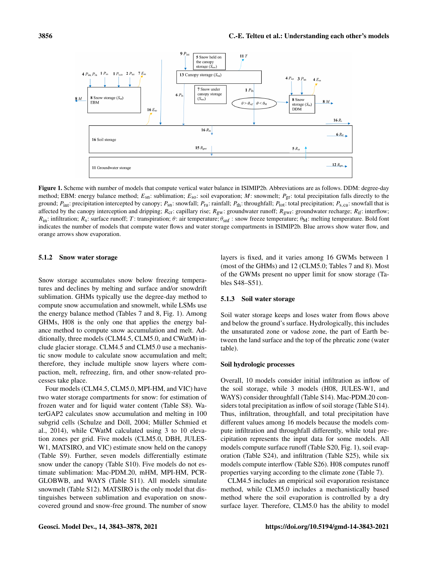

Figure 1. Scheme with number of models that compute vertical water balance in ISIMIP2b. Abbreviations are as follows. DDM: degree-day method; EBM: energy balance method;  $E_{\text{sn}}$ : sublimation;  $E_{\text{so}}$ : soil evaporation; M: snowmelt;  $P_{\text{gr}}$ : total precipitation falls directly to the ground;  $P_{\text{int}}$ : precipitation intercepted by canopy;  $P_{\text{sn}}$ : snowfall;  $P_{\text{ra}}$ : rainfall;  $P_{\text{th}}$ : throughfall;  $P_{\text{tot}}$ : total precipitation;  $P_{\text{s,ca}}$ : snowfall that is affected by the canopy interception and dripping;  $R_{\text{cr}}$ : capillary rise;  $R_{\text{gw}}$ : groundwater runoff;  $R_{\text{gw}}$ : groundwater recharge;  $R_{\text{if}}$ : interflow;  $R_{\text{in}}$ : infiltration;  $R_s$ : surface runoff; T: transpiration;  $\theta$ : air temperature;  $\theta_{\text{snf}}$ : snow freeze temperature;  $\theta_M$ : melting temperature. Bold font indicates the number of models that compute water flows and water storage compartments in ISIMIP2b. Blue arrows show water flow, and orange arrows show evaporation.

#### 5.1.2 Snow water storage

Snow storage accumulates snow below freezing temperatures and declines by melting and surface and/or snowdrift sublimation. GHMs typically use the degree-day method to compute snow accumulation and snowmelt, while LSMs use the energy balance method (Tables 7 and 8, Fig. 1). Among GHMs, H08 is the only one that applies the energy balance method to compute snow accumulation and melt. Additionally, three models (CLM4.5, CLM5.0, and CWatM) include glacier storage. CLM4.5 and CLM5.0 use a mechanistic snow module to calculate snow accumulation and melt; therefore, they include multiple snow layers where compaction, melt, refreezing, firn, and other snow-related processes take place.

Four models (CLM4.5, CLM5.0, MPI-HM, and VIC) have two water storage compartments for snow: for estimation of frozen water and for liquid water content (Table S8). WaterGAP2 calculates snow accumulation and melting in 100 subgrid cells (Schulze and Döll, 2004; Müller Schmied et al., 2014), while CWatM calculated using 3 to 10 elevation zones per grid. Five models (CLM5.0, DBH, JULES-W1, MATSIRO, and VIC) estimate snow held on the canopy (Table S9). Further, seven models differentially estimate snow under the canopy (Table S10). Five models do not estimate sublimation: Mac-PDM.20, mHM, MPI-HM, PCR-GLOBWB, and WAYS (Table S11). All models simulate snowmelt (Table S12). MATSIRO is the only model that distinguishes between sublimation and evaporation on snowcovered ground and snow-free ground. The number of snow layers is fixed, and it varies among 16 GWMs between 1 (most of the GHMs) and 12 (CLM5.0; Tables 7 and 8). Most of the GWMs present no upper limit for snow storage (Tables S48–S51).

#### 5.1.3 Soil water storage

Soil water storage keeps and loses water from flows above and below the ground's surface. Hydrologically, this includes the unsaturated zone or vadose zone, the part of Earth between the land surface and the top of the phreatic zone (water table).

# Soil hydrologic processes

Overall, 10 models consider initial infiltration as inflow of the soil storage, while 3 models (H08, JULES-W1, and WAYS) consider throughfall (Table S14). Mac-PDM.20 considers total precipitation as inflow of soil storage (Table S14). Thus, infiltration, throughfall, and total precipitation have different values among 16 models because the models compute infiltration and throughfall differently, while total precipitation represents the input data for some models. All models compute surface runoff (Table S20, Fig. 1), soil evaporation (Table S24), and infiltration (Table S25), while six models compute interflow (Table S26). H08 computes runoff properties varying according to the climate zone (Table 7).

CLM4.5 includes an empirical soil evaporation resistance method, while CLM5.0 includes a mechanistically based method where the soil evaporation is controlled by a dry surface layer. Therefore, CLM5.0 has the ability to model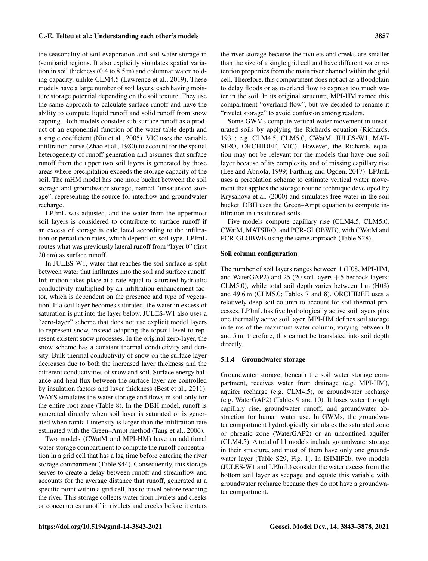the seasonality of soil evaporation and soil water storage in (semi)arid regions. It also explicitly simulates spatial variation in soil thickness (0.4 to 8.5 m) and columnar water holding capacity, unlike CLM4.5 (Lawrence et al., 2019). These models have a large number of soil layers, each having moisture storage potential depending on the soil texture. They use the same approach to calculate surface runoff and have the ability to compute liquid runoff and solid runoff from snow capping. Both models consider sub-surface runoff as a product of an exponential function of the water table depth and a single coefficient (Niu et al., 2005). VIC uses the variable infiltration curve (Zhao et al., 1980) to account for the spatial heterogeneity of runoff generation and assumes that surface runoff from the upper two soil layers is generated by those areas where precipitation exceeds the storage capacity of the soil. The mHM model has one more bucket between the soil storage and groundwater storage, named "unsaturated storage", representing the source for interflow and groundwater recharge.

LPJmL was adjusted, and the water from the uppermost soil layers is considered to contribute to surface runoff if an excess of storage is calculated according to the infiltration or percolation rates, which depend on soil type. LPJmL routes what was previously lateral runoff from "layer 0" (first 20 cm) as surface runoff.

In JULES-W1, water that reaches the soil surface is split between water that infiltrates into the soil and surface runoff. Infiltration takes place at a rate equal to saturated hydraulic conductivity multiplied by an infiltration enhancement factor, which is dependent on the presence and type of vegetation. If a soil layer becomes saturated, the water in excess of saturation is put into the layer below. JULES-W1 also uses a "zero-layer" scheme that does not use explicit model layers to represent snow, instead adapting the topsoil level to represent existent snow processes. In the original zero-layer, the snow scheme has a constant thermal conductivity and density. Bulk thermal conductivity of snow on the surface layer decreases due to both the increased layer thickness and the different conductivities of snow and soil. Surface energy balance and heat flux between the surface layer are controlled by insulation factors and layer thickness (Best et al., 2011). WAYS simulates the water storage and flows in soil only for the entire root zone (Table 8). In the DBH model, runoff is generated directly when soil layer is saturated or is generated when rainfall intensity is larger than the infiltration rate estimated with the Green–Ampt method (Tang et al., 2006).

Two models (CWatM and MPI-HM) have an additional water storage compartment to compute the runoff concentration in a grid cell that has a lag time before entering the river storage compartment (Table S44). Consequently, this storage serves to create a delay between runoff and streamflow and accounts for the average distance that runoff, generated at a specific point within a grid cell, has to travel before reaching the river. This storage collects water from rivulets and creeks or concentrates runoff in rivulets and creeks before it enters the river storage because the rivulets and creeks are smaller than the size of a single grid cell and have different water retention properties from the main river channel within the grid cell. Therefore, this compartment does not act as a floodplain to delay floods or as overland flow to express too much water in the soil. In its original structure, MPI-HM named this compartment "overland flow", but we decided to rename it "rivulet storage" to avoid confusion among readers.

Some GWMs compute vertical water movement in unsaturated soils by applying the Richards equation (Richards, 1931; e.g. CLM4.5, CLM5.0, CWatM, JULES-W1, MAT-SIRO, ORCHIDEE, VIC). However, the Richards equation may not be relevant for the models that have one soil layer because of its complexity and of missing capillary rise (Lee and Abriola, 1999; Farthing and Ogden, 2017). LPJmL uses a percolation scheme to estimate vertical water movement that applies the storage routine technique developed by Krysanova et al. (2000) and simulates free water in the soil bucket. DBH uses the Green–Ampt equation to compute infiltration in unsaturated soils.

Five models compute capillary rise (CLM4.5, CLM5.0, CWatM, MATSIRO, and PCR-GLOBWB), with CWatM and PCR-GLOBWB using the same approach (Table S28).

#### Soil column configuration

The number of soil layers ranges between 1 (H08, MPI-HM, and WaterGAP2) and  $25$  (20 soil layers + 5 bedrock layers: CLM5.0), while total soil depth varies between 1 m (H08) and 49.6 m (CLM5.0; Tables 7 and 8). ORCHIDEE uses a relatively deep soil column to account for soil thermal processes. LPJmL has five hydrologically active soil layers plus one thermally active soil layer. MPI-HM defines soil storage in terms of the maximum water column, varying between 0 and 5 m; therefore, this cannot be translated into soil depth directly.

#### 5.1.4 Groundwater storage

Groundwater storage, beneath the soil water storage compartment, receives water from drainage (e.g. MPI-HM), aquifer recharge (e.g. CLM4.5), or groundwater recharge (e.g. WaterGAP2) (Tables 9 and 10). It loses water through capillary rise, groundwater runoff, and groundwater abstraction for human water use. In GWMs, the groundwater compartment hydrologically simulates the saturated zone or phreatic zone (WaterGAP2) or an unconfined aquifer (CLM4.5). A total of 11 models include groundwater storage in their structure, and most of them have only one groundwater layer (Table S29, Fig. 1). In ISIMIP2b, two models (JULES-W1 and LPJmL) consider the water excess from the bottom soil layer as seepage and equate this variable with groundwater recharge because they do not have a groundwater compartment.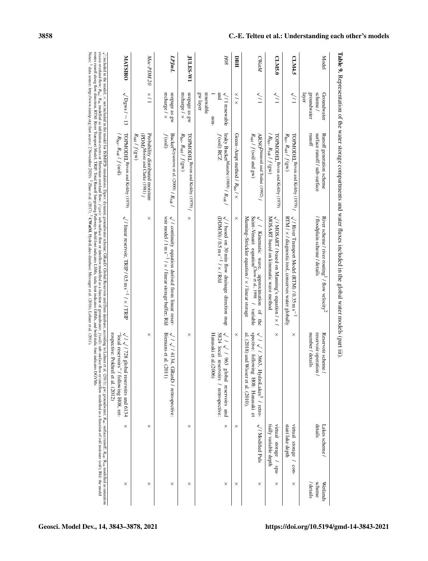| Model           | groundwater<br>scheme /<br>layer<br>Groundwater              | runoff<br>surface runoff / sub-surface<br>Runoff generation scheme                             | River scheme / river routing <sup>1</sup> / flow velocity <sup>2</sup><br>Hoodplain scheme / details                                                                                         | number / details<br>reservoir operation /<br>Reservoir scheme /                                                                    | details<br>Lakes scheme /                       |
|-----------------|--------------------------------------------------------------|------------------------------------------------------------------------------------------------|----------------------------------------------------------------------------------------------------------------------------------------------------------------------------------------------|------------------------------------------------------------------------------------------------------------------------------------|-------------------------------------------------|
| <b>CLM4.5</b>   | $\sqrt{1}$                                                   | $R_{\text{ho}}$ , $R_{\text{sat}}$ / $f$ (gw)                                                  | TOPMODEL Beven and Kirkby (1979) $\sqrt{7}$ River Transport Model (RTM) $/0.35$ m s <sup>-1</sup><br>RTM $/ \times /$ diagnostic tool, conserves water globally                              | ×                                                                                                                                  | stant lake depth<br>virtual storage / con-      |
| CLM5.0          | $\sqrt{1}$                                                   | TOPMODEL <sup>Beven</sup> and Kirkby (1979)<br>$(R_{\text{ho}}, R_{\text{sat}}/f(\text{gw}))$  | MOSART based on kinematic wave method<br>$\sqrt{1 \text{ MOSART}}$ / based on Manning's equation / $\times$ /                                                                                | $\times$                                                                                                                           | tially variable depth<br>virtual storage / spa- |
| <b>CWatM</b>    | $\sqrt{11}$                                                  | ARNO Dümenil and Todini (1992) /<br>$R_{\text{sat}}$ / $f$ (soil and gw)                       | Saint-Venant equation $\text{Chow}^{\text{\'et al., 1998}}$ / $\text{variable}$<br>$\sqrt{1}$ Kinematic wave, approximation of the<br>Manning–Strickler equation $/ \times$ / linear storage | spective: following H08: Hanasaki et<br>al. (2018) and Wisser et al. (2010).<br>$\sqrt{1/3663}$ , HydroLakes <sup>3</sup> / retro- | $\sqrt{1}$ Modified Puls                        |
| BBH             | $\times$ / $\times$                                          | Green–Ampt method $/R_{\text{ho}}$ / $R_{\text{ho}}$                                           | ×                                                                                                                                                                                            | ×                                                                                                                                  | $\times$                                        |
| 80H             | renewable<br>gw layer<br>pue<br>$\sqrt{1}$ renewable<br>non- | leaky Bucket <sup>Manabe</sup> (1969) / $R_{sat}$ /<br>f (soil) RCZ                            | $\sqrt{1}$ based on 30 min flow drainage direction map<br>(DDM30) / 0.5 m s <sup>-1</sup> / $\times$ / Rfd                                                                                   | $\sqrt{1/\sqrt{190}}$<br>5824 local reservoirs / retrospective:<br>Hanasaki et al.(2006)<br>global reservoirs and                  | $\times$                                        |
| <b>JULES-W1</b> | seepage as gw<br>recharge $/ \times$                         | $R_{\text{ho}}$ , $R_{\text{sat}}$ / $f$ (gw)<br>TOPMODEL <sup>Beven</sup> and Kirkby (1979) / | $\times$                                                                                                                                                                                     | ×                                                                                                                                  | ×                                               |
| LPJmL           | seepage as gw<br>recharge $/ \times$                         | $f(\text{soil})$<br>Bucket<br>Krysanova et al. (2000) /<br>$R_{\rm{sat}}$ /                    | $\sqrt{1}$ continuity equation derived from linear reser-<br>voir model / 1 m s <sup>-1</sup> / $\times$ / linear storage buffer; Rfd                                                        | Biemans et al.<br>$\sqrt{1}\sqrt{14134}$<br>(2011)<br>GRanD / retrospective:                                                       |                                                 |
| Mac-PDM.20      | 1 / x                                                        | Probability distributed moisture<br>$R_{\rm sat}$ / $f$ (gw)<br>PDM)Moore and Clarke (1981) /  | ×                                                                                                                                                                                            | ×                                                                                                                                  | $\times$                                        |
| <b>MATSIRO</b>  | $\sqrt{Dgws/\sim}13$                                         | TOPMODEL Beven and Kirkby (1979)<br>$R_{\text{ho}}$ , $R_{\text{sat}}$ / $f$ (soil)            | $\sqrt{1}$ linear reservoir, TRIP / 0.5 m s <sup>-1</sup> / $\times$ / TRIP                                                                                                                  | "local reservoirs" / following H08, ret-<br>rospective: Pokhrel et al. (2012)<br>$\sqrt{1728}$ global reservoirs and 6134          | ×                                               |

Table 9. Representation of the water storage compartments and water fluxes included in the global water models (part iii).

<http://www.isimip.org>

(last access: 2 November 2020).

Zhao et al. (2017).

, HydroLakes database: Messager et al. (2016); Lehner et al. (2011).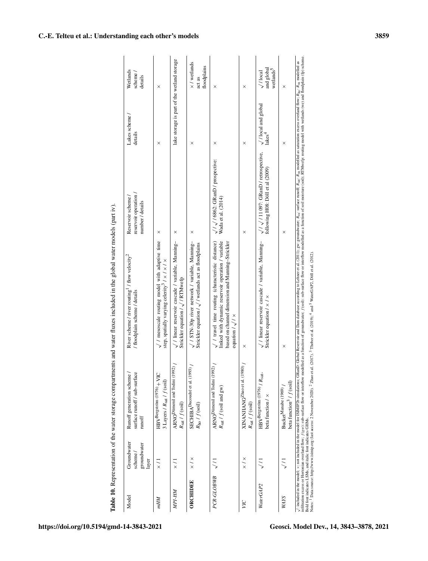| Model       | Groundwater<br>groundwater<br>scheme/<br>layer | surface runoff / sub-surface<br>Runoff generation scheme /<br>runoff              | River scheme / river routing 1/ flow velocity <sup>2</sup><br>/ floodplain scheme / details                                                                                                       | reservoir operation<br>Reservoir scheme<br>number / details                 | Lakes scheme /<br>details                          | Wetlands<br>scheme/<br>details                         |
|-------------|------------------------------------------------|-----------------------------------------------------------------------------------|---------------------------------------------------------------------------------------------------------------------------------------------------------------------------------------------------|-----------------------------------------------------------------------------|----------------------------------------------------|--------------------------------------------------------|
| mHM         | $\frac{1}{x}$                                  | HBVBergström (1976) + VIC<br>3 Layers / Rsat / f (soil)                           | $\sqrt{}$ / mesoscale routing model with adaptive time<br>step, spatially varying celerity<br>3 $\prime \times$ / $\times$ / $\times$                                                             | ×                                                                           | ×                                                  | $\times$                                               |
| MPI-HM      | $\frac{1}{x}$                                  | ARNO <sup>Dümenil</sup> and Todini (1992)<br>$R_{\rm sat}$ / $f({\rm soil})$      | // linear reservoir cascade / variable, Manning-<br>Strickler equation / / RTMwefp                                                                                                                | ×                                                                           | lake storage is part of the wetland storage        |                                                        |
| ORCHIDEE    | $\times / \times$                              | SECHIBA Ducoudré et al. (1993)<br>$R_{\rm ho}$ / $f({\rm soil})$                  | //STN-30p river network / variable, Manning-<br>Strickler equation $1/\sqrt{1}$ wetlands act as floodplains                                                                                       | ×                                                                           | ×                                                  | $\times$ / wetlands<br>floodplains<br>act as           |
| PCR-GLOBWB  | $\frac{1}{\sqrt{2}}$                           | ARNO <sup>Dumenil</sup> and Todini (1992)<br>$R_{\text{sat}}$ / $f$ (soil and gw) | linked with dynamic reservoir operation / variable<br>$\sqrt{}$ travel time routing (characteristic distance)<br>based on channel dimension and Manning-Strickler<br>equation $1/\sqrt{1 \times}$ | $\sqrt{1/\sqrt{16862}}$ : GRanD / prospective:<br>Wada et al. (2014)        | ×                                                  | ×                                                      |
| УC          | $\times$ / $\times$                            | XINANJIANG <sup>Zhao et al. (1980)</sup><br>$R_{\rm sat}$ / $f$ (soil)            | ×                                                                                                                                                                                                 | ×                                                                           | ×                                                  | $\times$                                               |
| WaterGAP2   |                                                | HBV<br>Bergström (1976) /<br>$R_{\rm sat},$<br>beta function / $\times$           | $\sqrt{}$ linear reservoir cascade / variable, Manning-<br>Strickler equation / x / x                                                                                                             | $\sqrt{11097}$ : GRanD / retrospective,<br>following H08: Döll et al (2009) | $\sqrt{}$ / local and global<br>lakes <sup>4</sup> | and global<br>wetlands <sup>5</sup><br>$\sqrt{}$ Iocal |
| <b>WAYS</b> |                                                | beta function <sup>3</sup> / $f$ (soil)<br>BucketManabe (1969)                    | $\times$                                                                                                                                                                                          | $\times$                                                                    | ×                                                  | ×                                                      |

Notes: 1

Data source: <http://www.isimip.org> (last access: 2 November 2020).

 $\sim$ 

 $2$ Zhao et al.  $(2017)$ .

 $\tilde{ }$ 

Thober et al. (2019);

 $4$  and  $5$ 

WaterGAP2, Döll et al. (2012).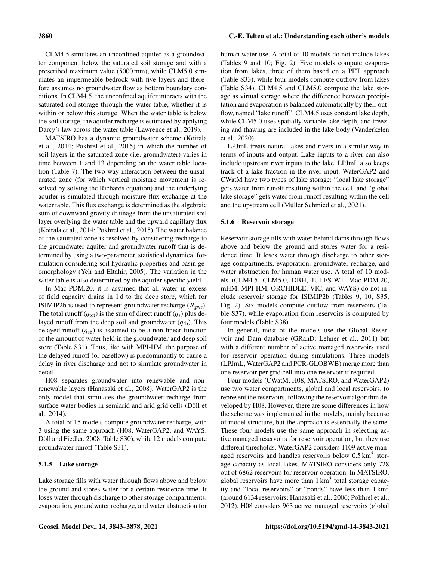CLM4.5 simulates an unconfined aquifer as a groundwater component below the saturated soil storage and with a prescribed maximum value (5000 mm), while CLM5.0 simulates an impermeable bedrock with five layers and therefore assumes no groundwater flow as bottom boundary conditions. In CLM4.5, the unconfined aquifer interacts with the saturated soil storage through the water table, whether it is within or below this storage. When the water table is below the soil storage, the aquifer recharge is estimated by applying Darcy's law across the water table (Lawrence et al., 2019).

MATSIRO has a dynamic groundwater scheme (Koirala et al., 2014; Pokhrel et al., 2015) in which the number of soil layers in the saturated zone (i.e. groundwater) varies in time between 1 and 13 depending on the water table location (Table 7). The two-way interaction between the unsaturated zone (for which vertical moisture movement is resolved by solving the Richards equation) and the underlying aquifer is simulated through moisture flux exchange at the water table. This flux exchange is determined as the algebraic sum of downward gravity drainage from the unsaturated soil layer overlying the water table and the upward capillary flux (Koirala et al., 2014; Pokhrel et al., 2015). The water balance of the saturated zone is resolved by considering recharge to the groundwater aquifer and groundwater runoff that is determined by using a two-parameter, statistical dynamical formulation considering soil hydraulic properties and basin geomorphology (Yeh and Eltahir, 2005). The variation in the water table is also determined by the aquifer-specific yield.

In Mac-PDM.20, it is assumed that all water in excess of field capacity drains in 1 d to the deep store, which for ISIMIP2b is used to represent groundwater recharge  $(R_{\text{gwr}})$ . The total runoff ( $q_{\text{tot}}$ ) is the sum of direct runoff ( $q_s$ ) plus delayed runoff from the deep soil and groundwater  $(q_{sb})$ . This delayed runoff  $(q_{sb})$  is assumed to be a non-linear function of the amount of water held in the groundwater and deep soil store (Table S31). Thus, like with MPI-HM, the purpose of the delayed runoff (or baseflow) is predominantly to cause a delay in river discharge and not to simulate groundwater in detail.

H08 separates groundwater into renewable and nonrenewable layers (Hanasaki et al., 2008). WaterGAP2 is the only model that simulates the groundwater recharge from surface water bodies in semiarid and arid grid cells (Döll et al., 2014).

A total of 15 models compute groundwater recharge, with 3 using the same approach (H08, WaterGAP2, and WAYS: Döll and Fiedler, 2008; Table S30), while 12 models compute groundwater runoff (Table S31).

#### 5.1.5 Lake storage

Lake storage fills with water through flows above and below the ground and stores water for a certain residence time. It loses water through discharge to other storage compartments, evaporation, groundwater recharge, and water abstraction for human water use. A total of 10 models do not include lakes (Tables 9 and 10; Fig. 2). Five models compute evaporation from lakes, three of them based on a PET approach (Table S33), while four models compute outflow from lakes (Table S34). CLM4.5 and CLM5.0 compute the lake storage as virtual storage where the difference between precipitation and evaporation is balanced automatically by their outflow, named "lake runoff". CLM4.5 uses constant lake depth, while CLM5.0 uses spatially variable lake depth, and freezing and thawing are included in the lake body (Vanderkelen et al., 2020).

LPJmL treats natural lakes and rivers in a similar way in terms of inputs and output. Lake inputs to a river can also include upstream river inputs to the lake. LPJmL also keeps track of a lake fraction in the river input. WaterGAP2 and CWatM have two types of lake storage: "local lake storage" gets water from runoff resulting within the cell, and "global lake storage" gets water from runoff resulting within the cell and the upstream cell (Müller Schmied et al., 2021).

#### 5.1.6 Reservoir storage

Reservoir storage fills with water behind dams through flows above and below the ground and stores water for a residence time. It loses water through discharge to other storage compartments, evaporation, groundwater recharge, and water abstraction for human water use. A total of 10 models (CLM4.5, CLM5.0, DBH, JULES-W1, Mac-PDM.20, mHM, MPI-HM, ORCHIDEE, VIC, and WAYS) do not include reservoir storage for ISIMIP2b (Tables 9, 10, S35; Fig. 2). Six models compute outflow from reservoirs (Table S37), while evaporation from reservoirs is computed by four models (Table S38).

In general, most of the models use the Global Reservoir and Dam database (GRanD: Lehner et al., 2011) but with a different number of active managed reservoirs used for reservoir operation during simulations. Three models (LPJmL, WaterGAP2 and PCR-GLOBWB) merge more than one reservoir per grid cell into one reservoir if required.

Four models (CWatM, H08, MATSIRO, and WaterGAP2) use two water compartments, global and local reservoirs, to represent the reservoirs, following the reservoir algorithm developed by H08. However, there are some differences in how the scheme was implemented in the models, mainly because of model structure, but the approach is essentially the same. These four models use the same approach in selecting active managed reservoirs for reservoir operation, but they use different thresholds. WaterGAP2 considers 1109 active managed reservoirs and handles reservoirs below  $0.5 \text{ km}^3$  storage capacity as local lakes. MATSIRO considers only 728 out of 6862 reservoirs for reservoir operation. In MATSIRO, global reservoirs have more than  $1 \text{ km}^3$  total storage capacity and "local reservoirs" or "ponds" have less than  $1 \text{ km}^3$ (around 6134 reservoirs; Hanasaki et al., 2006; Pokhrel et al., 2012). H08 considers 963 active managed reservoirs (global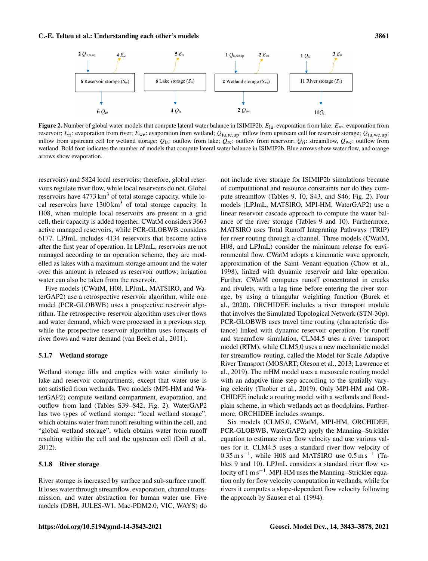

**Figure 2.** Number of global water models that compute lateral water balance in ISIMIP2b.  $E_{1a}$ : evaporation from lake;  $E_{re}$ : evaporation from reservoir;  $E_{\text{ri}}$ : evaporation from river;  $E_{\text{we}}$ : evaporation from wetland;  $Q_{\text{iu},\text{re},\text{up}}$ : inflow from upstream cell for reservoir storage;  $Q_{\text{iu},\text{we},\text{up}}$ : inflow from upstream cell for wetland storage;  $Q_{1a}$ : outflow from lake;  $Q_{re}$ : outflow from reservoir;  $Q_{ri}$ : streamflow,  $Q_{we}$ : outflow from wetland. Bold font indicates the number of models that compute lateral water balance in ISIMIP2b. Blue arrows show water flow, and orange arrows show evaporation.

reservoirs) and 5824 local reservoirs; therefore, global reservoirs regulate river flow, while local reservoirs do not. Global reservoirs have  $4773 \text{ km}^3$  of total storage capacity, while local reservoirs have  $1300 \text{ km}^3$  of total storage capacity. In H08, when multiple local reservoirs are present in a grid cell, their capacity is added together. CWatM considers 3663 active managed reservoirs, while PCR-GLOBWB considers 6177. LPJmL includes 4134 reservoirs that become active after the first year of operation. In LPJmL, reservoirs are not managed according to an operation scheme, they are modelled as lakes with a maximum storage amount and the water over this amount is released as reservoir outflow; irrigation water can also be taken from the reservoir.

Five models (CWatM, H08, LPJmL, MATSIRO, and WaterGAP2) use a retrospective reservoir algorithm, while one model (PCR-GLOBWB) uses a prospective reservoir algorithm. The retrospective reservoir algorithm uses river flows and water demand, which were processed in a previous step, while the prospective reservoir algorithm uses forecasts of river flows and water demand (van Beek et al., 2011).

#### 5.1.7 Wetland storage

Wetland storage fills and empties with water similarly to lake and reservoir compartments, except that water use is not satisfied from wetlands. Two models (MPI-HM and WaterGAP2) compute wetland compartment, evaporation, and outflow from land (Tables S39–S42; Fig. 2). WaterGAP2 has two types of wetland storage: "local wetland storage", which obtains water from runoff resulting within the cell, and "global wetland storage", which obtains water from runoff resulting within the cell and the upstream cell (Döll et al., 2012).

#### 5.1.8 River storage

River storage is increased by surface and sub-surface runoff. It loses water through streamflow, evaporation, channel transmission, and water abstraction for human water use. Five models (DBH, JULES-W1, Mac-PDM2.0, VIC, WAYS) do not include river storage for ISIMIP2b simulations because of computational and resource constraints nor do they compute streamflow (Tables 9, 10, S43, and S46; Fig. 2). Four models (LPJmL, MATSIRO, MPI-HM, WaterGAP2) use a linear reservoir cascade approach to compute the water balance of the river storage (Tables 9 and 10). Furthermore, MATSIRO uses Total Runoff Integrating Pathways (TRIP) for river routing through a channel. Three models (CWatM, H08, and LPJmL) consider the minimum release for environmental flow. CWatM adopts a kinematic wave approach, approximation of the Saint–Venant equation (Chow et al., 1998), linked with dynamic reservoir and lake operation. Further, CWatM computes runoff concentrated in creeks and rivulets, with a lag time before entering the river storage, by using a triangular weighting function (Burek et al., 2020). ORCHIDEE includes a river transport module that involves the Simulated Topological Network (STN-30p). PCR-GLOBWB uses travel time routing (characteristic distance) linked with dynamic reservoir operation. For runoff and streamflow simulation, CLM4.5 uses a river transport model (RTM), while CLM5.0 uses a new mechanistic model for streamflow routing, called the Model for Scale Adaptive River Transport (MOSART; Oleson et al., 2013; Lawrence et al., 2019). The mHM model uses a mesoscale routing model with an adaptive time step according to the spatially varying celerity (Thober et al., 2019). Only MPI-HM and OR-CHIDEE include a routing model with a wetlands and floodplain scheme, in which wetlands act as floodplains. Furthermore, ORCHIDEE includes swamps.

Six models (CLM5.0, CWatM, MPI-HM, ORCHIDEE, PCR-GLOBWB, WaterGAP2) apply the Manning–Strickler equation to estimate river flow velocity and use various values for it. CLM4.5 uses a standard river flow velocity of  $0.35 \text{ m s}^{-1}$ , while H08 and MATSIRO use  $0.5 \text{ m s}^{-1}$  (Tables 9 and 10). LPJmL considers a standard river flow velocity of 1 m s<sup>-1</sup>. MPI-HM uses the Manning-Strickler equation only for flow velocity computation in wetlands, while for rivers it computes a slope-dependent flow velocity following the approach by Sausen et al. (1994).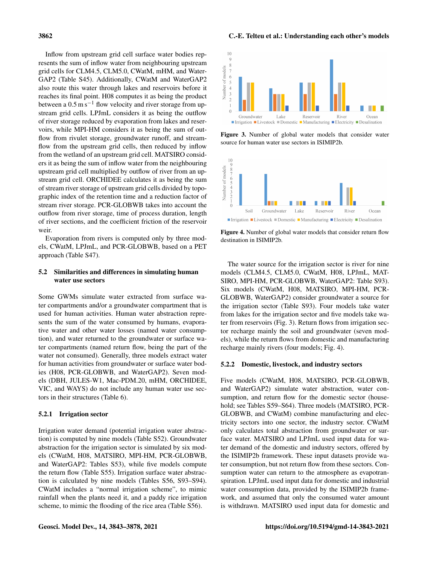Inflow from upstream grid cell surface water bodies represents the sum of inflow water from neighbouring upstream grid cells for CLM4.5, CLM5.0, CWatM, mHM, and Water-GAP2 (Table S45). Additionally, CWatM and WaterGAP2 also route this water through lakes and reservoirs before it reaches its final point. H08 computes it as being the product between a  $0.5 \text{ m s}^{-1}$  flow velocity and river storage from upstream grid cells. LPJmL considers it as being the outflow of river storage reduced by evaporation from lakes and reservoirs, while MPI-HM considers it as being the sum of outflow from rivulet storage, groundwater runoff, and streamflow from the upstream grid cells, then reduced by inflow from the wetland of an upstream grid cell. MATSIRO considers it as being the sum of inflow water from the neighbouring upstream grid cell multiplied by outflow of river from an upstream grid cell. ORCHIDEE calculates it as being the sum of stream river storage of upstream grid cells divided by topographic index of the retention time and a reduction factor of stream river storage. PCR-GLOBWB takes into account the outflow from river storage, time of process duration, length of river sections, and the coefficient friction of the reservoir weir.

Evaporation from rivers is computed only by three models, CWatM, LPJmL, and PCR-GLOBWB, based on a PET approach (Table S47).

# 5.2 Similarities and differences in simulating human water use sectors

Some GWMs simulate water extracted from surface water compartments and/or a groundwater compartment that is used for human activities. Human water abstraction represents the sum of the water consumed by humans, evaporative water and other water losses (named water consumption), and water returned to the groundwater or surface water compartments (named return flow, being the part of the water not consumed). Generally, three models extract water for human activities from groundwater or surface water bodies (H08, PCR-GLOBWB, and WaterGAP2). Seven models (DBH, JULES-W1, Mac-PDM.20, mHM, ORCHIDEE, VIC, and WAYS) do not include any human water use sectors in their structures (Table 6).

#### 5.2.1 Irrigation sector

Irrigation water demand (potential irrigation water abstraction) is computed by nine models (Table S52). Groundwater abstraction for the irrigation sector is simulated by six models (CWatM, H08, MATSIRO, MPI-HM, PCR-GLOBWB, and WaterGAP2: Tables S53), while five models compute the return flow (Table S55). Irrigation surface water abstraction is calculated by nine models (Tables S56, S93–S94). CWatM includes a "normal irrigation scheme", to mimic rainfall when the plants need it, and a paddy rice irrigation scheme, to mimic the flooding of the rice area (Table S56).

#### 3862 C.-E. Telteu et al.: Understanding each other's models



Figure 3. Number of global water models that consider water source for human water use sectors in ISIMIP2b.



Figure 4. Number of global water models that consider return flow destination in ISIMIP2b.

The water source for the irrigation sector is river for nine models (CLM4.5, CLM5.0, CWatM, H08, LPJmL, MAT-SIRO, MPI-HM, PCR-GLOBWB, WaterGAP2: Table S93). Six models (CWatM, H08, MATSIRO, MPI-HM, PCR-GLOBWB, WaterGAP2) consider groundwater a source for the irrigation sector (Table S93). Four models take water from lakes for the irrigation sector and five models take water from reservoirs (Fig. 3). Return flows from irrigation sector recharge mainly the soil and groundwater (seven models), while the return flows from domestic and manufacturing recharge mainly rivers (four models; Fig. 4).

# 5.2.2 Domestic, livestock, and industry sectors

Five models (CWatM, H08, MATSIRO, PCR-GLOBWB, and WaterGAP2) simulate water abstraction, water consumption, and return flow for the domestic sector (household; see Tables S59–S64). Three models (MATSIRO, PCR-GLOBWB, and CWatM) combine manufacturing and electricity sectors into one sector, the industry sector. CWatM only calculates total abstraction from groundwater or surface water. MATSIRO and LPJmL used input data for water demand of the domestic and industry sectors, offered by the ISIMIP2b framework. These input datasets provide water consumption, but not return flow from these sectors. Consumption water can return to the atmosphere as evapotranspiration. LPJmL used input data for domestic and industrial water consumption data, provided by the ISIMIP2b framework, and assumed that only the consumed water amount is withdrawn. MATSIRO used input data for domestic and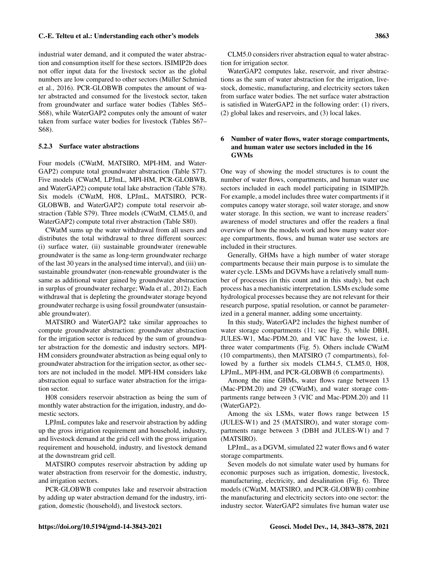industrial water demand, and it computed the water abstraction and consumption itself for these sectors. ISIMIP2b does not offer input data for the livestock sector as the global numbers are low compared to other sectors (Müller Schmied et al., 2016). PCR-GLOBWB computes the amount of water abstracted and consumed for the livestock sector, taken from groundwater and surface water bodies (Tables S65– S68), while WaterGAP2 computes only the amount of water taken from surface water bodies for livestock (Tables S67– S68).

#### 5.2.3 Surface water abstractions

Four models (CWatM, MATSIRO, MPI-HM, and Water-GAP2) compute total groundwater abstraction (Table S77). Five models (CWatM, LPJmL, MPI-HM, PCR-GLOBWB, and WaterGAP2) compute total lake abstraction (Table S78). Six models (CWatM, H08, LPJmL, MATSIRO, PCR-GLOBWB, and WaterGAP2) compute total reservoir abstraction (Table S79). Three models (CWatM, CLM5.0, and WaterGAP2) compute total river abstraction (Table S80).

CWatM sums up the water withdrawal from all users and distributes the total withdrawal to three different sources: (i) surface water, (ii) sustainable groundwater (renewable groundwater is the same as long-term groundwater recharge of the last 30 years in the analysed time interval), and (iii) unsustainable groundwater (non-renewable groundwater is the same as additional water gained by groundwater abstraction in surplus of groundwater recharge; Wada et al., 2012). Each withdrawal that is depleting the groundwater storage beyond groundwater recharge is using fossil groundwater (unsustainable groundwater).

MATSIRO and WaterGAP2 take similar approaches to compute groundwater abstraction: groundwater abstraction for the irrigation sector is reduced by the sum of groundwater abstraction for the domestic and industry sectors. MPI-HM considers groundwater abstraction as being equal only to groundwater abstraction for the irrigation sector, as other sectors are not included in the model. MPI-HM considers lake abstraction equal to surface water abstraction for the irrigation sector.

H08 considers reservoir abstraction as being the sum of monthly water abstraction for the irrigation, industry, and domestic sectors.

LPJmL computes lake and reservoir abstraction by adding up the gross irrigation requirement and household, industry, and livestock demand at the grid cell with the gross irrigation requirement and household, industry, and livestock demand at the downstream grid cell.

MATSIRO computes reservoir abstraction by adding up water abstraction from reservoir for the domestic, industry, and irrigation sectors.

PCR-GLOBWB computes lake and reservoir abstraction by adding up water abstraction demand for the industry, irrigation, domestic (household), and livestock sectors.

CLM5.0 considers river abstraction equal to water abstraction for irrigation sector.

WaterGAP2 computes lake, reservoir, and river abstractions as the sum of water abstraction for the irrigation, livestock, domestic, manufacturing, and electricity sectors taken from surface water bodies. The net surface water abstraction is satisfied in WaterGAP2 in the following order: (1) rivers, (2) global lakes and reservoirs, and (3) local lakes.

# 6 Number of water flows, water storage compartments, and human water use sectors included in the 16 GWMs

One way of showing the model structures is to count the number of water flows, compartments, and human water use sectors included in each model participating in ISIMIP2b. For example, a model includes three water compartments if it computes canopy water storage, soil water storage, and snow water storage. In this section, we want to increase readers' awareness of model structures and offer the readers a final overview of how the models work and how many water storage compartments, flows, and human water use sectors are included in their structures.

Generally, GHMs have a high number of water storage compartments because their main purpose is to simulate the water cycle. LSMs and DGVMs have a relatively small number of processes (in this count and in this study), but each process has a mechanistic interpretation. LSMs exclude some hydrological processes because they are not relevant for their research purpose, spatial resolution, or cannot be parameterized in a general manner, adding some uncertainty.

In this study, WaterGAP2 includes the highest number of water storage compartments (11; see Fig. 5), while DBH, JULES-W1, Mac-PDM.20, and VIC have the lowest, i.e. three water compartments (Fig. 5). Others include CWatM (10 compartments), then MATSIRO (7 compartments), followed by a further six models CLM4.5, CLM5.0, H08, LPJmL, MPI-HM, and PCR-GLOBWB (6 compartments).

Among the nine GHMs, water flows range between 13 (Mac-PDM.20) and 29 (CWatM), and water storage compartments range between 3 (VIC and Mac-PDM.20) and 11 (WaterGAP2).

Among the six LSMs, water flows range between 15 (JULES-W1) and 25 (MATSIRO), and water storage compartments range between 3 (DBH and JULES-W1) and 7 (MATSIRO).

LPJmL, as a DGVM, simulated 22 water flows and 6 water storage compartments.

Seven models do not simulate water used by humans for economic purposes such as irrigation, domestic, livestock, manufacturing, electricity, and desalination (Fig. 6). Three models (CWatM, MATSIRO, and PCR-GLOBWB) combine the manufacturing and electricity sectors into one sector: the industry sector. WaterGAP2 simulates five human water use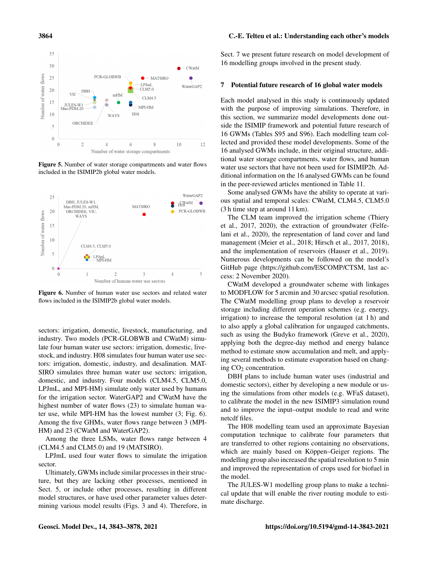#### 35  $30$ CWat<sub>N</sub> PCR-GLOBWB Number of water flows 25  $\bullet$  MATSIRO  $\blacksquare$  $\operatorname{LPJml}$ WaterGAP2  $CLM5.0$ 20 **DBI VIC**  $mHM$  $CLM4.5$ 15 JULES-W<br>Mac-PDM.2 MPI-HM  $H<sub>08</sub>$ 10 WAYS ORCHIDEE 5  $\overline{0}$  $\boldsymbol{0}$  $\overline{2}$  $\overline{4}$  $\sqrt{6}$  $\,$  8  $\,$  $10$ 12 Number of water storage compartments

Figure 5. Number of water storage compartments and water flows included in the ISIMIP2b global water models.



Figure 6. Number of human water use sectors and related water flows included in the ISIMIP2b global water models.

sectors: irrigation, domestic, livestock, manufacturing, and industry. Two models (PCR-GLOBWB and CWatM) simulate four human water use sectors: irrigation, domestic, livestock, and industry. H08 simulates four human water use sectors: irrigation, domestic, industry, and desalination. MAT-SIRO simulates three human water use sectors: irrigation, domestic, and industry. Four models (CLM4.5, CLM5.0, LPJmL, and MPI-HM) simulate only water used by humans for the irrigation sector. WaterGAP2 and CWatM have the highest number of water flows (23) to simulate human water use, while MPI-HM has the lowest number (3; Fig. 6). Among the five GHMs, water flows range between 3 (MPI-HM) and 23 (CWatM and WaterGAP2).

Among the three LSMs, water flows range between 4 (CLM4.5 and CLM5.0) and 19 (MATSIRO).

LPJmL used four water flows to simulate the irrigation sector.

Ultimately, GWMs include similar processes in their structure, but they are lacking other processes, mentioned in Sect. 5, or include other processes, resulting in different model structures, or have used other parameter values determining various model results (Figs. 3 and 4). Therefore, in

#### 3864 C.-E. Telteu et al.: Understanding each other's models

Sect. 7 we present future research on model development of 16 modelling groups involved in the present study.

#### 7 Potential future research of 16 global water models

Each model analysed in this study is continuously updated with the purpose of improving simulations. Therefore, in this section, we summarize model developments done outside the ISIMIP framework and potential future research of 16 GWMs (Tables S95 and S96). Each modelling team collected and provided these model developments. Some of the 16 analysed GWMs include, in their original structure, additional water storage compartments, water flows, and human water use sectors that have not been used for ISIMIP2b. Additional information on the 16 analysed GWMs can be found in the peer-reviewed articles mentioned in Table 11.

Some analysed GWMs have the ability to operate at various spatial and temporal scales: CWatM, CLM4.5, CLM5.0 (3 h time step at around 11 km).

The CLM team improved the irrigation scheme (Thiery et al., 2017, 2020), the extraction of groundwater (Felfelani et al., 2020), the representation of land cover and land management (Meier et al., 2018; Hirsch et al., 2017, 2018), and the implementation of reservoirs (Hauser et al., 2019). Numerous developments can be followed on the model's GitHub page [\(https://github.com/ESCOMP/CTSM,](https://github.com/ESCOMP/CTSM) last access: 2 November 2020).

CWatM developed a groundwater scheme with linkages to MODFLOW for 5 arcmin and 30 arcsec spatial resolution. The CWatM modelling group plans to develop a reservoir storage including different operation schemes (e.g. energy, irrigation) to increase the temporal resolution (at 1 h) and to also apply a global calibration for ungauged catchments, such as using the Budyko framework (Greve et al., 2020), applying both the degree-day method and energy balance method to estimate snow accumulation and melt, and applying several methods to estimate evaporation based on changing  $CO<sub>2</sub>$  concentration.

DBH plans to include human water uses (industrial and domestic sectors), either by developing a new module or using the simulations from other models (e.g. WFaS dataset), to calibrate the model in the new ISIMIP3 simulation round and to improve the input–output module to read and write netcdf files.

The H08 modelling team used an approximate Bayesian computation technique to calibrate four parameters that are transferred to other regions containing no observations, which are mainly based on Köppen–Geiger regions. The modelling group also increased the spatial resolution to 5 min and improved the representation of crops used for biofuel in the model.

The JULES-W1 modelling group plans to make a technical update that will enable the river routing module to estimate discharge.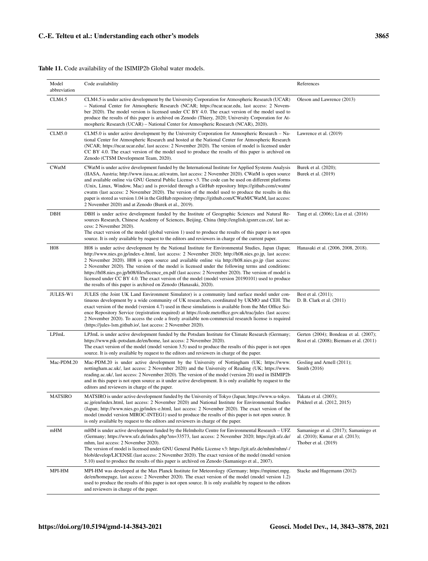# Table 11. Code availability of the ISIMIP2b Global water models.

| Model<br>abbreviation | Code availability                                                                                                                                                                                                                                                                                                                                                                                                                                                                                                                                                                                                                                                                                         | References                                                                                        |
|-----------------------|-----------------------------------------------------------------------------------------------------------------------------------------------------------------------------------------------------------------------------------------------------------------------------------------------------------------------------------------------------------------------------------------------------------------------------------------------------------------------------------------------------------------------------------------------------------------------------------------------------------------------------------------------------------------------------------------------------------|---------------------------------------------------------------------------------------------------|
| <b>CLM4.5</b>         | CLM4.5 is under active development by the University Corporation for Atmospheric Research (UCAR)<br>- National Center for Atmospheric Research (NCAR; https://ncar.ucar.edu, last access: 2 Novem-<br>ber 2020). The model version is licensed under CC BY 4.0. The exact version of the model used to<br>produce the results of this paper is archived on Zenodo (Thiery, 2020; University Corporation for At-<br>mospheric Research (UCAR) – National Center for Atmospheric Research (NCAR), 2020).                                                                                                                                                                                                    | Oleson and Lawrence (2013)                                                                        |
| <b>CLM5.0</b>         | CLM5.0 is under active development by the University Corporation for Atmospheric Research – Na-<br>tional Center for Atmospheric Research and hosted at the National Center for Atmospheric Research<br>(NCAR; https://ncar.ucar.edu/, last access: 2 November 2020). The version of model is licensed under<br>CC BY 4.0. The exact version of the model used to produce the results of this paper is archived on<br>Zenodo (CTSM Development Team, 2020).                                                                                                                                                                                                                                               | Lawrence et al. (2019)                                                                            |
| <b>CWatM</b>          | CWatM is under active development funded by the International Institute for Applied Systems Analysis<br>(IIASA, Austria; http://www.iiasa.ac.at/cwatm, last access: 2 November 2020). CWatM is open source<br>and available online via GNU General Public License v3. The code can be used on different platforms<br>(Unix, Linux, Window, Mac) and is provided through a GitHub repository https://github.com/cwatm/<br>ewatm (last access: 2 November 2020). The version of the model used to produce the results in this<br>paper is stored as version 1.04 in the GitHub repository (https://github.com/CWatM/CWatM, last access:<br>2 November 2020) and at Zenodo (Burek et al., 2019).             | Burek et al. (2020);<br>Burek et al. (2019)                                                       |
| <b>DBH</b>            | DBH is under active development funded by the Institute of Geographic Sciences and Natural Re-<br>sources Research, Chinese Academy of Sciences, Beijing, China (http://english.igsnrr.cas.cn/, last ac-<br>cess: 2 November 2020).<br>The exact version of the model (global version 1) used to produce the results of this paper is not open<br>source. It is only available by request to the editors and reviewers in charge of the current paper.                                                                                                                                                                                                                                                    | Tang et al. (2006); Liu et al. (2016)                                                             |
| <b>H08</b>            | H08 is under active development by the National Institute for Environmental Studies, Japan (Japan;<br>http://www.nies.go.jp/index-e.html, last access: 2 November 2020; http://h08.nies.go.jp, last access:<br>2 November 2020). H08 is open source and available online via http://h08.nies.go.jp (last access:<br>2 November 2020). The version of the model is licensed under the following terms and conditions:<br>https://h08.nies.go.jp/h08/files/licence_en.pdf (last access: 2 November 2020). The version of model is<br>licensed under CC BY 4.0. The exact version of the model (model version 20190101) used to produce<br>the results of this paper is archived on Zenodo (Hanasaki, 2020). | Hanasaki et al. (2006, 2008, 2018).                                                               |
| <b>JULES-W1</b>       | JULES (the Joint UK Land Environment Simulator) is a community land surface model under con-<br>tinuous development by a wide community of UK researchers, coordinated by UKMO and CEH. The<br>exact version of the model (version 4.7) used in these simulations is available from the Met Office Sci-<br>ence Repository Service (registration required) at https://code.metoffice.gov.uk/trac/jules (last access:<br>2 November 2020). To access the code a freely available non-commercial research license is required<br>(https://jules-1sm.github.io/, last access: 2 November 2020).                                                                                                              | Best et al. (2011);<br>D. B. Clark et al. (2011)                                                  |
| LPJmL                 | LPJmL is under active development funded by the Potsdam Institute for Climate Research (Germany;<br>https://www.pik-potsdam.de/en/home, last access: 2 November 2020).<br>The exact version of the model (model version 3.5) used to produce the results of this paper is not open<br>source. It is only available by request to the editors and reviewers in charge of the paper.                                                                                                                                                                                                                                                                                                                        | Gerten (2004); Bondeau et al. (2007);<br>Rost et al. (2008); Biemans et al. (2011)                |
| Mac-PDM.20            | Mac-PDM.20 is under active development by the University of Nottingham (UK; https://www.<br>nottingham.ac.uk/, last access: 2 November 2020) and the University of Reading (UK; https://www.<br>reading.ac.uk/, last access: 2 November 2020). The version of the model (version 20) used in ISIMIP2b<br>and in this paper is not open source as it under active development. It is only available by request to the<br>editors and reviewers in charge of the paper.                                                                                                                                                                                                                                     | Gosling and Arnell (2011);<br>Smith (2016)                                                        |
| <b>MATSIRO</b>        | MATSIRO is under active development funded by the University of Tokyo (Japan; https://www.u-tokyo.<br>ac.jp/en/index.html, last access: 2 November 2020) and National Institute for Environmental Studies<br>(Japan; http://www.nies.go.jp/index-e.html, last access: 2 November 2020). The exact version of the<br>model (model version MIROC-INTEG1) used to produce the results of this paper is not open source. It<br>is only available by request to the editors and reviewers in charge of the paper.                                                                                                                                                                                              | Takata et al. (2003);<br>Pokhrel et al. (2012, 2015)                                              |
| mHM                   | mHM is under active development funded by the Helmholtz Centre for Environmental Research – UFZ<br>(Germany; https://www.ufz.de/index.php?en=33573, last access: 2 November 2020; https://git.ufz.de/<br>mhm, last access: 2 November 2020).<br>The version of model is licensed under GNU General Public License v3: https://git.ufz.de/mhm/mhm/-/<br>blob/develop/LICENSE (last access: 2 November 2020). The exact version of the model (model version<br>5.10) used to produce the results of this paper is archived on Zenodo (Samaniego et al., 2007).                                                                                                                                              | Samaniego et al. (2017); Samaniego et<br>al. (2010); Kumar et al. (2013);<br>Thober et al. (2019) |
| MPI-HM                | MPI-HM was developed at the Max Planck Institute for Meteorology (Germany; https://mpimet.mpg.<br>de/en/homepage, last access: 2 November 2020). The exact version of the model (model version 1.2)<br>used to produce the results of this paper is not open source. It is only available by request to the editors<br>and reviewers in charge of the paper.                                                                                                                                                                                                                                                                                                                                              | Stacke and Hagemann (2012)                                                                        |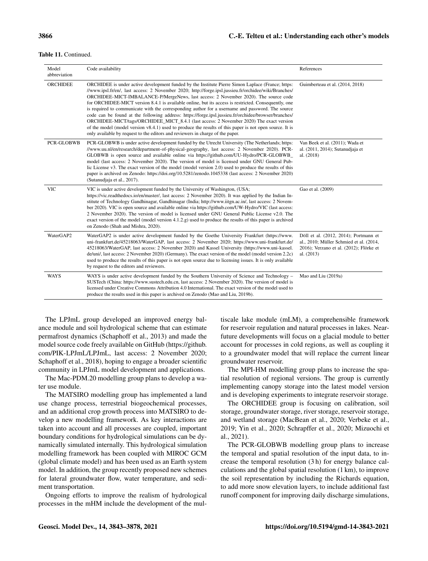#### Table 11. Continued.

| Model<br>abbreviation | Code availability                                                                                                                                                                                                                                                                                                                                                                                                                                                                                                                                                                                                                                                                                                                                                                                                                                                                                             | References                                                                                                                                |
|-----------------------|---------------------------------------------------------------------------------------------------------------------------------------------------------------------------------------------------------------------------------------------------------------------------------------------------------------------------------------------------------------------------------------------------------------------------------------------------------------------------------------------------------------------------------------------------------------------------------------------------------------------------------------------------------------------------------------------------------------------------------------------------------------------------------------------------------------------------------------------------------------------------------------------------------------|-------------------------------------------------------------------------------------------------------------------------------------------|
| <b>ORCHIDEE</b>       | ORCHIDEE is under active development funded by the Institute Pierre Simon Laplace (France; https:<br>//www.ipsl.fr/en/, last access: 2 November 2020; http://forge.ipsl.jussieu.fr/orchidee/wiki/Branches/<br>ORCHIDEE-MICT-IMBALANCE-P/MergeNews, last access: 2 November 2020). The source code<br>for ORCHIDEE-MICT version 8.4.1 is available online, but its access is restricted. Consequently, one<br>is required to communicate with the corresponding author for a username and password. The source<br>code can be found at the following address: https://forge.ipsl.jussieu.fr/orchidee/browser/branches/<br>ORCHIDEE-MICT/tags/ORCHIDEE_MICT_8.4.1 (last access: 2 November 2020) The exact version<br>of the model (model version v8.4.1) used to produce the results of this paper is not open source. It is<br>only available by request to the editors and reviewers in charge of the paper. | Guimberteau et al. (2014, 2018)                                                                                                           |
| <b>PCR-GLOBWB</b>     | PCR-GLOBWB is under active development funded by the Utrecht University (The Netherlands; https:<br>//www.uu.nl/en/research/department-of-physical-geography, last access: 2 November 2020). PCR-<br>GLOBWB is open source and available online via https://github.com/UU-Hydro/PCR-GLOBWB<br>model (last access: 2 November 2020). The version of model is licensed under GNU General Pub-<br>lic License v3. The exact version of the model (model version 2.0) used to produce the results of this<br>paper is archived on Zenodo: https://doi.org/10.5281/zenodo.1045338 (last access: 2 November 2020)<br>(Sutanudiaja et al., 2017).                                                                                                                                                                                                                                                                    | Van Beek et al. (2011); Wada et<br>al. (2011, 2014); Sutanudjaja et<br>al. (2018)                                                         |
| <b>VIC</b>            | VIC is under active development funded by the University of Washington, (USA;<br>https://vic.readthedocs.io/en/master/, last access: 2 November 2020). It was applied by the Indian In-<br>stitute of Technology Gandhinagar, Gandhinagar (India; http://www.iitgn.ac.in/, last access: 2 Novem-<br>ber 2020). VIC is open source and available online via https://github.com/UW-Hydro/VIC (last access:<br>2 November 2020). The version of model is licensed under GNU General Public License v2.0. The<br>exact version of the model (model version 4.1.2.g) used to produce the results of this paper is archived<br>on Zenodo (Shah and Mishra, 2020).                                                                                                                                                                                                                                                   | Gao et al. (2009)                                                                                                                         |
| WaterGAP2             | WaterGAP2 is under active development funded by the Goethe University Frankfurt (https://www.<br>uni-frankfurt.de/45218063/WaterGAP, last access: 2 November 2020; https://www.uni-frankfurt.de/<br>45218063/WaterGAP, last access: 2 November 2020) and Kassel University (https://www.uni-kassel.<br>de/uni/, last access: 2 November 2020) (Germany). The exact version of the model (model version 2.2c)<br>used to produce the results of this paper is not open source due to licensing issues. It is only available<br>by request to the editors and reviewers.                                                                                                                                                                                                                                                                                                                                        | Döll et al. (2012, 2014); Portmann et<br>al., 2010; Müller Schmied et al. (2014,<br>2016); Verzano et al. (2012); Flörke et<br>al. (2013) |
| <b>WAYS</b>           | WAYS is under active development funded by the Southern University of Science and Technology –<br>SUSTech (China: https://www.sustech.edu.cn, last access: 2 November 2020). The version of model is<br>licensed under Creative Commons Attribution 4.0 International. The exact version of the model used to<br>produce the results used in this paper is archived on Zenodo (Mao and Liu, 2019b).                                                                                                                                                                                                                                                                                                                                                                                                                                                                                                           | Mao and Liu (2019a)                                                                                                                       |

The LPJmL group developed an improved energy balance module and soil hydrological scheme that can estimate permafrost dynamics (Schaphoff et al., 2013) and made the model source code freely available on GitHub [\(https://github.](https://github.com/PIK-LPJmL/LPJmL) [com/PIK-LPJmL/LPJmL,](https://github.com/PIK-LPJmL/LPJmL) last access: 2 November 2020; Schaphoff et al., 2018), hoping to engage a broader scientific community in LPJmL model development and applications.

The Mac-PDM.20 modelling group plans to develop a water use module.

The MATSIRO modelling group has implemented a land use change process, terrestrial biogeochemical processes, and an additional crop growth process into MATSIRO to develop a new modelling framework. As key interactions are taken into account and all processes are coupled, important boundary conditions for hydrological simulations can be dynamically simulated internally. This hydrological simulation modelling framework has been coupled with MIROC GCM (global climate model) and has been used as an Earth system model. In addition, the group recently proposed new schemes for lateral groundwater flow, water temperature, and sediment transportation.

Ongoing efforts to improve the realism of hydrological processes in the mHM include the development of the multiscale lake module (mLM), a comprehensible framework for reservoir regulation and natural processes in lakes. Nearfuture developments will focus on a glacial module to better account for processes in cold regions, as well as coupling it to a groundwater model that will replace the current linear groundwater reservoir.

The MPI-HM modelling group plans to increase the spatial resolution of regional versions. The group is currently implementing canopy storage into the latest model version and is developing experiments to integrate reservoir storage.

The ORCHIDEE group is focusing on calibration, soil storage, groundwater storage, river storage, reservoir storage, and wetland storage (MacBean et al., 2020; Verbeke et al., 2019; Yin et al., 2020; Schrapffer et al., 2020; Mizuochi et al., 2021).

The PCR-GLOBWB modelling group plans to increase the temporal and spatial resolution of the input data, to increase the temporal resolution (3 h) for energy balance calculations and the global spatial resolution (1 km), to improve the soil representation by including the Richards equation, to add more snow elevation layers, to include additional fast runoff component for improving daily discharge simulations,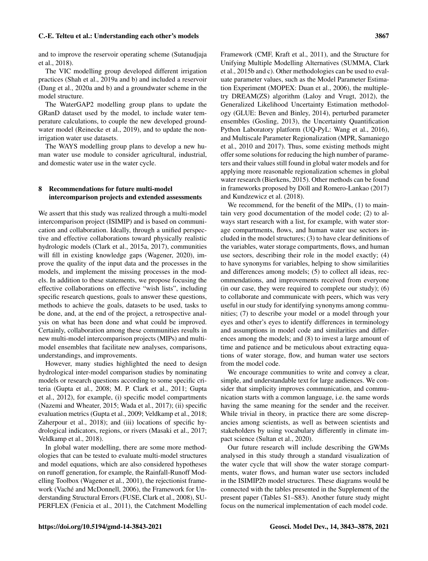and to improve the reservoir operating scheme (Sutanudjaja et al., 2018).

The VIC modelling group developed different irrigation practices (Shah et al., 2019a and b) and included a reservoir (Dang et al., 2020a and b) and a groundwater scheme in the model structure.

The WaterGAP2 modelling group plans to update the GRanD dataset used by the model, to include water temperature calculations, to couple the new developed groundwater model (Reinecke et al., 2019), and to update the nonirrigation water use datasets.

The WAYS modelling group plans to develop a new human water use module to consider agricultural, industrial, and domestic water use in the water cycle.

# 8 Recommendations for future multi-model intercomparison projects and extended assessments

We assert that this study was realized through a multi-model intercomparison project (ISIMIP) and is based on communication and collaboration. Ideally, through a unified perspective and effective collaborations toward physically realistic hydrologic models (Clark et al., 2015a, 2017), communities will fill in existing knowledge gaps (Wagener, 2020), improve the quality of the input data and the processes in the models, and implement the missing processes in the models. In addition to these statements, we propose focusing the effective collaborations on effective "wish lists", including specific research questions, goals to answer these questions, methods to achieve the goals, datasets to be used, tasks to be done, and, at the end of the project, a retrospective analysis on what has been done and what could be improved. Certainly, collaboration among these communities results in new multi-model intercomparison projects (MIPs) and multimodel ensembles that facilitate new analyses, comparisons, understandings, and improvements.

However, many studies highlighted the need to design hydrological inter-model comparison studies by nominating models or research questions according to some specific criteria (Gupta et al., 2008; M. P. Clark et al., 2011; Gupta et al., 2012), for example, (i) specific model compartments (Nazemi and Wheater, 2015; Wada et al., 2017); (ii) specific evaluation metrics (Gupta et al., 2009; Veldkamp et al., 2018; Zaherpour et al., 2018); and (iii) locations of specific hydrological indicators, regions, or rivers (Masaki et al., 2017; Veldkamp et al., 2018).

In global water modelling, there are some more methodologies that can be tested to evaluate multi-model structures and model equations, which are also considered hypotheses on runoff generation, for example, the Rainfall-Runoff Modelling Toolbox (Wagener et al., 2001), the rejectionist framework (Vaché and McDonnell, 2006), the Framework for Understanding Structural Errors (FUSE, Clark et al., 2008), SU-PERFLEX (Fenicia et al., 2011), the Catchment Modelling Framework (CMF, Kraft et al., 2011), and the Structure for Unifying Multiple Modelling Alternatives (SUMMA, Clark et al., 2015b and c). Other methodologies can be used to evaluate parameter values, such as the Model Parameter Estimation Experiment (MOPEX: Duan et al., 2006), the multipletry DREAM(ZS) algorithm (Laloy and Vrugt, 2012), the Generalized Likelihood Uncertainty Estimation methodology (GLUE: Beven and Binley, 2014), perturbed parameter ensembles (Gosling, 2013), the Uncertainty Quantification Python Laboratory platform (UQ-PyL: Wang et al., 2016), and Multiscale Parameter Regionalization (MPR, Samaniego et al., 2010 and 2017). Thus, some existing methods might offer some solutions for reducing the high number of parameters and their values still found in global water models and for applying more reasonable regionalization schemes in global water research (Bierkens, 2015). Other methods can be found in frameworks proposed by Döll and Romero-Lankao (2017) and Kundzewicz et al. (2018).

We recommend, for the benefit of the MIPs, (1) to maintain very good documentation of the model code; (2) to always start research with a list, for example, with water storage compartments, flows, and human water use sectors included in the model structures; (3) to have clear definitions of the variables, water storage compartments, flows, and human use sectors, describing their role in the model exactly; (4) to have synonyms for variables, helping to show similarities and differences among models; (5) to collect all ideas, recommendations, and improvements received from everyone (in our case, they were required to complete our study); (6) to collaborate and communicate with peers, which was very useful in our study for identifying synonyms among communities; (7) to describe your model or a model through your eyes and other's eyes to identify differences in terminology and assumptions in model code and similarities and differences among the models; and (8) to invest a large amount of time and patience and be meticulous about extracting equations of water storage, flow, and human water use sectors from the model code.

We encourage communities to write and convey a clear, simple, and understandable text for large audiences. We consider that simplicity improves communication, and communication starts with a common language, i.e. the same words having the same meaning for the sender and the receiver. While trivial in theory, in practice there are some discrepancies among scientists, as well as between scientists and stakeholders by using vocabulary differently in climate impact science (Sultan et al., 2020).

Our future research will include describing the GWMs analysed in this study through a standard visualization of the water cycle that will show the water storage compartments, water flows, and human water use sectors included in the ISIMIP2b model structures. These diagrams would be connected with the tables presented in the Supplement of the present paper (Tables S1–S83). Another future study might focus on the numerical implementation of each model code.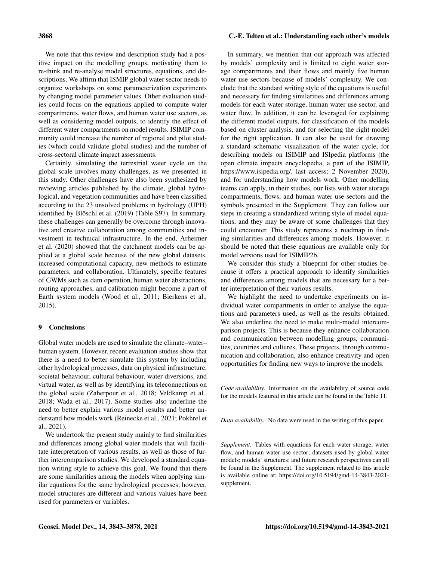We note that this review and description study had a positive impact on the modelling groups, motivating them to re-think and re-analyse model structures, equations, and descriptions. We affirm that ISMIP global water sector needs to organize workshops on some parameterization experiments by changing model parameter values. Other evaluation studies could focus on the equations applied to compute water compartments, water flows, and human water use sectors, as well as considering model outputs, to identify the effect of different water compartments on model results. ISIMIP community could increase the number of regional and pilot studies (which could validate global studies) and the number of cross-sectoral climate impact assessments.

Certainly, simulating the terrestrial water cycle on the global scale involves many challenges, as we presented in this study. Other challenges have also been synthesized by reviewing articles published by the climate, global hydrological, and vegetation communities and have been classified according to the 23 unsolved problems in hydrology (UPH) identified by Blöschl et al. (2019) (Table S97). In summary, these challenges can generally be overcome through innovative and creative collaboration among communities and investment in technical infrastructure. In the end, Arheimer et al. (2020) showed that the catchment models can be applied at a global scale because of the new global datasets, increased computational capacity, new methods to estimate parameters, and collaboration. Ultimately, specific features of GWMs such as dam operation, human water abstractions, routing approaches, and calibration might become a part of Earth system models (Wood et al., 2011; Bierkens et al., 2015).

# 9 Conclusions

Global water models are used to simulate the climate–water– human system. However, recent evaluation studies show that there is a need to better simulate this system by including other hydrological processes, data on physical infrastructure, societal behaviour, cultural behaviour, water diversions, and virtual water, as well as by identifying its teleconnections on the global scale (Zaherpour et al., 2018; Veldkamp et al., 2018; Wada et al., 2017). Some studies also underline the need to better explain various model results and better understand how models work (Reinecke et al., 2021; Pokhrel et al., 2021).

We undertook the present study mainly to find similarities and differences among global water models that will facilitate interpretation of various results, as well as those of further intercomparison studies. We developed a standard equation writing style to achieve this goal. We found that there are some similarities among the models when applying similar equations for the same hydrological processes; however, model structures are different and various values have been used for parameters or variables.

In summary, we mention that our approach was affected by models' complexity and is limited to eight water storage compartments and their flows and mainly five human water use sectors because of models' complexity. We conclude that the standard writing style of the equations is useful and necessary for finding similarities and differences among models for each water storage, human water use sector, and water flow. In addition, it can be leveraged for explaining the different model outputs, for classification of the models based on cluster analysis, and for selecting the right model for the right application. It can also be used for drawing a standard schematic visualization of the water cycle, for describing models on ISIMIP and ISIpedia platforms (the open climate impacts encyclopedia, a part of the ISIMIP, [https://www.isipedia.org/,](https://www.isipedia.org/) last access: 2 November 2020), and for understanding how models work. Other modelling teams can apply, in their studies, our lists with water storage compartments, flows, and human water use sectors and the symbols presented in the Supplement. They can follow our steps in creating a standardized writing style of model equations, and they may be aware of some challenges that they could encounter. This study represents a roadmap in finding similarities and differences among models. However, it should be noted that these equations are available only for model versions used for ISIMIP2b.

We consider this study a blueprint for other studies because it offers a practical approach to identify similarities and differences among models that are necessary for a better interpretation of their various results.

We highlight the need to undertake experiments on individual water compartments in order to analyse the equations and parameters used, as well as the results obtained. We also underline the need to make multi-model intercomparison projects. This is because they enhance collaboration and communication between modelling groups, communities, countries and cultures, These projects, through communication and collaboration, also enhance creativity and open opportunities for finding new ways to improve the models.

*Code availability.* Information on the availability of source code for the models featured in this article can be found in the Table 11.

*Data availability.* No data were used in the writing of this paper.

*Supplement.* Tables with equations for each water storage, water flow, and human water use sector; datasets used by global water models; models' structures; and future research perspectives can all be found in the Supplement. The supplement related to this article is available online at: [https://doi.org/10.5194/gmd-14-3843-2021](https://doi.org/10.5194/gmd-14-3843-2021-supplement) [supplement.](https://doi.org/10.5194/gmd-14-3843-2021-supplement)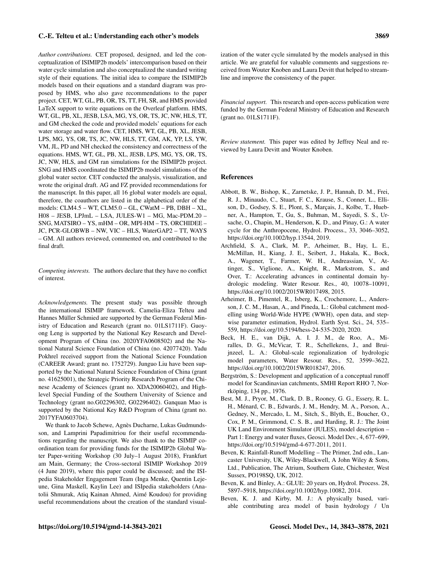*Author contributions.* CET proposed, designed, and led the conceptualization of ISIMIP2b models' intercomparison based on their water cycle simulation and also conceptualized the standard writing style of their equations. The initial idea to compare the ISIMIP2b models based on their equations and a standard diagram was proposed by HMS, who also gave recommendations to the paper project. CET, WT, GL, PB, OR, TS, TT, FH, SR, and HMS provided LaTeX support to write equations on the Overleaf platform. HMS, WT, GL, PB, XL, JESB, LSA, MG, YS, OR, TS, JC, NW, HLS, TT, and GM checked the code and provided models' equations for each water storage and water flow. CET, HMS, WT, GL, PB, XL, JESB, LPS, MG, YS, OR, TS, JC, NW, HLS, TT, GM, AK, YP, LS, YW, VM, JL, PD and NH checked the consistency and correctness of the equations. HMS, WT, GL, PB, XL, JESB, LPS, MG, YS, OR, TS, JC, NW, HLS, and GM ran simulations for the ISIMIP2b project. SNG and HMS coordinated the ISIMIP2b model simulations of the global water sector. CET conducted the analysis, visualization, and wrote the original draft. AG and FZ provided recommendations for the manuscript. In this paper, all 16 global water models are equal, therefore, the coauthors are listed in the alphabetical order of the models: CLM4.5 – WT, CLM5.0 – GL, CWatM – PB, DBH – XL, H08 – JESB, LPJmL – LSA, JULES-W1 – MG, Mac-PDM.20 – SNG, MATSIRO – YS, mHM – OR, MPI-HM – TS, ORCHIDEE – JC, PCR-GLOBWB – NW, VIC – HLS, WaterGAP2 – TT, WAYS – GM. All authors reviewed, commented on, and contributed to the final draft.

*Competing interests.* The authors declare that they have no conflict of interest.

*Acknowledgements.* The present study was possible through the international ISIMIP framework. Camelia-Eliza Telteu and Hannes Müller Schmied are supported by the German Federal Ministry of Education and Research (grant no. 01LS1711F). Guoyong Leng is supported by the National Key Research and Development Program of China (no. 2020YFA0608502) and the National Natural Science Foundation of China (no. 42077420). Yadu Pokhrel received support from the National Science Foundation (CAREER Award; grant no. 1752729). Junguo Liu have been supported by the National Natural Science Foundation of China (grant no. 41625001), the Strategic Priority Research Program of the Chinese Academy of Sciences (grant no. XDA20060402), and Highlevel Special Funding of the Southern University of Science and Technology (grant no.G02296302, G02296402). Ganquan Mao is supported by the National Key R&D Program of China (grant no. 2017YFA0603704).

We thank to Jacob Schewe, Agnès Ducharne, Lukas Gudmundsson, and Lamprini Papadimitriou for their useful recommendations regarding the manuscript. We also thank to the ISIMIP coordination team for providing funds for the ISIMIP2b Global Water Paper-writing Workshop (30 July–1 August 2018), Frankfurt am Main, Germany; the Cross-sectoral ISIMIP Workshop 2019 (4 June 2019), where this paper could be discussed; and the ISIpedia Stakeholder Engagement Team (Inga Menke, Quentin Lejeune, Gina Maskell, Kaylin Lee) and ISIpedia stakeholders (Anatolii Shmurak, Atiq Kainan Ahmed, Aimé Koudou) for providing useful recommendations about the creation of the standard visualization of the water cycle simulated by the models analysed in this article. We are grateful for valuable comments and suggestions received from Wouter Knoben and Laura Devitt that helped to streamline and improve the consistency of the paper.

*Financial support.* This research and open-access publication were funded by the German Federal Ministry of Education and Research (grant no. 01LS1711F).

*Review statement.* This paper was edited by Jeffrey Neal and reviewed by Laura Devitt and Wouter Knoben.

#### References

- Abbott, B. W., Bishop, K., Zarnetske, J. P., Hannah, D. M., Frei, R. J., Minaudo, C., Stuart, F. C., Krause, S., Conner, L., Ellison, D., Godsey, S. E., Plont, S., Marçais, J., Kolbe, T., Huebner, A., Hampton, T., Gu, S., Buhman, M., Sayedi, S. S., Ursache, O., Chapin, M., Henderson, K. D., and Pinay, G.: A water cycle for the Anthropocene, Hydrol. Process., 33, 3046–3052, https://doi.org[/10.1002/hyp.13544,](https://doi.org/10.1002/hyp.13544) 2019.
- Archfield, S. A., Clark, M. P., Arheimer, B., Hay, L. E., McMillan, H., Kiang, J. E., Seibert, J., Hakala, K., Bock, A., Wagener, T., Farmer, W. H., Andreassian, V., Attinger, S., Viglione, A., Knight, R., Markstrom, S., and Over, T.: Accelerating advances in continental domain hydrologic modeling. Water Resour. Res., 40, 10078–10091, https://doi.org[/10.1002/2015WR017498,](https://doi.org/10.1002/2015WR017498) 2015.
- Arheimer, B., Pimentel, R., Isberg, K., Crochemore, L., Andersson, J. C. M., Hasan, A., and Pineda, L.: Global catchment modelling using World-Wide HYPE (WWH), open data, and stepwise parameter estimation, Hydrol. Earth Syst. Sci., 24, 535– 559, https://doi.org[/10.5194/hess-24-535-2020,](https://doi.org/10.5194/hess-24-535-2020) 2020.
- Beck, H. E., van Dijk, A. I. J. M., de Roo, A., Miralles, D. G., McVicar, T. R., Schellekens, J., and Bruijnzeel, L. A.: Global-scale regionalization of hydrologic model parameters, Water Resour. Res., 52, 3599–3622, https://doi.org[/10.1002/2015WR018247,](https://doi.org/10.1002/2015WR018247) 2016.
- Bergström, S.: Development and application of a conceptual runoff model for Scandinavian catchments, SMHI Report RHO 7, Norrköping, 134 pp., 1976.
- Best, M. J., Pryor, M., Clark, D. B., Rooney, G. G., Essery, R. L. H., Ménard, C. B., Edwards, J. M., Hendry, M. A., Porson, A., Gedney, N., Mercado, L. M., Sitch, S., Blyth, E., Boucher, O., Cox, P. M., Grimmond, C. S. B., and Harding, R. J.: The Joint UK Land Environment Simulator (JULES), model description – Part 1: Energy and water fluxes, Geosci. Model Dev., 4, 677–699, https://doi.org[/10.5194/gmd-4-677-2011,](https://doi.org/10.5194/gmd-4-677-2011) 2011.
- Beven, K: Rainfall-Runoff Modelling The Primer, 2nd edn., Lancaster University, UK, Wiley-Blackwell, A John Wiley & Sons, Ltd., Publication, The Atrium, Southern Gate, Chichester, West Sussex, PO198SQ, UK, 2012.
- Beven, K. and Binley, A.: GLUE: 20 years on, Hydrol. Process. 28, 5897–5918, https://doi.org[/10.1002/hyp.10082,](https://doi.org/10.1002/hyp.10082) 2014.
- Beven, K. J. and Kirby, M. J.: A physically based, variable contributing area model of basin hydrology / Un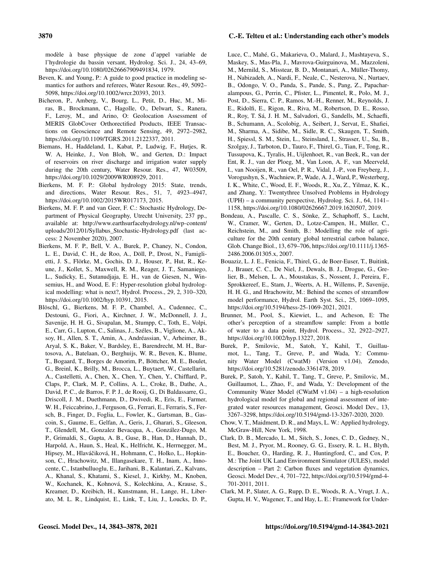modèle à base physique de zone d'appel variable de l'hydrologie du bassin versant, Hydrolog. Sci. J., 24, 43–69, https://doi.org[/10.1080/02626667909491834,](https://doi.org/10.1080/02626667909491834) 1979.

- Beven, K. and Young, P.: A guide to good practice in modeling semantics for authors and referees, Water Resour. Res., 49, 5092– 5098, https://doi.org[/10.1002/wrcr.20393,](https://doi.org/10.1002/wrcr.20393) 2013.
- Bicheron, P., Amberg, V., Bourg, L., Petit, D., Huc, M., Miras, B., Brockmann, C., Hagolle, O., Delwart, S., Ranera, F., Leroy, M., and Arino, O: Geolocation Assessment of MERIS GlobCover Orthorectified Products, IEEE Transactions on Geoscience and Remote Sensing, 49, 2972–2982, https://doi.org[/10.1109/TGRS.2011.2122337,](https://doi.org/10.1109/TGRS.2011.2122337) 2011.
- Biemans, H., Haddeland, I., Kabat, P., Ludwig, F., Hutjes, R. W. A, Heinke, J., Von Bloh, W., and Gerten, D.: Impact of reservoirs on river discharge and irrigation water supply during the 20th century, Water Resour. Res., 47, W03509, https://doi.org[/10.1029/2009WR008929,](https://doi.org/10.1029/2009WR008929) 2011.
- Bierkens, M. F. P.: Global hydrology 2015: State, trends, and directions, Water Resour. Res., 51, 7, 4923–4947, https://doi.org[/10.1002/2015WR017173,](https://doi.org/10.1002/2015WR017173) 2015.
- Bierkens, M. F. P. and van Geer, F. C.: Stochastic Hydrology, Department of Physical Geography, Utrecht University, 237 pp., available at: [http://www.earthsurfacehydrology.nl/wp-content/](http://www.earthsurfacehydrology.nl/wp-content/uploads/2012/01/Syllabus_Stochastic-Hydrology.pdf) [uploads/2012/01/Syllabus\\_Stochastic-Hydrology.pdf](http://www.earthsurfacehydrology.nl/wp-content/uploads/2012/01/Syllabus_Stochastic-Hydrology.pdf) (last access: 2 November 2020), 2007.
- Bierkens, M. F. P., Bell, V. A., Burek, P., Chaney, N., Condon, L. E., David, C. H., de Roo, A., Döll, P., Drost, N., Famiglietti, J. S., Flörke, M., Gochis, D. J., Houser, P., Hut, R., Keune, J., Kollet, S., Maxwell, R. M., Reager, J. T., Samaniego, L., Sudicky, E., Sutanudjaja, E. H., van de Giesen, N., Winsemius, H., and Wood, E. F.: Hyper-resolution global hydrological modelling: what is next?, Hydrol. Process., 29, 2, 310–320, https://doi.org[/10.1002/hyp.10391,](https://doi.org/10.1002/hyp.10391) 2015.
- Blöschl, G., Bierkens, M. F. P., Chambel, A., Cudennec, C., Destouni, G., Fiori, A., Kirchner, J. W., McDonnell, J. J., Savenije, H. H. G., Sivapalan, M., Stumpp, C., Toth, E., Volpi, E., Carr, G., Lupton, C., Salinas, J., Széles, B., Viglione, A., Aksoy, H., Allen, S. T., Amin, A., Andréassian, V., Arheimer, B., Aryal, S. K., Baker, V., Bardsley, E., Barendrecht, M. H., Bartosova, A., Batelaan, O., Berghuijs, W. R., Beven, K., Blume, T., Bogaard, T., Borges de Amorim, P., Böttcher, M. E., Boulet, G., Breinl, K., Brilly, M., Brocca, L., Buytaert, W., Castellarin, A., Castelletti, A., Chen, X., Chen, Y., Chen, Y., Chifflard, P., Claps, P., Clark, M. P., Collins, A. L., Croke, B., Dathe, A., David, P. C., de Barros, F. P. J., de Rooij, G., Di Baldassarre, G., Driscoll, J. M., Duethmann, D., Dwivedi, R., Eris, E., Farmer, W. H., Feiccabrino, J., Ferguson, G., Ferrari, E., Ferraris, S., Fersch, B., Finger, D., Foglia, L., Fowler, K., Gartsman, B., Gascoin, S., Gaume, E., Gelfan, A., Geris, J., Gharari, S., Gleeson, T., Glendell, M., Gonzalez Bevacqua, A., González-Dugo, M. P., Grimaldi, S., Gupta, A. B., Guse, B., Han, D., Hannah, D., Harpold, A., Haun, S., Heal, K., Helfricht, K., Herrnegger, M., Hipsey, M., Hlaváčiková, H., Hohmann, C., Holko, L., Hopkinson, C., Hrachowitz, M., Illangasekare, T. H., Inam, A., Innocente, C., Istanbulluoglu, E., Jarihani, B., Kalantari, Z., Kalvans, A., Khanal, S., Khatami, S., Kiesel, J., Kirkby, M., Knoben, W., Kochanek, K., Kohnová, S., Kolechkina, A., Krause, S., Kreamer, D., Kreibich, H., Kunstmann, H., Lange, H., Liberato, M. L. R., Lindquist, E., Link, T., Liu, J., Loucks, D. P.,

Luce, C., Mahé, G., Makarieva, O., Malard, J., Mashtayeva, S., Maskey, S., Mas-Pla, J., Mavrova-Guirguinova, M., Mazzoleni, M., Mernild, S., Misstear, B. D., Montanari, A., Müller-Thomy, H., Nabizadeh, A., Nardi, F., Neale, C., Nesterova, N., Nurtaev, B., Odongo, V. O., Panda, S., Pande, S., Pang, Z., Papacharalampous, G., Perrin, C., Pfister, L., Pimentel, R., Polo, M. J., Post, D., Sierra, C. P., Ramos, M.-H., Renner, M., Reynolds, J. E., Ridolfi, E., Rigon, R., Riva, M., Robertson, D. E., Rosso, R., Roy, T. Sá, J. H. M., Salvadori, G., Sandells, M., Schaefli, B., Schumann, A., Scolobig, A., Seibert, J., Servat, E., Shafiei, M., Sharma, A., Sidibe, M., Sidle, R. C., Skaugen, T., Smith, H., Spiessl, S. M., Stein, L., Steinsland, I., Strasser, U., Su, B., Szolgay, J., Tarboton, D., Tauro, F., Thirel, G., Tian, F., Tong, R., Tussupova, K., Tyralis, H., Uijlenhoet, R., van Beek, R., van der Ent, R. J., van der Ploeg, M., Van Loon, A. F., van Meerveld, I., van Nooijen, R., van Oel, P. R., Vidal, J.-P., von Freyberg, J., Vorogushyn, S., Wachniew, P., Wade, A. J., Ward, P., Westerberg, I. K., White, C., Wood, E. F., Woods, R., Xu, Z., Yilmaz, K. K., and Zhang, Y.: Twentythree Unsolved Problems in Hydrology (UPH) – a community perspective, Hydrolog. Sci. J., 64, 1141– 1158, https://doi.org[/10.1080/02626667.2019.1620507,](https://doi.org/10.1080/02626667.2019.1620507) 2019.

- Bondeau, A., Pascalle, C. S., Sönke, Z., Schaphoff, S., Lucht, W., Cramer, W., Gerten, D., Lotze-Campen, H., Müller, C., Reichstein, M., and Smith, B.: Modelling the role of agriculture for the 20th century global terrestrial carbon balance, Glob. Change Biol., 13, 679–706, https://doi.org[/10.1111/j.1365-](https://doi.org/10.1111/j.1365-2486.2006.01305.x) [2486.2006.01305.x,](https://doi.org/10.1111/j.1365-2486.2006.01305.x) 2007.
- Bouaziz, L. J. E., Fenicia, F., Thirel, G., de Boer-Euser, T., Buitink, J., Brauer, C. C., De Niel, J., Dewals, B. J., Drogue, G., Grelier, B., Melsen, L. A., Moustakas, S., Nossent, J., Pereira, F., Sprokkereef, E., Stam, J., Weerts, A. H., Willems, P., Savenije, H. H. G., and Hrachowitz, M.: Behind the scenes of streamflow model performance, Hydrol. Earth Syst. Sci., 25, 1069–1095, https://doi.org[/10.5194/hess-25-1069-2021,](https://doi.org/10.5194/hess-25-1069-2021) 2021.
- Brunner, M., Pool, S., Kiewiet, L., and Acheson, E: The other's perception of a streamflow sample: From a bottle of water to a data point, Hydrol. Process., 32, 2922–2927, https://doi.org[/10.1002/hyp.13227,](https://doi.org/10.1002/hyp.13227) 2018.
- Burek, P., Smilovic, M., Satoh, Y., Kahil, T., Guillaumot, L., Tang, T., Greve, P., and Wada, Y.: Community Water Model (CwatM) (Version v1.04), Zenodo, https://doi.org[/10.5281/zenodo.3361478,](https://doi.org/10.5281/zenodo.3361478) 2019.
- Burek, P., Satoh, Y., Kahil, T., Tang, T., Greve, P., Smilovic, M., Guillaumot, L., Zhao, F., and Wada, Y.: Development of the Community Water Model (CWatM v1.04) – a high-resolution hydrological model for global and regional assessment of integrated water resources management, Geosci. Model Dev., 13, 3267–3298, https://doi.org[/10.5194/gmd-13-3267-2020,](https://doi.org/10.5194/gmd-13-3267-2020) 2020.
- Chow, V. T., Maidment, D. R., and Mays, L. W.: Applied hydrology, McGraw-Hill, New York, 1998.
- Clark, D. B., Mercado, L. M., Sitch, S., Jones, C. D., Gedney, N., Best, M. J., Pryor, M., Rooney, G. G., Essery, R. L. H., Blyth, E., Boucher, O., Harding, R. J., Huntingford, C., and Cox, P. M.: The Joint UK Land Environment Simulator (JULES), model description – Part 2: Carbon fluxes and vegetation dynamics, Geosci. Model Dev., 4, 701–722, https://doi.org[/10.5194/gmd-4-](https://doi.org/10.5194/gmd-4-701-2011) [701-2011,](https://doi.org/10.5194/gmd-4-701-2011) 2011.
- Clark, M. P., Slater, A. G., Rupp, D. E., Woods, R. A., Vrugt, J. A., Gupta, H. V., Wagener, T., and Hay, L. E.: Framework for Under-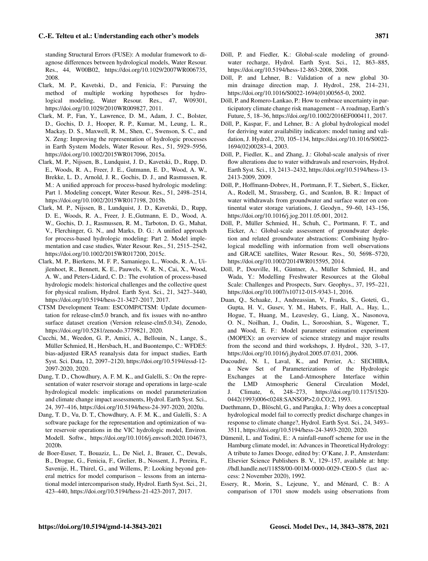standing Structural Errors (FUSE): A modular framework to diagnose differences between hydrological models, Water Resour. Res., 44, W00B02, https://doi.org[/10.1029/2007WR006735,](https://doi.org/10.1029/2007WR006735) 2008.

- Clark, M. P., Kavetski, D., and Fenicia, F.: Pursuing the method of multiple working hypotheses for hydrological modeling, Water Resour. Res., 47, W09301, https://doi.org[/10.1029/2010WR009827,](https://doi.org/10.1029/2010WR009827) 2011.
- Clark, M. P., Fan, Y., Lawrence, D. M., Adam, J. C., Bolster, D., Gochis, D. J., Hooper, R. P., Kumar, M., Leung, L. R., Mackay, D. S., Maxwell, R. M., Shen, C., Swenson, S. C., and X. Zeng: Improving the representation of hydrologic processes in Earth System Models, Water Resour. Res., 51, 5929–5956, https://doi.org[/10.1002/2015WR017096,](https://doi.org/10.1002/2015WR017096) 2015a.
- Clark, M. P., Nijssen, B., Lundquist, J. D., Kavetski, D., Rupp, D. E., Woods, R. A., Freer, J. E., Gutmann, E. D., Wood, A. W., Brekke, L. D., Arnold, J. R., Gochis, D. J., and Rasmussen, R. M.: A unified approach for process-based hydrologic modeling: Part 1. Modeling concept, Water Resour. Res., 51, 2498–2514, https://doi.org[/10.1002/2015WR017198,](https://doi.org/10.1002/2015WR017198) 2015b.
- Clark, M. P., Nijssen, B., Lundquist, J. D., Kavetski, D., Rupp, D. E., Woods, R. A., Freer, J. E.,Gutmann, E. D., Wood, A. W., Gochis, D. J., Rasmussen, R. M., Tarboton, D. G., Mahat, V., Flerchinger, G. N., and Marks, D. G.: A unified approach for process-based hydrologic modeling: Part 2. Model implementation and case studies, Water Resour. Res., 51, 2515–2542, https://doi.org[/10.1002/2015WR017200,](https://doi.org/10.1002/2015WR017200) 2015c.
- Clark, M. P., Bierkens, M. F. P., Samaniego, L., Woods, R. A., Uijlenhoet, R., Bennett, K. E., Pauwels, V. R. N., Cai, X., Wood, A. W., and Peters-Lidard, C. D.: The evolution of process-based hydrologic models: historical challenges and the collective quest for physical realism, Hydrol. Earth Syst. Sci., 21, 3427–3440, https://doi.org[/10.5194/hess-21-3427-2017,](https://doi.org/10.5194/hess-21-3427-2017) 2017.
- CTSM Development Team: ESCOMP/CTSM: Update documentation for release-clm5.0 branch, and fix issues with no-anthro surface dataset creation (Version release-clm5.0.34), Zenodo, https://doi.org[/10.5281/zenodo.3779821,](https://doi.org/10.5281/zenodo.3779821) 2020.
- Cucchi, M., Weedon, G. P., Amici, A., Bellouin, N., Lange, S., Müller Schmied, H., Hersbach, H., and Buontempo, C.: WFDE5: bias-adjusted ERA5 reanalysis data for impact studies, Earth Syst. Sci. Data, 12, 2097–2120, https://doi.org[/10.5194/essd-12-](https://doi.org/10.5194/essd-12-2097-2020) [2097-2020,](https://doi.org/10.5194/essd-12-2097-2020) 2020.
- Dang, T. D., Chowdhury, A. F. M. K., and Galelli, S.: On the representation of water reservoir storage and operations in large-scale hydrological models: implications on model parameterization and climate change impact assessments, Hydrol. Earth Syst. Sci., 24, 397–416, https://doi.org[/10.5194/hess-24-397-2020,](https://doi.org/10.5194/hess-24-397-2020) 2020a.
- Dang, T. D., Vu, D. T., Chowdhury, A. F. M. K., and Galelli, S.: A software package for the representation and optimization of water reservoir operations in the VIC hydrologic model, Environ. Modell. Softw., https://doi.org[/10.1016/j.envsoft.2020.104673,](https://doi.org/10.1016/j.envsoft.2020.104673) 2020b.
- de Boer-Euser, T., Bouaziz, L., De Niel, J., Brauer, C., Dewals, B., Drogue, G., Fenicia, F., Grelier, B., Nossent, J., Pereira, F., Savenije, H., Thirel, G., and Willems, P.: Looking beyond general metrics for model comparison – lessons from an international model intercomparison study, Hydrol. Earth Syst. Sci., 21, 423–440, https://doi.org[/10.5194/hess-21-423-2017,](https://doi.org/10.5194/hess-21-423-2017) 2017.
- Döll, P. and Fiedler, K.: Global-scale modeling of groundwater recharge, Hydrol. Earth Syst. Sci., 12, 863–885, https://doi.org[/10.5194/hess-12-863-2008,](https://doi.org/10.5194/hess-12-863-2008) 2008.
- Döll, P. and Lehner, B.: Validation of a new global 30 min drainage direction map, J. Hydrol., 258, 214–231, https://doi.org[/10.1016/S0022-1694\(01\)00565-0,](https://doi.org/10.1016/S0022-1694(01)00565-0) 2002.
- Döll, P. and Romero-Lankao, P.: How to embrace uncertainty in participatory climate change risk management – A roadmap, Earth's Future, 5, 18–36, https://doi.org[/10.1002/2016EF000411,](https://doi.org/10.1002/2016EF000411) 2017.
- Döll, P., Kaspar, F., and Lehner, B.: A global hydrological model for deriving water availability indicators: model tuning and validation, J. Hydrol., 270, 105–134, https://doi.org[/10.1016/S0022-](https://doi.org/10.1016/S0022-1694(02)00283-4) [1694\(02\)00283-4,](https://doi.org/10.1016/S0022-1694(02)00283-4) 2003.
- Döll, P., Fiedler, K., and Zhang, J.: Global-scale analysis of river flow alterations due to water withdrawals and reservoirs, Hydrol. Earth Syst. Sci., 13, 2413–2432, https://doi.org[/10.5194/hess-13-](https://doi.org/10.5194/hess-13-2413-2009) [2413-2009,](https://doi.org/10.5194/hess-13-2413-2009) 2009.
- Döll, P., Hoffmann-Dobrev, H., Portmann, F. T., Siebert, S., Eicker, A., Rodell, M., Strassberg, G., and Scanlon, B. R.: Impact of water withdrawals from groundwater and surface water on continental water storage variations, J. Geodyn., 59–60, 143–156, https://doi.org[/10.1016/j.jog.2011.05.001,](https://doi.org/10.1016/j.jog.2011.05.001) 2012.
- Döll, P., Müller Schmied, H., Schuh, C., Portmann, F. T., and Eicker, A.: Global-scale assessment of groundwater depletion and related groundwater abstractions: Combining hydrological modelling with information from well observations and GRACE satellites, Water Resour. Res., 50, 5698–5720, https://doi.org[/10.1002/2014WR015595,](https://doi.org/10.1002/2014WR015595) 2014.
- Döll, P., Douville, H., Güntner, A., Müller Schmied, H., and Wada, Y.: Modelling Freshwater Resources at the Global Scale: Challenges and Prospects, Surv. Geophys., 37, 195–221, https://doi.org[/10.1007/s10712-015-9343-1,](https://doi.org/10.1007/s10712-015-9343-1) 2016.
- Duan, Q., Schaake, J., Andreassian, V., Franks, S., Goteti, G., Gupta, H. V., Gusev, Y. M., Habets, F., Hall, A., Hay, L., Hogue, T., Huang, M., Leavesley, G., Liang, X., Nasonova, O. N., Noilhan, J., Oudin, L., Sorooshian, S., Wagener, T., and Wood, E. F.: Model parameter estimation experiment (MOPEX): an overview of science strategy and major results from the second and third workshops, J. Hydrol., 320, 3–17, https://doi.org[/10.1016/j.jhydrol.2005.07.031,](https://doi.org/10.1016/j.jhydrol.2005.07.031) 2006.
- Ducoudré, N. I., Laval, K., and Perrier, A.: SECHIBA, a New Set of Parameterizations of the Hydrologic Exchanges at the Land-Atmosphere Interface within the LMD Atmospheric General Circulation Model, J. Climate, 6, 248–273, https://doi.org[/10.1175/1520-](https://doi.org/10.1175/1520-0442(1993)006<0248:SANSOP>2.0.CO;2) [0442\(1993\)006<0248:SANSOP>2.0.CO;2,](https://doi.org/10.1175/1520-0442(1993)006<0248:SANSOP>2.0.CO;2) 1993.
- Duethmann, D., Blöschl, G., and Parajka, J.: Why does a conceptual hydrological model fail to correctly predict discharge changes in response to climate change?, Hydrol. Earth Syst. Sci., 24, 3493– 3511, https://doi.org[/10.5194/hess-24-3493-2020,](https://doi.org/10.5194/hess-24-3493-2020) 2020.
- Dümenil, L. and Todini, E.: A rainfall-runoff scheme for use in the Hamburg climate model, in: Advances in Theoretical Hydrology: A tribute to James Dooge, edited by: O'Kane, J. P., Amsterdam: Elsevier Science Publishers B. V., 129–157, available at: [http:](http://hdl.handle.net/11858/00-001M-0000-0029-CE00-5) [//hdl.handle.net/11858/00-001M-0000-0029-CE00-5](http://hdl.handle.net/11858/00-001M-0000-0029-CE00-5) (last access: 2 November 2020), 1992.
- Essery, R., Morin, S., Lejeune, Y., and Ménard, C. B.: A comparison of 1701 snow models using observations from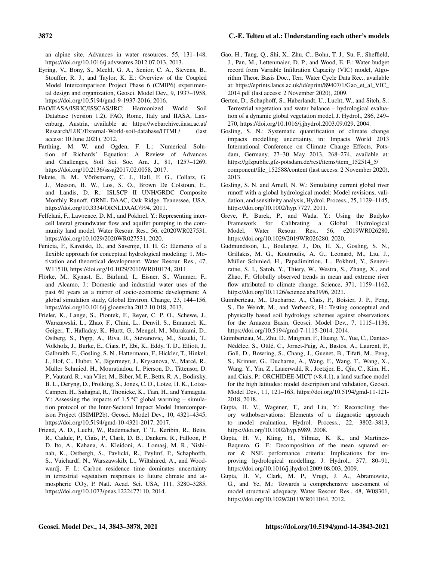an alpine site, Advances in water resources, 55, 131–148, https://doi.org[/10.1016/j.advwatres.2012.07.013,](https://doi.org/10.1016/j.advwatres.2012.07.013) 2013.

- Eyring, V., Bony, S., Meehl, G. A., Senior, C. A., Stevens, B., Stouffer, R. J., and Taylor, K. E.: Overview of the Coupled Model Intercomparison Project Phase 6 (CMIP6) experimental design and organization, Geosci. Model Dev., 9, 1937–1958, https://doi.org[/10.5194/gmd-9-1937-2016,](https://doi.org/10.5194/gmd-9-1937-2016) 2016.
- FAO/IIASA/ISRIC/ISSCAS/JRC: Harmonized World Soil Database (version 1.2), FAO, Rome, Italy and IIASA, Laxenburg, Austria, available at: [https://webarchive.iiasa.ac.at/](https://webarchive.iiasa.ac.at/Research/LUC/External-World-soil-database/HTML/) [Research/LUC/External-World-soil-database/HTML/](https://webarchive.iiasa.ac.at/Research/LUC/External-World-soil-database/HTML/) (last access: 10 June 2021), 2012.
- Farthing, M. W. and Ogden, F. L.: Numerical Solution of Richards' Equation: A Review of Advances and Challenges, Soil Sci. Soc. Am. J., 81, 1257–1269, https://doi.org[/10.2136/sssaj2017.02.0058,](https://doi.org/10.2136/sssaj2017.02.0058) 2017.
- Fekete, B. M., Vörösmarty, C. J., Hall, F. G., Collatz, G. J., Meeson, B. W., Los, S. O., Brown De Colstoun, E., and Landis, D. R.: ISLSCP II UNH/GRDC Composite Monthly Runoff, ORNL DAAC, Oak Ridge, Tennessee, USA, https://doi.org[/10.3334/ORNLDAAC/994,](https://doi.org/10.3334/ORNLDAAC/994) 2011.
- Felfelani, F., Lawrence, D. M., and Pokhrel, Y.: Representing intercell lateral groundwater flow and aquifer pumping in the community land model, Water Resour. Res., 56, e2020WR027531, https://doi.org[/10.1029/2020WR027531,](https://doi.org/10.1029/2020WR027531) 2020.
- Fenicia, F., Kavetski, D., and Savenije, H. H. G: Elements of a flexible approach for conceptual hydrological modeling: 1. Motivation and theoretical development, Water Resour. Res., 47, W11510, https://doi.org[/10.1029/2010WR010174,](https://doi.org/10.1029/2010WR010174) 2011.
- Flörke, M., Kynast, E., Bärlund, I., Eisner, S., Wimmer, F., and Alcamo, J.: Domestic and industrial water uses of the past 60 years as a mirror of socio-economic development: A global simulation study, Global Environ. Change, 23, 144–156, https://doi.org[/10.1016/j.gloenvcha.2012.10.018,](https://doi.org/10.1016/j.gloenvcha.2012.10.018) 2013.
- Frieler, K., Lange, S., Piontek, F., Reyer, C. P. O., Schewe, J., Warszawski, L., Zhao, F., Chini, L., Denvil, S., Emanuel, K., Geiger, T., Halladay, K., Hurtt, G., Mengel, M., Murakami, D., Ostberg, S., Popp, A., Riva, R., Stevanovic, M., Suzuki, T., Volkholz, J., Burke, E., Ciais, P., Ebi, K., Eddy, T. D., Elliott, J., Galbraith, E., Gosling, S. N., Hattermann, F., Hickler, T., Hinkel, J., Hof, C., Huber, V., Jägermeyr, J., Krysanova, V., Marcé, R., Müller Schmied, H., Mouratiadou, I., Pierson, D., Tittensor, D. P., Vautard, R., van Vliet, M., Biber, M. F., Betts, R. A., Bodirsky, B. L., Deryng, D., Frolking, S., Jones, C. D., Lotze, H. K., Lotze-Campen, H., Sahajpal, R., Thonicke, K., Tian, H., and Yamagata, Y.: Assessing the impacts of  $1.5^{\circ}$ C global warming – simulation protocol of the Inter-Sectoral Impact Model Intercomparison Project (ISIMIP2b), Geosci. Model Dev., 10, 4321–4345, https://doi.org[/10.5194/gmd-10-4321-2017,](https://doi.org/10.5194/gmd-10-4321-2017) 2017.
- Friend, A. D., Lucht, W., Rademacher, T. T., Keribin, R., Betts, R., Cadule, P., Ciais, P., Clark, D. B., Dankers, R., Falloon, P. D. Ito, A., Kahana, A., Kleidoni, A., Lomasj, M. R., Nishinah, K., Ostbergb, S., Pavlicki, R., Peylinf, P., Schaphoffb, S., Vuichardf, N., Warszawskib, L., Wiltshired, A., and Woodwardj, F. I.: Carbon residence time dominates uncertainty in terrestrial vegetation responses to future climate and atmospheric CO<sub>2</sub>, P. Natl. Acad. Sci. USA, 111, 3280-3285, https://doi.org[/10.1073/pnas.1222477110,](https://doi.org/10.1073/pnas.1222477110) 2014.
- Gao, H., Tang, Q., Shi, X., Zhu, C., Bohn, T. J., Su, F., Sheffield, J., Pan, M., Lettenmaier, D. P., and Wood, E. F.: Water budget record from Variable Infiltration Capacity (VIC) model, Algorithm Theor. Basis Doc., Terr. Water Cycle Data Rec., available at: [https://eprints.lancs.ac.uk/id/eprint/89407/1/Gao\\_et\\_al\\_VIC\\_](https://eprints.lancs.ac.uk/id/eprint/89407/1/Gao_et_al_VIC_2014.pdf) [2014.pdf](https://eprints.lancs.ac.uk/id/eprint/89407/1/Gao_et_al_VIC_2014.pdf) (last access: 2 November 2020), 2009.
- Gerten, D., Schaphoff, S., Haberlandt, U., Lucht, W., and Sitch, S.: Terrestrial vegetation and water balance – hydrological evaluation of a dynamic global vegetation model, J. Hydrol., 286, 249– 270, https://doi.org[/10.1016/j.jhydrol.2003.09.029,](https://doi.org/10.1016/j.jhydrol.2003.09.029) 2004.
- Gosling, S. N.: Systematic quantification of climate change impacts modelling uncertainty, in: Impacts World 2013 International Conference on Climate Change Effects, Potsdam, Germany, 27–30 May 2013, 268–274, available at: [https://gfzpublic.gfz-potsdam.de/rest/items/item\\_152514\\_5/](https://gfzpublic.gfz-potsdam.de/rest/items/item_152514_5/component/file_152588/content) [component/file\\_152588/content](https://gfzpublic.gfz-potsdam.de/rest/items/item_152514_5/component/file_152588/content) (last access: 2 November 2020), 2013.
- Gosling, S. N. and Arnell, N. W.: Simulating current global river runoff with a global hydrological model: Model revisions, validation, and sensitivity analysis, Hydrol. Process., 25, 1129–1145, https://doi.org[/10.1002/hyp.7727,](https://doi.org/10.1002/hyp.7727) 2011.
- Greve, P., Burek, P., and Wada, Y.: Using the Budyko Framework for Calibrating a Global Hydrological Model, Water Resour. Res., 56, e2019WR026280, https://doi.org[/10.1029/2019WR026280,](https://doi.org/10.1029/2019WR026280) 2020.
- Gudmundsson, L., Boulange, J., Do, H. X., Gosling, S. N., Grillakis, M. G., Koutroulis, A. G., Leonard, M., Liu, J., Müller Schmied, H., Papadimitriou, L., Pokhrel, Y., Seneviratne, S. I., Satoh, Y., Thiery, W., Westra, S., Zhang, X., and Zhao, F.: Globally observed trends in mean and extreme river flow attributed to climate change, Science, 371, 1159–1162, https://doi.org[/10.1126/science.aba3996,](https://doi.org/10.1126/science.aba3996) 2021.
- Guimberteau, M., Ducharne, A., Ciais, P., Boisier, J. P., Peng, S., De Weirdt, M., and Verbeeck, H.: Testing conceptual and physically based soil hydrology schemes against observations for the Amazon Basin, Geosci. Model Dev., 7, 1115–1136, https://doi.org[/10.5194/gmd-7-1115-2014,](https://doi.org/10.5194/gmd-7-1115-2014) 2014.
- Guimberteau, M., Zhu, D., Maignan, F., Huang, Y., Yue, C., Dantec-Nédélec, S., Ottlé, C., Jornet-Puig, A., Bastos, A., Laurent, P., Goll, D., Bowring, S., Chang, J., Guenet, B., Tifafi, M., Peng, S., Krinner, G., Ducharne, A., Wang, F., Wang, T., Wang, X., Wang, Y., Yin, Z., Lauerwald, R., Joetzjer, E., Qiu, C., Kim, H., and Ciais, P.: ORCHIDEE-MICT (v8.4.1), a land surface model for the high latitudes: model description and validation, Geosci. Model Dev., 11, 121–163, https://doi.org[/10.5194/gmd-11-121-](https://doi.org/10.5194/gmd-11-121-2018) [2018,](https://doi.org/10.5194/gmd-11-121-2018) 2018.
- Gupta, H. V., Wagener, T., and Liu, Y.: Reconciling theory withobservations: Elements of a diagnostic approach to model evaluation, Hydrol. Process., 22, 3802–3813, https://doi.org[/10.1002/hyp.6989,](https://doi.org/10.1002/hyp.6989) 2008.
- Gupta, H. V., Kling, H., Yilmaz, K. K., and Martinez-Baquero, G. F.: Decomposition of the mean squared error & NSE performance criteria: Implications for improving hydrological modelling, J. Hydrol., 377, 80–91, https://doi.org[/10.1016/j.jhydrol.2009.08.003,](https://doi.org/10.1016/j.jhydrol.2009.08.003) 2009.
- Gupta, H. V., Clark, M. P., Vrugt, J. A., Abramowitz, G., and Ye, M.: Towards a comprehensive assessment of model structural adequacy, Water Resour. Res., 48, W08301, https://doi.org[/10.1029/2011WR011044,](https://doi.org/10.1029/2011WR011044) 2012.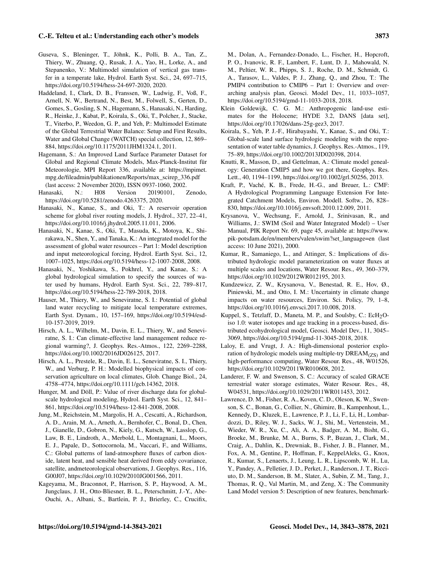- Guseva, S., Bleninger, T., Jöhnk, K., Polli, B. A., Tan, Z., Thiery, W., Zhuang, Q., Rusak, J. A., Yao, H., Lorke, A., and Stepanenko, V.: Multimodel simulation of vertical gas transfer in a temperate lake, Hydrol. Earth Syst. Sci., 24, 697–715, https://doi.org[/10.5194/hess-24-697-2020,](https://doi.org/10.5194/hess-24-697-2020) 2020.
- Haddeland, I., Clark, D. B., Franssen, W., Ludwig, F., Voß, F., Arnell, N. W., Bertrand, N., Best, M., Folwell, S., Gerten, D., Gomes, S., Gosling, S. N., Hagemann, S., Hanasaki, N., Harding, R., Heinke, J., Kabat, P., Koirala, S., Oki, T., Polcher, J., Stacke, T., Viterbo, P., Weedon, G. P., and Yeh, P.: Multimodel Estimate of the Global Terrestrial Water Balance: Setup and First Results, Water and Global Change (WATCH) special collection, 12, 869– 884, https://doi.org[/10.1175/2011JHM1324.1,](https://doi.org/10.1175/2011JHM1324.1) 2011.
- Hagemann, S.: An Improved Land Surface Parameter Dataset for Global and Regional Climate Models, Max-Planck-Institut für Meteorologie, MPI Report 336, available at: [https://mpimet.](https://mpimet.mpg.de/fileadmin/publikationen/Reports/max_scirep_336.pdf) [mpg.de/fileadmin/publikationen/Reports/max\\_scirep\\_336.pdf](https://mpimet.mpg.de/fileadmin/publikationen/Reports/max_scirep_336.pdf) (last access: 2 November 2020), ISSN 0937-1060, 2002.
- Hanasaki, N.: H08 Version 20190101, Zenodo, https://doi.org[/10.5281/zenodo.4263375,](https://doi.org/10.5281/zenodo.4263375) 2020.
- Hanasaki, N., Kanae, S., and Oki, T.: A reservoir operation scheme for global river routing models, J. Hydrol., 327, 22–41, https://doi.org[/10.1016/j.jhydrol.2005.11.011,](https://doi.org/10.1016/j.jhydrol.2005.11.011) 2006.
- Hanasaki, N., Kanae, S., Oki, T., Masuda, K., Motoya, K., Shirakawa, N., Shen, Y., and Tanaka, K.: An integrated model for the assessment of global water resources – Part 1: Model description and input meteorological forcing, Hydrol. Earth Syst. Sci., 12, 1007–1025, https://doi.org[/10.5194/hess-12-1007-2008,](https://doi.org/10.5194/hess-12-1007-2008) 2008.
- Hanasaki, N., Yoshikawa, S., Pokhrel, Y., and Kanae, S.: A global hydrological simulation to specify the sources of water used by humans, Hydrol. Earth Syst. Sci., 22, 789–817, https://doi.org[/10.5194/hess-22-789-2018,](https://doi.org/10.5194/hess-22-789-2018) 2018.
- Hauser, M., Thiery, W., and Seneviratne, S. I.: Potential of global land water recycling to mitigate local temperature extremes, Earth Syst. Dynam., 10, 157–169, https://doi.org[/10.5194/esd-](https://doi.org/10.5194/esd-10-157-2019)[10-157-2019,](https://doi.org/10.5194/esd-10-157-2019) 2019.
- Hirsch, A. L., Wilhelm, M., Davin, E. L., Thiery, W., and Seneviratne, S. I.: Can climate-effective land management reduce regional warming?, J. Geophys. Res.-Atmos., 122, 2269–2288, https://doi.org[/10.1002/2016JD026125,](https://doi.org/10.1002/2016JD026125) 2017.
- Hirsch, A. L., Prestele, R., Davin, E. L., Seneviratne, S. I., Thiery, W., and Verburg, P. H.: Modelled biophysical impacts of conservation agriculture on local climates, Glob. Change Biol., 24, 4758–4774, https://doi.org[/10.1111/gcb.14362,](https://doi.org/10.1111/gcb.14362) 2018.
- Hunger, M. and Döll, P.: Value of river discharge data for globalscale hydrological modeling, Hydrol. Earth Syst. Sci., 12, 841– 861, https://doi.org[/10.5194/hess-12-841-2008,](https://doi.org/10.5194/hess-12-841-2008) 2008.
- Jung, M., Reichstein, M., Margolis, H. A., Cescatti, A., Richardson, A. D., Arain, M. A., Arneth, A., Bernhofer, C., Bonal, D., Chen, J., Gianelle, D., Gobron, N., Kiely, G., Kutsch, W., Lasslop, G., Law, B. E., Lindroth, A., Merbold, L., Montagnani, L., Moors, E. J., Papale, D., Sottocornola, M., Vaccari, F., and Williams, C.: Global patterns of land-atmosphere fluxes of carbon dioxide, latent heat, and sensible heat derived from eddy covariance, satellite, andmeteorological observations, J. Geophys. Res., 116, G00J07, https://doi.org[/10.1029/2010JG001566,](https://doi.org/10.1029/2010JG001566) 2011.
- Kageyama, M., Braconnot, P., Harrison, S. P., Haywood, A. M., Jungclaus, J. H., Otto-Bliesner, B. L., Peterschmitt, J.-Y., Abe-Ouchi, A., Albani, S., Bartlein, P. J., Brierley, C., Crucifix,

M., Dolan, A., Fernandez-Donado, L., Fischer, H., Hopcroft, P. O., Ivanovic, R. F., Lambert, F., Lunt, D. J., Mahowald, N. M., Peltier, W. R., Phipps, S. J., Roche, D. M., Schmidt, G. A., Tarasov, L., Valdes, P. J., Zhang, Q., and Zhou, T.: The PMIP4 contribution to CMIP6 – Part 1: Overview and overarching analysis plan, Geosci. Model Dev., 11, 1033–1057, https://doi.org[/10.5194/gmd-11-1033-2018,](https://doi.org/10.5194/gmd-11-1033-2018) 2018.

- Klein Goldewijk, C. G. M.: Anthropogenic land-use estimates for the Holocene; HYDE 3.2, DANS [data set], https://doi.org[/10.17026/dans-25g-gez3,](https://doi.org/10.17026/dans-25g-gez3) 2017.
- Koirala, S., Yeh, P. J.-F., Hirabayashi, Y., Kanae, S., and Oki, T.: Global-scale land surface hydrologic modeling with the representation of water table dynamics, J. Geophys. Res.-Atmos., 119, 75–89, https://doi.org[/10.1002/2013JD020398,](https://doi.org/10.1002/2013JD020398) 2014.
- Knutti, R., Masson, D., and Gettelman, A.: Climate model genealogy: Generation CMIP5 and how we got there, Geophys. Res. Lett., 40, 1194–1199, https://doi.org[/10.1002/grl.50256,](https://doi.org/10.1002/grl.50256) 2013.
- Kraft, P., Vaché, K. B., Frede, H.-G., and Breuer, L.: CMF: A Hydrological Programming Language Extension For Integrated Catchment Models, Environ. Modell. Softw., 26, 828– 830, https://doi.org[/10.1016/j.envsoft.2010.12.009,](https://doi.org/10.1016/j.envsoft.2010.12.009) 2011.
- Krysanova, V., Wechsung, F., Arnold, J., Srinivasan, R., and Williams, J.: SWIM (Soil and Water Integrated Model) – User Manual, PIK Report Nr. 69, page 45, available at: [https://www.](https://www.pik-potsdam.de/en/members/valen/swim?set_language=en) [pik-potsdam.de/en/members/valen/swim?set\\_language=en](https://www.pik-potsdam.de/en/members/valen/swim?set_language=en) (last access: 10 June 2021), 2000.
- Kumar, R., Samaniego, L., and Attinger, S.: Implications of distributed hydrologic model parameterization on water fluxes at multiple scales and locations, Water Resour. Res., 49, 360–379, https://doi.org[/10.1029/2012WR012195,](https://doi.org/10.1029/2012WR012195) 2013.
- Kundzewicz, Z. W., Krysanova, V., Benestad, R. E., Hov, Ø., Piniewski, M., and Otto, I. M.: Uncertainty in climate change impacts on water resources, Environ. Sci. Policy, 79, 1–8, https://doi.org[/10.1016/j.envsci.2017.10.008,](https://doi.org/10.1016/j.envsci.2017.10.008) 2018.
- Kuppel, S., Tetzlaff, D., Maneta, M. P., and Soulsby, C.:  $EcH<sub>2</sub>O$ iso 1.0: water isotopes and age tracking in a process-based, distributed ecohydrological model, Geosci. Model Dev., 11, 3045– 3069, https://doi.org[/10.5194/gmd-11-3045-2018,](https://doi.org/10.5194/gmd-11-3045-2018) 2018.
- Laloy, E. and Vrugt, J. A.: High-dimensional posterior exploration of hydrologic models using multiple-try  $DREAM<sub>(7S)</sub>$  and high-performance computing, Water Resour. Res., 48, W01526, https://doi.org[/10.1029/2011WR010608,](https://doi.org/10.1029/2011WR010608) 2012.
- Landerer, F. W. and Swenson, S. C.: Accuracy of scaled GRACE terrestrial water storage estimates, Water Resour. Res., 48, W04531, https://doi.org[/10.1029/2011WR011453,](https://doi.org/10.1029/2011WR011453) 2012.
- Lawrence, D. M., Fisher, R. A., Koven, C. D., Oleson, K. W., Swenson, S. C., Bonan, G., Collier, N., Ghimire, B., Kampenhout, L., Kennedy, D., Kluzek, E., Lawrence, P. J., Li, F., Li, H., Lombardozzi, D., Riley, W. J., Sacks, W. J., Shi, M., Vertenstein, M., Wieder, W. R., Xu, C., Ali, A. A., Badger, A. M., Bisht, G., Broeke, M., Brunke, M. A., Burns, S. P., Buzan, J., Clark, M., Craig, A., Dahlin, K., Drewniak, B., Fisher, J. B., Flanner, M., Fox, A. M., Gentine, P., Hoffman, F., KeppelAleks, G., Knox, R., Kumar, S., Lenaerts, J., Leung, L. R., Lipscomb, W. H., Lu, Y., Pandey, A., Pelletier, J. D., Perket, J., Randerson, J. T., Ricciuto, D. M., Sanderson, B. M., Slater, A., Subin, Z. M., Tang, J., Thomas, R. Q., Val Martin, M., and Zeng, X.: The Community Land Model version 5: Description of new features, benchmark-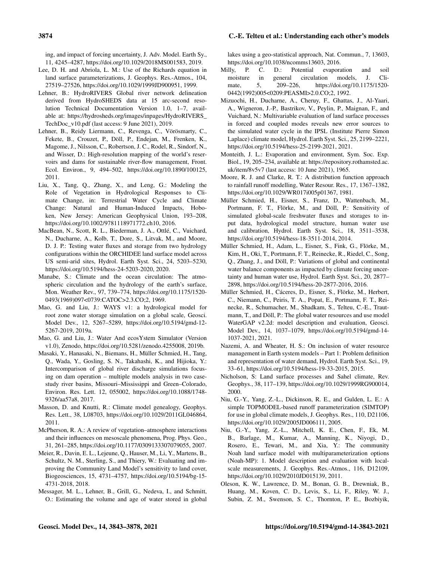ing, and impact of forcing uncertainty, J. Adv. Model. Earth Sy., 11, 4245–4287, https://doi.org[/10.1029/2018MS001583,](https://doi.org/10.1029/2018MS001583) 2019.

- Lee, D. H. and Abriola, L. M.: Use of the Richards equation in land surface parameterizations, J. Geophys. Res.-Atmos., 104, 27519–27526, https://doi.org[/10.1029/1999JD900951,](https://doi.org/10.1029/1999JD900951) 1999.
- Lehner, B.: HydroRIVERS Global river network delineation derived from HydroSHEDS data at 15 arc-second resolution Technical Documentation Version 1.0, 1–7, available at: [https://hydrosheds.org/images/inpages/HydroRIVERS\\_](https://hydrosheds.org/images/inpages/HydroRIVERS_TechDoc_v10.pdf) [TechDoc\\_v10.pdf](https://hydrosheds.org/images/inpages/HydroRIVERS_TechDoc_v10.pdf) (last access: 9 June 2021), 2019.
- Lehner, B., Reidy Liermann, C., Revenga, C., Vörösmarty, C., Fekete, B., Crouzet, P., Döll, P., Endejan, M., Frenken, K., Magome, J., Nilsson, C., Robertson, J. C., Rodel, R., Sindorf, N., and Wisser, D.: High-resolution mapping of the world's reservoirs and dams for sustainable river-flow management, Front. Ecol. Environ., 9, 494–502, https://doi.org[/10.1890/100125,](https://doi.org/10.1890/100125) 2011.
- Liu, X., Tang, Q., Zhang, X., and Leng, G.: Modeling the Role of Vegetation in Hydrological Responses to Climate Change, in: Terrestrial Water Cycle and Climate Change: Natural and Human-Induced Impacts, Hoboken, New Jersey: American Geophysical Union, 193–208, https://doi.org[/10.1002/9781118971772.ch10,](https://doi.org/10.1002/9781118971772.ch10) 2016.
- MacBean, N., Scott, R. L., Biederman, J. A., Ottlé, C., Vuichard, N., Ducharne, A., Kolb, T., Dore, S., Litvak, M., and Moore, D. J. P.: Testing water fluxes and storage from two hydrology configurations within the ORCHIDEE land surface model across US semi-arid sites, Hydrol. Earth Syst. Sci., 24, 5203–5230, https://doi.org[/10.5194/hess-24-5203-2020,](https://doi.org/10.5194/hess-24-5203-2020) 2020.
- Manabe, S.: Climate and the ocean circulation: The atmospheric circulation and the hydrology of the earth's surface, Mon. Weather Rev., 97, 739–774, https://doi.org[/10.1175/1520-](https://doi.org/10.1175/1520-0493(1969)097<0739:CATOC>2.3.CO;2) [0493\(1969\)097<0739:CATOC>2.3.CO;2,](https://doi.org/10.1175/1520-0493(1969)097<0739:CATOC>2.3.CO;2) 1969.
- Mao, G. and Liu, J.: WAYS v1: a hydrological model for root zone water storage simulation on a global scale, Geosci. Model Dev., 12, 5267–5289, https://doi.org[/10.5194/gmd-12-](https://doi.org/10.5194/gmd-12-5267-2019) [5267-2019,](https://doi.org/10.5194/gmd-12-5267-2019) 2019a.
- Mao, G. and Liu, J.: Water And ecosYstem Simulator (Version v1.0), Zenodo, https://doi.org[/10.5281/zenodo.4255008,](https://doi.org/10.5281/zenodo.4255008) 2019b.
- Masaki, Y., Hanasaki, N., Biemans, H., Müller Schmied, H., Tang, Q., Wada, Y., Gosling, S. N., Takahashi, K., and Hijioka, Y.: Intercomparison of global river discharge simulations focusing on dam operation – multiple models analysis in two casestudy river basins, Missouri–Mississippi and Green–Colorado, Environ. Res. Lett. 12, 055002, https://doi.org[/10.1088/1748-](https://doi.org/10.1088/1748-9326/aa57a8) [9326/aa57a8,](https://doi.org/10.1088/1748-9326/aa57a8) 2017.
- Masson, D. and Knutti, R.: Climate model genealogy, Geophys. Res. Lett., 38, L08703, https://doi.org[/10.1029/2011GL046864,](https://doi.org/10.1029/2011GL046864) 2011.
- McPherson, R. A.: A review of vegetation–atmosphere interactions and their influences on mesoscale phenomena, Prog. Phys. Geo., 31, 261–285, https://doi.org[/10.1177/0309133307079055,](https://doi.org/10.1177/0309133307079055) 2007.
- Meier, R., Davin, E. L., Lejeune, Q., Hauser, M., Li, Y., Martens, B., Schultz, N. M., Sterling, S., and Thiery, W.: Evaluating and improving the Community Land Model's sensitivity to land cover, Biogeosciences, 15, 4731–4757, https://doi.org[/10.5194/bg-15-](https://doi.org/10.5194/bg-15-4731-2018) [4731-2018,](https://doi.org/10.5194/bg-15-4731-2018) 2018.
- Messager, M. L., Lehner, B., Grill, G., Nedeva, I., and Schmitt, O.: Estimating the volume and age of water stored in global

lakes using a geo-statistical approach, Nat. Commun., 7, 13603, https://doi.org[/10.1038/ncomms13603,](https://doi.org/10.1038/ncomms13603) 2016.<br>illy, P. C. D.: Potential evapora

- Milly, P. C. D.: Potential evaporation and soil moisture in general circulation models, J. Climate, 5, 209–226, https://doi.org[/10.1175/1520-](https://doi.org/10.1175/1520-0442(1992)005<0209:PEASMI>2.0.CO;2) [0442\(1992\)005<0209:PEASMI>2.0.CO;2,](https://doi.org/10.1175/1520-0442(1992)005<0209:PEASMI>2.0.CO;2) 1992.
- Mizuochi, H., Ducharne, A., Cheruy, F., Ghattas, J., Al-Yaari, A., Wigneron, J.-P., Bastrikov, V., Peylin, P., Maignan, F., and Vuichard, N.: Multivariable evaluation of land surface processes in forced and coupled modes reveals new error sources to the simulated water cycle in the IPSL (Institute Pierre Simon Laplace) climate model, Hydrol. Earth Syst. Sci., 25, 2199–2221, https://doi.org[/10.5194/hess-25-2199-2021,](https://doi.org/10.5194/hess-25-2199-2021) 2021.
- Monteith, J. L.: Evaporation and environment, Sym. Soc. Exp. Biol., 19, 205–234, available at: [https://repository.rothamsted.ac.](https://repository.rothamsted.ac.uk/item/8v5v7) [uk/item/8v5v7](https://repository.rothamsted.ac.uk/item/8v5v7) (last access: 10 June 2021), 1965.
- Moore, R. J. and Clarke, R. T.: A distribution function approach to rainfall runoff modelling, Water Resour. Res., 17, 1367–1382, https://doi.org[/10.1029/WR017i005p01367,](https://doi.org/10.1029/WR017i005p01367) 1981.
- Müller Schmied, H., Eisner, S., Franz, D., Wattenbach, M., Portmann, F. T., Flörke, M., and Döll, P.: Sensitivity of simulated global-scale freshwater fluxes and storages to input data, hydrological model structure, human water use and calibration, Hydrol. Earth Syst. Sci., 18, 3511–3538, https://doi.org[/10.5194/hess-18-3511-2014,](https://doi.org/10.5194/hess-18-3511-2014) 2014.
- Müller Schmied, H., Adam, L., Eisner, S., Fink, G., Flörke, M., Kim, H., Oki, T., Portmann, F. T., Reinecke, R., Riedel, C., Song, Q., Zhang, J., and Döll, P.: Variations of global and continental water balance components as impacted by climate forcing uncertainty and human water use, Hydrol. Earth Syst. Sci., 20, 2877– 2898, https://doi.org[/10.5194/hess-20-2877-2016,](https://doi.org/10.5194/hess-20-2877-2016) 2016.
- Müller Schmied, H., Cáceres, D., Eisner, S., Flörke, M., Herbert, C., Niemann, C., Peiris, T. A., Popat, E., Portmann, F. T., Reinecke, R., Schumacher, M., Shadkam, S., Telteu, C.-E., Trautmann, T., and Döll, P.: The global water resources and use model WaterGAP v2.2d: model description and evaluation, Geosci. Model Dev., 14, 1037–1079, https://doi.org[/10.5194/gmd-14-](https://doi.org/10.5194/gmd-14-1037-2021) [1037-2021,](https://doi.org/10.5194/gmd-14-1037-2021) 2021.
- Nazemi, A. and Wheater, H. S.: On inclusion of water resource management in Earth system models – Part 1: Problem definition and representation of water demand, Hydrol. Earth Syst. Sci., 19, 33–61, https://doi.org[/10.5194/hess-19-33-2015,](https://doi.org/10.5194/hess-19-33-2015) 2015.
- Nicholson, S: Land surface processes and Sahel climate, Rev. Geophys., 38, 117–139, https://doi.org[/10.1029/1999RG900014,](https://doi.org/10.1029/1999RG900014) 2000.
- Niu, G.-Y., Yang, Z.-L., Dickinson, R. E., and Gulden, L. E.: A simple TOPMODEL-based runoff parameterization (SIMTOP) for use in global climate models, J. Geophys. Res., 110, D21106, https://doi.org[/10.1029/2005JD006111,](https://doi.org/10.1029/2005JD006111) 2005.
- Niu, G.-Y., Yang, Z.-L., Mitchell, K. E., Chen, F., Ek, M. B., Barlage, M., Kumar, A., Manning, K., Niyogi, D., Rosero, E., Tewari, M., and Xia, Y.: The community Noah land surface model with multiparameterization options (Noah-MP): 1. Model description and evaluation with localscale measurements, J. Geophys. Res.-Atmos., 116, D12109, https://doi.org[/10.1029/2010JD015139,](https://doi.org/10.1029/2010JD015139) 2011.
- Oleson, K. W., Lawrence, D. M., Bonan, G. B., Drewniak, B., Huang, M., Koven, C. D., Levis, S., Li, F., Riley, W. J., Subin, Z. M., Swenson, S. C., Thornton, P. E., Bozbiyik,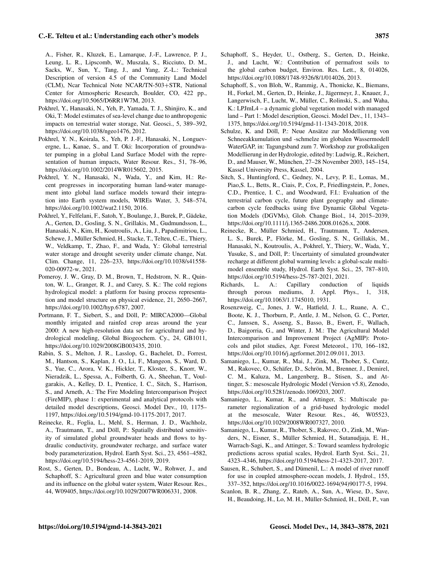A., Fisher, R., Kluzek, E., Lamarque, J.-F., Lawrence, P. J., Leung, L. R., Lipscomb, W., Muszala, S., Ricciuto, D. M., Sacks, W., Sun, Y., Tang, J., and Yang, Z.-L.: Technical Description of version 4.5 of the Community Land Model (CLM), Ncar Technical Note NCAR/TN-503+STR, National Center for Atmospheric Research, Boulder, CO, 422 pp., https://doi.org[/10.5065/D6RR1W7M,](https://doi.org/10.5065/D6RR1W7M) 2013.

- Pokhrel, Y., Hanasaki, N., Yeh, P., Yamada, T. J., Shinjiro, K., and Oki, T: Model estimates of sea-level change due to anthropogenic impacts on terrestrial water storage, Nat. Geosci., 5, 389–392, https://doi.org[/10.1038/ngeo1476,](https://doi.org/10.1038/ngeo1476) 2012.
- Pokhrel, Y. N., Koirala, S., Yeh, P. J.-F., Hanasaki, N., Longuevergne, L., Kanae, S., and T. Oki: Incorporation of groundwater pumping in a global Land Surface Model with the representation of human impacts, Water Resour. Res., 51, 78–96, https://doi.org[/10.1002/2014WR015602,](https://doi.org/10.1002/2014WR015602) 2015.
- Pokhrel, Y. N., Hanasaki, N., Wada, Y., and Kim, H.: Recent progresses in incorporating human land-water management into global land surface models toward their integration into Earth system models, WIREs Water, 3, 548–574, https://doi.org[/10.1002/wat2.1150,](https://doi.org/10.1002/wat2.1150) 2016.
- Pokhrel, Y., Felfelani, F., Satoh, Y., Boulange, J., Burek, P., Gädeke, A., Gerten, D., Gosling, S. N., Grillakis, M., Gudmundsson, L., Hanasaki, N., Kim, H., Koutroulis, A., Liu, J., Papadimitriou, L., Schewe, J., Müller Schmied, H., Stacke, T., Telteu, C.-E., Thiery, W., Veldkamp, T., Zhao, F., and Wada, Y.: Global terrestrial water storage and drought severity under climate change, Nat. Clim. Change, 11, 226–233, https://doi.org[/10.1038/s41558-](https://doi.org/10.1038/s41558-020-00972-w) [020-00972-w,](https://doi.org/10.1038/s41558-020-00972-w) 2021.
- Pomeroy, J. W., Gray, D. M., Brown, T., Hedstrom, N. R., Quinton, W. L., Granger, R. J., and Carey, S. K.: The cold regions hydrological model: a platform for basing process representation and model structure on physical evidence, 21, 2650–2667, https://doi.org[/10.1002/hyp.6787,](https://doi.org/10.1002/hyp.6787) 2007.
- Portmann, F. T., Siebert, S., and Döll, P.: MIRCA2000—Global monthly irrigated and rainfed crop areas around the year 2000: A new high-resolution data set for agricultural and hydrological modeling, Global Biogeochem. Cy., 24, GB1011, https://doi.org[/10.1029/2008GB003435,](https://doi.org/10.1029/2008GB003435) 2010.
- Rabin, S. S., Melton, J. R., Lasslop, G., Bachelet, D., Forrest, M., Hantson, S., Kaplan, J. O., Li, F., Mangeon, S., Ward, D. S., Yue, C., Arora, V. K., Hickler, T., Kloster, S., Knorr, W., Nieradzik, L., Spessa, A., Folberth, G. A., Sheehan, T., Voulgarakis, A., Kelley, D. I., Prentice, I. C., Sitch, S., Harrison, S., and Arneth, A.: The Fire Modeling Intercomparison Project (FireMIP), phase 1: experimental and analytical protocols with detailed model descriptions, Geosci. Model Dev., 10, 1175– 1197, https://doi.org[/10.5194/gmd-10-1175-2017,](https://doi.org/10.5194/gmd-10-1175-2017) 2017.
- Reinecke, R., Foglia, L., Mehl, S., Herman, J. D., Wachholz, A., Trautmann, T., and Döll, P.: Spatially distributed sensitivity of simulated global groundwater heads and flows to hydraulic conductivity, groundwater recharge, and surface water body parameterization, Hydrol. Earth Syst. Sci., 23, 4561–4582, https://doi.org[/10.5194/hess-23-4561-2019,](https://doi.org/10.5194/hess-23-4561-2019) 2019.
- Rost, S., Gerten, D., Bondeau, A., Lucht, W., Rohwer, J., and Schaphoff, S.: Agricultural green and blue water consumption and its influence on the global water system, Water Resour. Res., 44, W09405, https://doi.org[/10.1029/2007WR006331,](https://doi.org/10.1029/2007WR006331) 2008.
- Schaphoff, S., Heyder, U., Ostberg, S., Gerten, D., Heinke, J., and Lucht, W.: Contribution of permafrost soils to the global carbon budget, Environ. Res. Lett., 8, 014026, https://doi.org[/10.1088/1748-9326/8/1/014026,](https://doi.org/10.1088/1748-9326/8/1/014026) 2013.
- Schaphoff, S., von Bloh, W., Rammig, A., Thonicke, K., Biemans, H., Forkel, M., Gerten, D., Heinke, J., Jägermeyr, J., Knauer, J., Langerwisch, F., Lucht, W., Müller, C., Rolinski, S., and Waha, K.: LPJmL4 – a dynamic global vegetation model with managed land – Part 1: Model description, Geosci. Model Dev., 11, 1343– 1375, https://doi.org[/10.5194/gmd-11-1343-2018,](https://doi.org/10.5194/gmd-11-1343-2018) 2018.
- Schulze, K. and Döll, P.: Neue Ansätze zur Modellierung von Schneeakkumulation und -schmelze im globalen Wassermodell WaterGAP, in: Tagungsband zum 7. Workshop zur großskaligen Modellierung in der Hydrologie, edited by: Ludwig, R., Reichert, D., and Mauser, W., München, 27–28 November 2003, 145–154, Kassel University Press, Kassel, 2004.
- Sitch, S., Huntingford, C., Gedney, N., Levy, P. E., Lomas, M., Piao,S. L., Betts, R., Ciais, P., Cox, P., Friedlingstein, P., Jones, C.D., Prentice, I. C., and Woodward, F.I.: Evaluation of the terrestrial carbon cycle, future plant geography and climatecarbon cycle feedbacks using five Dynamic Global Vegetation Models (DGVMs), Glob. Change Biol., 14, 2015–2039, https://doi.org[/10.1111/j.1365-2486.2008.01626.x,](https://doi.org/10.1111/j.1365-2486.2008.01626.x) 2008.
- Reinecke, R., Müller Schmied, H., Trautmann, T., Andersen, L. S., Burek, P., Flörke, M., Gosling, S. N., Grillakis, M., Hanasaki, N., Koutroulis, A., Pokhrel, Y., Thiery, W., Wada, Y., Yusuke, S., and Döll, P.: Uncertainty of simulated groundwater recharge at different global warming levels: a global-scale multimodel ensemble study, Hydrol. Earth Syst. Sci., 25, 787–810, https://doi.org[/10.5194/hess-25-787-2021,](https://doi.org/10.5194/hess-25-787-2021) 2021.
- Richards, L. A.: Capillary conduction of liquids through porous mediums, J. Appl. Phys., 1, 318, https://doi.org[/10.1063/1.1745010,](https://doi.org/10.1063/1.1745010) 1931.
- Rosenzweig, C., Jones, J. W., Hatfield, J. L., Ruane, A. C., Boote, K. J., Thorburn, P., Antle, J. M., Nelson, G. C., Porter, C., Janssen, S., Asseng, S., Basso, B., Ewert, F., Wallach, D., Baigorria, G., and Winter, J. M.: The Agricultural Model Intercomparison and Improvement Project (AgMIP): Protocols and pilot studies, Agr. Forest Meteorol., 170, 166–182, https://doi.org[/10.1016/j.agrformet.2012.09.011,](https://doi.org/10.1016/j.agrformet.2012.09.011) 2013.
- Samaniego, L., Kumar, R., Mai, J., Zink, M., Thober, S., Cuntz, M., Rakovec, O., Schäfer, D., Schrön, M., Brenner, J., Demirel, C. M., Kaluza, M., Langenberg, B., Stisen, S., and Attinger, S.: mesoscale Hydrologic Model (Version v5.8), Zenodo, https://doi.org[/10.5281/zenodo.1069203,](https://doi.org/10.5281/zenodo.1069203) 2007.
- Samaniego, L., Kumar, R., and Attinger, S.: Multiscale parameter regionalization of a grid-based hydrologic model at the mesoscale, Water Resour. Res., 46, W05523, https://doi.org[/10.1029/2008WR007327,](https://doi.org/10.1029/2008WR007327) 2010.
- Samaniego, L., Kumar, R., Thober, S., Rakovec, O., Zink, M., Wanders, N., Eisner, S., Müller Schmied, H., Sutanudjaja, E. H., Warrach-Sagi, K., and Attinger, S.: Toward seamless hydrologic predictions across spatial scales, Hydrol. Earth Syst. Sci., 21, 4323–4346, https://doi.org[/10.5194/hess-21-4323-2017,](https://doi.org/10.5194/hess-21-4323-2017) 2017.
- Sausen, R., Schubert, S., and Dümenil, L.: A model of river runoff for use in coupled atmosphere-ocean models, J. Hydrol., 155, 337–352, https://doi.org[/10.1016/0022-1694\(94\)90177-5,](https://doi.org/10.1016/0022-1694(94)90177-5) 1994.
- Scanlon, B. R., Zhang, Z., Rateb, A., Sun, A., Wiese, D., Save, H., Beaudoing, H., Lo, M. H., Müller-Schmied, H., Döll, P., van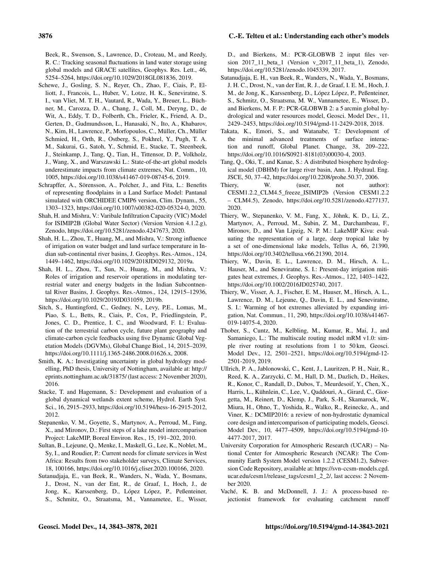Beek, R., Swenson, S., Lawrence, D., Croteau, M., and Reedy, R. C.: Tracking seasonal fluctuations in land water storage using global models and GRACE satellites, Geophys. Res. Lett., 46, 5254–5264, https://doi.org[/10.1029/2018GL081836,](https://doi.org/10.1029/2018GL081836) 2019.

- Schewe, J., Gosling, S. N., Reyer, Ch., Zhao, F., Ciais, P., Elliott, J., Francois, L., Huber, V., Lotze, H. K., Seneviratne, S. I., van Vliet, M. T. H., Vautard, R., Wada, Y., Breuer, L., Büchner, M., Carozza, D. A., Chang, J., Coll, M., Deryng, D., de Wit, A., Eddy, T. D., Folberth, Ch., Frieler, K., Friend, A. D., Gerten, D., Gudmundsson, L., Hanasaki, N., Ito, A., Khabarov, N., Kim, H., Lawrence, P., Morfopoulos, C., Müller, Ch., Müller Schmied, H., Orth, R., Ostberg, S., Pokhrel, Y., Pugh, T. A. M., Sakurai, G., Satoh, Y., Schmid, E., Stacke, T., Steenbeek, J., Steinkamp, J., Tang, Q., Tian, H., Tittensor, D. P., Volkholz, J., Wang, X., and Warszawski L.: State-of-the-art global models underestimate impacts from climate extremes, Nat. Comm., 10, 1005, https://doi.org[/10.1038/s41467-019-08745-6,](https://doi.org/10.1038/s41467-019-08745-6) 2019.
- Schrapffer, A., Sörensson, A., Polcher, J., and Fita, L.: Benefits of representing floodplains in a Land Surface Model: Pantanal simulated with ORCHIDEE CMIP6 version, Clim. Dynam., 55, 1303–1323, https://doi.org[/10.1007/s00382-020-05324-0,](https://doi.org/10.1007/s00382-020-05324-0) 2020.
- Shah, H. and Mishra, V.: Varibale Infiltration Capacity (VIC) Model for ISIMIP2B (Global Water Sector) (Version Version 4.1.2.g), Zenodo, https://doi.org[/10.5281/zenodo.4247673,](https://doi.org/10.5281/zenodo.4247673) 2020.
- Shah, H. L., Zhou, T., Huang, M., and Mishra, V.: Strong influence of irrigation on water budget and land surface temperature in Indian sub-continental river basins, J. Geophys. Res.-Atmos., 124, 1449–1462, https://doi.org[/10.1029/2018JD029132,](https://doi.org/10.1029/2018JD029132) 2019a.
- Shah, H. L., Zhou, T., Sun, N., Huang, M., and Mishra, V.: Roles of irrigation and reservoir operations in modulating terrestrial water and energy budgets in the Indian Subcontnental River Basins, J. Geophys. Res.-Atmos., 124, 12915–12936, https://doi.org[/10.1029/2019JD031059,](https://doi.org/10.1029/2019JD031059) 2019b.
- Sitch, S., Huntingford, C., Gedney, N., Levy, P.E., Lomas, M., Piao, S. L., Betts, R., Ciais, P., Cox, P., Friedlingstein, P., Jones, C. D., Prentice, I. C., and Woodward, F. I.: Evaluation of the terrestrial carbon cycle, future plant geography and climate-carbon cycle feedbacks using five Dynamic Global Vegetation Models (DGVMs), Global Change Biol., 14, 2015–2039, https://doi.org[/10.1111/j.1365-2486.2008.01626.x,](https://doi.org/10.1111/j.1365-2486.2008.01626.x) 2008.
- Smith, K. A.: Investigating uncertainty in global hydrology modelling, PhD thesis, University of Nottingham, available at: [http://](http://eprints.nottingham.ac.uk/31875/) [eprints.nottingham.ac.uk/31875/](http://eprints.nottingham.ac.uk/31875/) (last access: 2 November 2020), 2016.
- Stacke, T. and Hagemann, S.: Development and evaluation of a global dynamical wetlands extent scheme, Hydrol. Earth Syst. Sci., 16, 2915–2933, https://doi.org[/10.5194/hess-16-2915-2012,](https://doi.org/10.5194/hess-16-2915-2012) 2012.
- Stepanenko, V. M., Goyette, S., Martynov, A., Perroud, M., Fang, X., and Mironov, D.: First steps of a lake model intercomparison Project: LakeMIP, Boreal Environ. Res., 15, 191–202, 2010.
- Sultan, B., Lejeune, Q., Menke, I., Maskell, G., Lee, K., Noblet, M., Sy, I., and Roudier, P.: Current needs for climate services in West Africa: Results from two stakeholder surveys, Climate Services, 18, 100166, https://doi.org[/10.1016/j.cliser.2020.100166,](https://doi.org/10.1016/j.cliser.2020.100166) 2020.
- Sutanudjaja, E., van Beek, R., Wanders, N., Wada, Y., Bosmans, J., Drost, N., van der Ent, R., de Graaf, I., Hoch, J., de Jong, K., Karssenberg, D., López López, P., Peßenteiner, S., Schmitz, O., Straatsma, M., Vannametee, E., Wisser,

D., and Bierkens, M.: PCR-GLOBWB 2 input files version 2017\_11\_beta\_1 (Version v\_2017\_11\_beta\_1), Zenodo, https://doi.org[/10.5281/zenodo.1045339,](https://doi.org/10.5281/zenodo.1045339) 2017.

- Sutanudjaja, E. H., van Beek, R., Wanders, N., Wada, Y., Bosmans, J. H. C., Drost, N., van der Ent, R. J., de Graaf, I. E. M., Hoch, J. M., de Jong, K., Karssenberg, D., López López, P., Peßenteiner, S., Schmitz, O., Straatsma, M. W., Vannametee, E., Wisser, D., and Bierkens, M. F. P.: PCR-GLOBWB 2: a 5 arcmin global hydrological and water resources model, Geosci. Model Dev., 11, 2429–2453, https://doi.org[/10.5194/gmd-11-2429-2018,](https://doi.org/10.5194/gmd-11-2429-2018) 2018.
- Takata, K., Emori, S., and Watanabe, T.: Development of the minimal advanced treatments of surface interaction and runoff, Global Planet. Change, 38, 209–222, https://doi.org[/10.1016/S0921-8181\(03\)00030-4,](https://doi.org/10.1016/S0921-8181(03)00030-4) 2003.
- Tang, Q., Oki, T., and Kanae, S.: A distributed biosphere hydrological model (DBHM) for large river basin, Ann. J. Hydraul. Eng. JSCE, 50, 37–42, https://doi.org[/10.2208/prohe.50.37,](https://doi.org/10.2208/prohe.50.37) 2006.
- Thiery, W. (user, not author): CESM1.2.2\_CLM4.5\_freeze\_ISIMIP2b (Version CESM1.2.2 – CLM4.5), Zenodo, https://doi.org[/10.5281/zenodo.4277137,](https://doi.org/10.5281/zenodo.4277137) 2020.
- Thiery, W., Stepanenko, V. M., Fang, X., Jöhnk, K. D., Li, Z., Martynov, A., Perroud, M., Subin, Z. M., Darchambeau, F., Mironov, D., and Van Lipzig, N. P. M.: LakeMIP Kivu: evaluating the representation of a large, deep tropical lake by a set of one-dimensional lake models, Tellus A, 66, 21390, https://doi.org[/10.3402/tellusa.v66.21390,](https://doi.org/10.3402/tellusa.v66.21390) 2014.
- Thiery, W., Davin, E. L., Lawrence, D. M., Hirsch, A. L., Hauser, M., and Seneviratne, S. I.: Present-day irrigation mitigates heat extremes, J. Geophys. Res.-Atmos., 122, 1403–1422, https://doi.org[/10.1002/2016JD025740,](https://doi.org/10.1002/2016JD025740) 2017.
- Thiery, W., Visser, A. J., Fischer, E. M., Hauser, M., Hirsch, A. L., Lawrence, D. M., Lejeune, Q., Davin, E. L., and Seneviratne, S. I.: Warming of hot extremes alleviated by expanding irrigation, Nat. Commun., 11, 290, https://doi.org[/10.1038/s41467-](https://doi.org/10.1038/s41467-019-14075-4) [019-14075-4,](https://doi.org/10.1038/s41467-019-14075-4) 2020.
- Thober, S., Cuntz, M., Kelbling, M., Kumar, R., Mai, J., and Samaniego, L.: The multiscale routing model mRM v1.0: simple river routing at resolutions from 1 to 50 km, Geosci. Model Dev., 12, 2501–2521, https://doi.org[/10.5194/gmd-12-](https://doi.org/10.5194/gmd-12-2501-2019) [2501-2019,](https://doi.org/10.5194/gmd-12-2501-2019) 2019.
- Ullrich, P. A., Jablonowski, C., Kent, J., Lauritzen, P. H., Nair, R., Reed, K. A., Zarzycki, C. M., Hall, D. M., Dazlich, D., Heikes, R., Konor, C., Randall, D., Dubos, T., Meurdesoif, Y., Chen, X., Harris, L., Kühnlein, C., Lee, V., Qaddouri, A., Girard, C., Giorgetta, M., Reinert, D., Klemp, J., Park, S.-H., Skamarock, W., Miura, H., Ohno, T., Yoshida, R., Walko, R., Reinecke, A., and Viner, K.: DCMIP2016: a review of non-hydrostatic dynamical core design and intercomparison of participating models, Geosci. Model Dev., 10, 4477–4509, https://doi.org[/10.5194/gmd-10-](https://doi.org/10.5194/gmd-10-4477-2017) [4477-2017,](https://doi.org/10.5194/gmd-10-4477-2017) 2017.
- University Corporation for Atmospheric Research (UCAR) National Center for Atmospheric Research (NCAR): The Community Earth System Model version 1.2.2 (CESM1.2), Subversion Code Repository, available at: [https://svn-ccsm-models.cgd.](https://svn-ccsm-models.cgd.ucar.edu/cesm1/release_tags/cesm1_2_2/) [ucar.edu/cesm1/release\\_tags/cesm1\\_2\\_2/,](https://svn-ccsm-models.cgd.ucar.edu/cesm1/release_tags/cesm1_2_2/) last access: 2 November 2020.
- Vaché, K. B. and McDonnell, J. J.: A process-based rejectionist framework for evaluating catchment runoff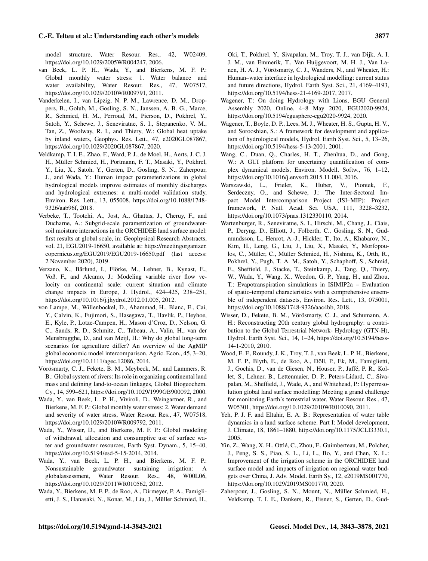model structure, Water Resour. Res., 42, W02409, https://doi.org[/10.1029/2005WR004247,](https://doi.org/10.1029/2005WR004247) 2006.

- van Beek, L. P. H., Wada, Y., and Bierkens, M. F. P.: Global monthly water stress: 1. Water balance and water availability, Water Resour. Res., 47, W07517, https://doi.org[/10.1029/2010WR009791,](https://doi.org/10.1029/2010WR009791) 2011.
- Vanderkelen, I., van Lipzig, N. P. M., Lawrence, D. M., Droppers, B., Golub, M., Gosling, S. N., Janssen, A. B. G., Marce, R., Schmied, H. M., Perroud, M., Pierson, D., Pokhrel, Y., Satoh, Y., Schewe, J., Seneviratne, S. I., Stepanenko, V. M., Tan, Z., Woolway, R. I., and Thiery, W.: Global heat uptake by inland waters, Geophys. Res. Lett., 47, e2020GL087867, https://doi.org[/10.1029/2020GL087867,](https://doi.org/10.1029/2020GL087867) 2020.
- Veldkamp, T. I. E., Zhao, F., Ward, P. J., de Moel, H., Aerts, J. C. J. H., Müller Schmied, H., Portmann, F. T., Masaki, Y., Pokhrel, Y., Liu, X., Satoh, Y., Gerten, D., Gosling, S. N., Zaherpour, J., and Wada, Y.: Human impact parameterizations in global hydrological models improve estimates of monthly discharges and hydrological extremes: a multi-model validation study, Environ. Res. Lett., 13, 055008, https://doi.org[/10.1088/1748-](https://doi.org/10.1088/1748-9326/aab96f) [9326/aab96f,](https://doi.org/10.1088/1748-9326/aab96f) 2018.
- Verbeke, T., Tootchi, A., Jost, A., Ghattas, J., Cheruy, F., and Ducharne, A.: Subgrid-scale parametrization of groundwatersoil moisture interactions in the ORCHIDEE land surface model: first results at global scale, in: Geophysical Research Abstracts, vol. 21, EGU2019-16650, available at: [https://meetingorganizer.](https://meetingorganizer.copernicus.org/EGU2019/EGU2019-16650.pdf) [copernicus.org/EGU2019/EGU2019-16650.pdf](https://meetingorganizer.copernicus.org/EGU2019/EGU2019-16650.pdf) (last access: 2 November 2020), 2019.
- Verzano, K., Bärlund, I., Flörke, M., Lehner, B., Kynast, E., Voß, F., and Alcamo, J.: Modeling variable river flow velocity on continental scale: current situation and climate change impacts in Europe, J. Hydrol., 424–425, 238–251, https://doi.org[/10.1016/j.jhydrol.2012.01.005,](https://doi.org/10.1016/j.jhydrol.2012.01.005) 2012.
- von Lampe, M., Willenbockel, D., Ahammad, H., Blanc, E., Cai, Y., Calvin, K., Fujimori, S., Hasegawa, T., Havlik, P., Heyhoe, E., Kyle, P., Lotze-Campen, H., Mason d'Croz, D., Nelson, G. C., Sands, R. D., Schmitz, C., Tabeau, A., Valin, H., van der Mensbrugghe, D., and van Meijl, H.: Why do global long-term scenarios for agriculture differ? An overview of the AgMIP global economic model intercomparison, Agric. Econ., 45, 3–20, https://doi.org[/10.1111/agec.12086,](https://doi.org/10.1111/agec.12086) 2014.
- Vörösmarty, C. J., Fekete, B. M., Meybeck, M., and Lammers, R. B.: Global system of rivers: Its role in organizing continental land mass and defining land-to-ocean linkages, Global Biogeochem. Cy., 14, 599–621, https://doi.org[/10.1029/1999GB900092,](https://doi.org/10.1029/1999GB900092) 2000.
- Wada, Y., van Beek, L. P. H., Viviroli, D., Weingartner, R., and Bierkens, M. F. P.: Global monthly water stress: 2. Water demand and severity of water stress, Water Resour. Res., 47, W07518, https://doi.org[/10.1029/2010WR009792,](https://doi.org/10.1029/2010WR009792) 2011.
- Wada, Y., Wisser, D., and Bierkens, M. F. P.: Global modeling of withdrawal, allocation and consumptive use of surface water and groundwater resources, Earth Syst. Dynam., 5, 15–40, https://doi.org[/10.5194/esd-5-15-2014,](https://doi.org/10.5194/esd-5-15-2014) 2014.
- Wada, Y., van Beek, L. P. H., and Bierkens, M. F. P.: Nonsustainable groundwater sustaining irrigation: A globalassessment, Water Resour. Res., 48, W00L06, https://doi.org[/10.1029/2011WR010562,](https://doi.org/10.1029/2011WR010562) 2012.
- Wada, Y., Bierkens, M. F. P., de Roo, A., Dirmeyer, P. A., Famiglietti, J. S., Hanasaki, N., Konar, M., Liu, J., Müller Schmied, H.,

Oki, T., Pokhrel, Y., Sivapalan, M., Troy, T. J., van Dijk, A. I. J. M., van Emmerik, T., Van Huijgevoort, M. H. J., Van Lanen, H. A. J., Vörösmarty, C. J., Wanders, N., and Wheater, H.: Human–water interface in hydrological modelling: current status and future directions, Hydrol. Earth Syst. Sci., 21, 4169–4193, https://doi.org[/10.5194/hess-21-4169-2017,](https://doi.org/10.5194/hess-21-4169-2017) 2017.

- Wagener, T.: On doing Hydrology with Lions, EGU General Assembly 2020, Online, 4–8 May 2020, EGU2020-9924, https://doi.org[/10.5194/egusphere-egu2020-9924,](https://doi.org/10.5194/egusphere-egu2020-9924) 2020.
- Wagener, T., Boyle, D. P., Lees, M. J., Wheater, H. S., Gupta, H. V., and Sorooshian, S.: A framework for development and application of hydrological models, Hydrol. Earth Syst. Sci., 5, 13–26, https://doi.org[/10.5194/hess-5-13-2001,](https://doi.org/10.5194/hess-5-13-2001) 2001.
- Wang, C., Duan, Q., Charles, H. T., Zhenhua, D., and Gong, W.: A GUI platform for uncertainty quantification of complex dynamical models, Environ. Modell. Softw., 76, 1–12, https://doi.org[/10.1016/j.envsoft.2015.11.004,](https://doi.org/10.1016/j.envsoft.2015.11.004) 2016.
- Warszawski, L., Frieler, K., Huber, V., Piontek, F., Serdeczny, O., and Schewe, J.: The Inter-Sectoral Impact Model Intercomparison Project (ISI–MIP): Project framework, P. Natl. Acad. Sci. USA, 111, 3228–3232, https://doi.org[/10.1073/pnas.1312330110,](https://doi.org/10.1073/pnas.1312330110) 2014.
- Wartenburger, R., Seneviratne, S. I., Hirschi, M., Chang, J., Ciais, P., Deryng, D., Elliott, J., Folberth, C., Gosling, S. N., Gudmundsson, L., Henrot, A.-J., Hickler, T., Ito, A., Khabarov, N., Kim, H., Leng, G., Liu, J., Liu, X., Masaki, Y., Morfopoulos, C., Müller, C., Müller Schmied, H., Nishina, K., Orth, R., Pokhrel, Y., Pugh, T. A. M., Satoh, Y., Schaphoff, S., Schmid, E., Sheffield, J., Stacke, T., Steinkamp, J., Tang, Q., Thiery, W., Wada, Y., Wang, X., Weedon, G. P., Yang, H., and Zhou, T.: Evapotranspiration simulations in ISIMIP2a – Evaluation of spatio-temporal characteristics with a comprehensive ensemble of independent datasets, Environ. Res. Lett., 13, 075001, https://doi.org[/10.1088/1748-9326/aac4bb,](https://doi.org/10.1088/1748-9326/aac4bb) 2018.
- Wisser, D., Fekete, B. M., Vörösmarty, C. J., and Schumann, A. H.: Reconstructing 20th century global hydrography: a contribution to the Global Terrestrial Network- Hydrology (GTN-H), Hydrol. Earth Syst. Sci., 14, 1–24, https://doi.org[/10.5194/hess-](https://doi.org/10.5194/hess-14-1-2010)[14-1-2010,](https://doi.org/10.5194/hess-14-1-2010) 2010.
- Wood, E. F., Roundy, J. K., Troy, T. J., van Beek, L. P. H., Bierkens, M. F. P., Blyth, E., de Roo, A., Döll, P., Ek, M., Famiglietti, J., Gochis, D., van de Giesen, N., Houser, P., Jaffé, P. R., Kollet, S., Lehner, B., Lettenmaier, D. P., Peters-Lidard, C., Sivapalan, M., Sheffield, J., Wade, A., and Whitehead, P.: Hyperresolution global land surface modelling: Meeting a grand challenge for monitoring Earth's terrestrial water, Water Resour. Res., 47, W05301, https://doi.org[/10.1029/2010WR010090,](https://doi.org/10.1029/2010WR010090) 2011.
- Yeh, P. J. F. and Eltahir, E. A. B.: Representation of water table dynamics in a land surface scheme. Part I: Model development, J. Climate, 18, 1861–1880, https://doi.org[/10.1175/JCLI3330.1,](https://doi.org/10.1175/JCLI3330.1) 2005.
- Yin, Z., Wang, X. H., Ottlé, C., Zhou, F., Guimberteau, M., Polcher, J., Peng, S. S., Piao, S. L., Li, L., Bo, Y., and Chen, X. L.: Improvement of the irrigation scheme in the ORCHIDEE land surface model and impacts of irrigation on regional water budgets over China, J. Adv. Model. Earth Sy., 12, e2019MS001770, https://doi.org[/10.1029/2019MS001770,](https://doi.org/10.1029/2019MS001770) 2020.
- Zaherpour, J., Gosling, S. N., Mount, N., Müller Schmied, H., Veldkamp, T. I. E., Dankers, R., Eisner, S., Gerten, D., Gud-